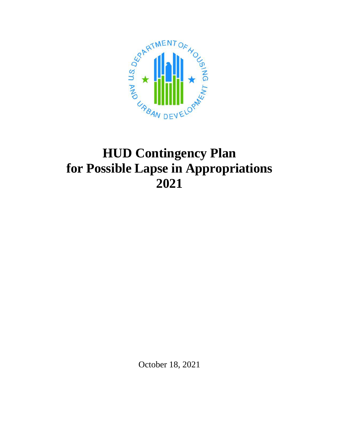

# **HUD Contingency Plan for Possible Lapse in Appropriations 2021**

October 18, 2021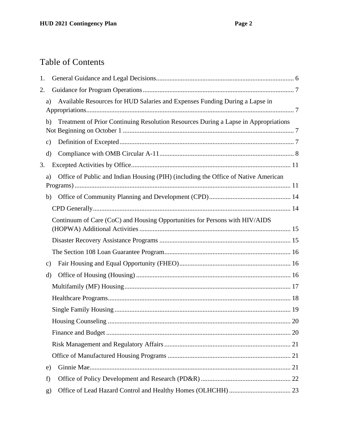# Table of Contents

| 1. |               |                                                                                     |  |
|----|---------------|-------------------------------------------------------------------------------------|--|
| 2. |               |                                                                                     |  |
|    | a)            | Available Resources for HUD Salaries and Expenses Funding During a Lapse in         |  |
|    | b)            | Treatment of Prior Continuing Resolution Resources During a Lapse in Appropriations |  |
|    | $\mathbf{c})$ |                                                                                     |  |
|    | $\rm d$       |                                                                                     |  |
| 3. |               |                                                                                     |  |
|    | a)            | Office of Public and Indian Housing (PIH) (including the Office of Native American  |  |
|    | b)            |                                                                                     |  |
|    |               |                                                                                     |  |
|    |               | Continuum of Care (CoC) and Housing Opportunities for Persons with HIV/AIDS         |  |
|    |               |                                                                                     |  |
|    |               |                                                                                     |  |
|    |               |                                                                                     |  |
|    | $\mathbf{c})$ |                                                                                     |  |
|    | $\rm d)$      |                                                                                     |  |
|    |               |                                                                                     |  |
|    |               |                                                                                     |  |
|    |               |                                                                                     |  |
|    |               |                                                                                     |  |
|    |               |                                                                                     |  |
|    |               |                                                                                     |  |
|    |               |                                                                                     |  |
|    | e)            |                                                                                     |  |
|    | f)            |                                                                                     |  |
|    | g)            |                                                                                     |  |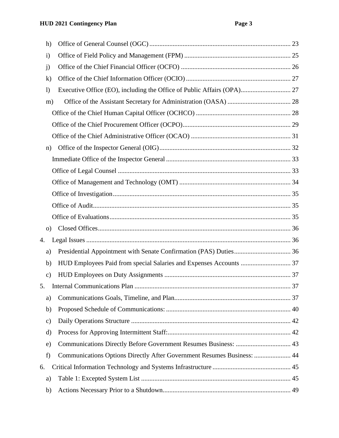|    | h)            |                                                                        |    |
|----|---------------|------------------------------------------------------------------------|----|
|    | $\mathbf{i}$  |                                                                        |    |
| j) |               |                                                                        |    |
|    | $\bf k)$      |                                                                        |    |
|    | $\mathbf{I}$  |                                                                        |    |
|    | m)            |                                                                        |    |
|    |               |                                                                        |    |
|    |               |                                                                        |    |
|    |               |                                                                        |    |
|    | n)            |                                                                        |    |
|    |               |                                                                        |    |
|    |               |                                                                        |    |
|    |               |                                                                        |    |
|    |               |                                                                        |    |
|    |               |                                                                        |    |
|    |               |                                                                        |    |
|    | $\Omega$      |                                                                        |    |
| 4. |               |                                                                        |    |
|    | a)            |                                                                        |    |
|    | $\mathbf{b}$  |                                                                        |    |
|    | $\mathbf{c})$ |                                                                        |    |
| 5. |               | <b>Internal Communications Plan</b>                                    | 37 |
|    | a)            |                                                                        |    |
|    | $\mathbf{b}$  |                                                                        |    |
|    | $\mathbf{c})$ |                                                                        |    |
|    | d)            |                                                                        |    |
|    | e)            | Communications Directly Before Government Resumes Business:  43        |    |
|    | f)            | Communications Options Directly After Government Resumes Business:  44 |    |
| 6. |               |                                                                        |    |
|    | a)            |                                                                        |    |
|    | $\mathbf{b}$  |                                                                        |    |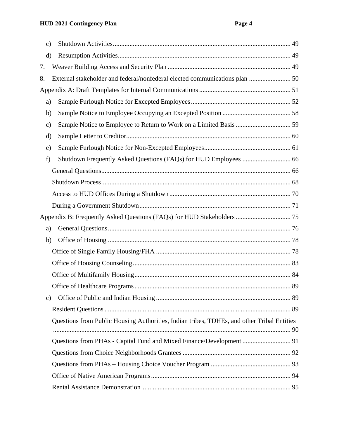|    | $\mathbf{c})$ |                                                                                            |     |
|----|---------------|--------------------------------------------------------------------------------------------|-----|
|    | $\rm d)$      |                                                                                            |     |
| 7. |               |                                                                                            |     |
| 8. |               | External stakeholder and federal/nonfederal elected communications plan  50                |     |
|    |               |                                                                                            |     |
|    | a)            |                                                                                            |     |
|    | b)            |                                                                                            |     |
|    | $\mathbf{c})$ |                                                                                            |     |
|    | d)            |                                                                                            |     |
|    | e)            |                                                                                            |     |
|    | f)            |                                                                                            |     |
|    |               |                                                                                            |     |
|    |               |                                                                                            |     |
|    |               |                                                                                            |     |
|    |               |                                                                                            |     |
|    |               | Appendix B: Frequently Asked Questions (FAQs) for HUD Stakeholders  75                     |     |
|    | a)            |                                                                                            |     |
|    | b)            |                                                                                            |     |
|    |               |                                                                                            |     |
|    |               |                                                                                            |     |
|    |               |                                                                                            |     |
|    |               |                                                                                            | -89 |
|    | $\mathbf{c})$ |                                                                                            |     |
|    |               |                                                                                            |     |
|    |               | Questions from Public Housing Authorities, Indian tribes, TDHEs, and other Tribal Entities |     |
|    |               |                                                                                            |     |
|    |               | Questions from PHAs - Capital Fund and Mixed Finance/Development  91                       |     |
|    |               |                                                                                            |     |
|    |               |                                                                                            |     |
|    |               |                                                                                            |     |
|    |               |                                                                                            |     |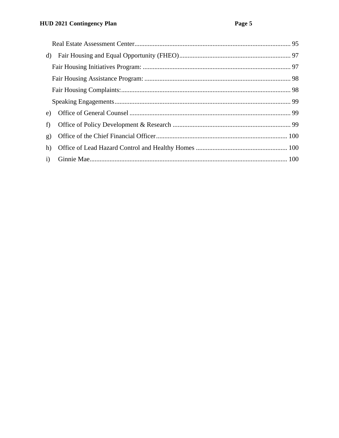| d) |  |
|----|--|
|    |  |
|    |  |
|    |  |
|    |  |
| e) |  |
| f  |  |
| g) |  |
| h) |  |
| i) |  |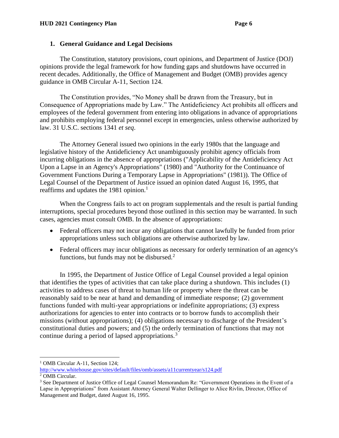### <span id="page-5-0"></span>**1. General Guidance and Legal Decisions**

The Constitution, statutory provisions, court opinions, and Department of Justice (DOJ) opinions provide the legal framework for how funding gaps and shutdowns have occurred in recent decades. Additionally, the Office of Management and Budget (OMB) provides agency guidance in OMB Circular A-11, Section 124.

The Constitution provides, "No Money shall be drawn from the Treasury, but in Consequence of Appropriations made by Law." The Antideficiency Act prohibits all officers and employees of the federal government from entering into obligations in advance of appropriations and prohibits employing federal personnel except in emergencies, unless otherwise authorized by law. 31 U.S.C. sections 1341 *et seq*.

The Attorney General issued two opinions in the early 1980s that the language and legislative history of the Antideficiency Act unambiguously prohibit agency officials from incurring obligations in the absence of appropriations ("Applicability of the Antideficiency Act Upon a Lapse in an Agency's Appropriations" (1980) and "Authority for the Continuance of Government Functions During a Temporary Lapse in Appropriations" (1981)). The Office of Legal Counsel of the Department of Justice issued an opinion dated August 16, 1995, that reaffirms and updates the 1981 opinion.<sup>1</sup>

When the Congress fails to act on program supplementals and the result is partial funding interruptions, special procedures beyond those outlined in this section may be warranted. In such cases, agencies must consult OMB. In the absence of appropriations:

- Federal officers may not incur any obligations that cannot lawfully be funded from prior appropriations unless such obligations are otherwise authorized by law.
- Federal officers may incur obligations as necessary for orderly termination of an agency's functions, but funds may not be disbursed. $2^2$

In 1995, the Department of Justice Office of Legal Counsel provided a legal opinion that identifies the types of activities that can take place during a shutdown. This includes (1) activities to address cases of threat to human life or property where the threat can be reasonably said to be near at hand and demanding of immediate response; (2) government functions funded with multi-year appropriations or indefinite appropriations; (3) express authorizations for agencies to enter into contracts or to borrow funds to accomplish their missions (without appropriations); (4) obligations necessary to discharge of the President's constitutional duties and powers; and (5) the orderly termination of functions that may not continue during a period of lapsed appropriations.<sup>3</sup>

<sup>&</sup>lt;sup>1</sup> OMB Circular A-11, Section 124;

<http://www.whitehouse.gov/sites/default/files/omb/assets/a11currentyear/s124.pdf>

<sup>2</sup> OMB Circular.

<sup>3</sup> See Department of Justice Office of Legal Counsel Memorandum Re: "Government Operations in the Event of a Lapse in Appropriations" from Assistant Attorney General Walter Dellinger to Alice Rivlin, Director, Office of Management and Budget, dated August 16, 1995.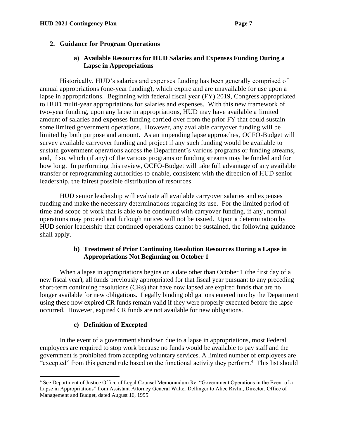### <span id="page-6-1"></span><span id="page-6-0"></span>**2. Guidance for Program Operations**

### **a) Available Resources for HUD Salaries and Expenses Funding During a Lapse in Appropriations**

Historically, HUD's salaries and expenses funding has been generally comprised of annual appropriations (one-year funding), which expire and are unavailable for use upon a lapse in appropriations. Beginning with federal fiscal year (FY) 2019, Congress appropriated to HUD multi-year appropriations for salaries and expenses. With this new framework of two-year funding, upon any lapse in appropriations, HUD may have available a limited amount of salaries and expenses funding carried over from the prior FY that could sustain some limited government operations. However, any available carryover funding will be limited by both purpose and amount. As an impending lapse approaches, OCFO-Budget will survey available carryover funding and project if any such funding would be available to sustain government operations across the Department's various programs or funding streams, and, if so, which (if any) of the various programs or funding streams may be funded and for how long. In performing this review, OCFO-Budget will take full advantage of any available transfer or reprogramming authorities to enable, consistent with the direction of HUD senior leadership, the fairest possible distribution of resources.

HUD senior leadership will evaluate all available carryover salaries and expenses funding and make the necessary determinations regarding its use. For the limited period of time and scope of work that is able to be continued with carryover funding, if any, normal operations may proceed and furlough notices will not be issued. Upon a determination by HUD senior leadership that continued operations cannot be sustained, the following guidance shall apply.

### **b) Treatment of Prior Continuing Resolution Resources During a Lapse in Appropriations Not Beginning on October 1**

<span id="page-6-2"></span>When a lapse in appropriations begins on a date other than October 1 (the first day of a new fiscal year), all funds previously appropriated for that fiscal year pursuant to any preceding short-term continuing resolutions (CRs) that have now lapsed are expired funds that are no longer available for new obligations. Legally binding obligations entered into by the Department using these now expired CR funds remain valid if they were properly executed before the lapse occurred. However, expired CR funds are not available for new obligations.

# **c) Definition of Excepted**

<span id="page-6-3"></span>In the event of a government shutdown due to a lapse in appropriations, most Federal employees are required to stop work because no funds would be available to pay staff and the government is prohibited from accepting voluntary services. A limited number of employees are "excepted" from this general rule based on the functional activity they perform.<sup>4</sup> This list should

<sup>4</sup> See Department of Justice Office of Legal Counsel Memorandum Re: "Government Operations in the Event of a Lapse in Appropriations" from Assistant Attorney General Walter Dellinger to Alice Rivlin, Director, Office of Management and Budget, dated August 16, 1995.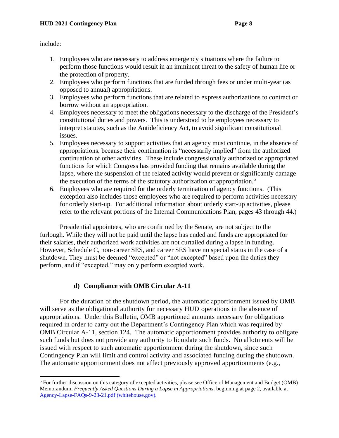include:

- 1. Employees who are necessary to address emergency situations where the failure to perform those functions would result in an imminent threat to the safety of human life or the protection of property.
- 2. Employees who perform functions that are funded through fees or under multi-year (as opposed to annual) appropriations.
- 3. Employees who perform functions that are related to express authorizations to contract or borrow without an appropriation.
- 4. Employees necessary to meet the obligations necessary to the discharge of the President's constitutional duties and powers. This is understood to be employees necessary to interpret statutes, such as the Antideficiency Act, to avoid significant constitutional issues.
- 5. Employees necessary to support activities that an agency must continue, in the absence of appropriations, because their continuation is "necessarily implied" from the authorized continuation of other activities. These include congressionally authorized or appropriated functions for which Congress has provided funding that remains available during the lapse, where the suspension of the related activity would prevent or significantly damage the execution of the terms of the statutory authorization or appropriation.<sup>5</sup>
- 6. Employees who are required for the orderly termination of agency functions. (This exception also includes those employees who are required to perform activities necessary for orderly start-up. For additional information about orderly start-up activities, please refer to the relevant portions of the Internal Communications Plan, pages [43](#page-42-0) through [44.](#page-43-0))

Presidential appointees, who are confirmed by the Senate, are not subject to the furlough. While they will not be paid until the lapse has ended and funds are appropriated for their salaries, their authorized work activities are not curtailed during a lapse in funding. However, Schedule C, non-career SES, and career SES have no special status in the case of a shutdown. They must be deemed "excepted" or "not excepted" based upon the duties they perform, and if "excepted," may only perform excepted work.

# **d) Compliance with OMB Circular A-11**

<span id="page-7-0"></span>For the duration of the shutdown period, the automatic apportionment issued by OMB will serve as the obligational authority for necessary HUD operations in the absence of appropriations. Under this Bulletin, OMB apportioned amounts necessary for obligations required in order to carry out the Department's Contingency Plan which was required by OMB Circular A-11, section 124. The automatic apportionment provides authority to obligate such funds but does not provide any authority to liquidate such funds. No allotments will be issued with respect to such automatic apportionment during the shutdown, since such Contingency Plan will limit and control activity and associated funding during the shutdown. The automatic apportionment does not affect previously approved apportionments (e.g.,

<sup>5</sup> For further discussion on this category of excepted activities, please see Office of Management and Budget (OMB) Memorandum, *Frequently Asked Questions During a Lapse in Appropriations,* beginning at page 2, available at [Agency-Lapse-FAQs-9-23-21.pdf \(whitehouse.gov\)](https://www.whitehouse.gov/wp-content/uploads/2021/09/Agency-Lapse-FAQs-9-23-21.pdf)*.*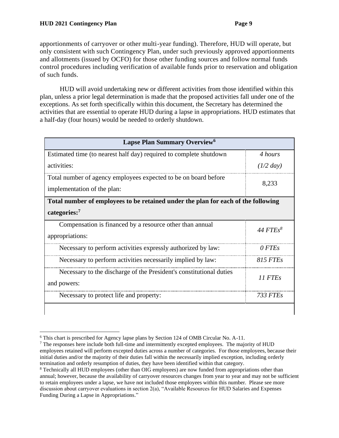apportionments of carryover or other multi-year funding). Therefore, HUD will operate, but only consistent with such Contingency Plan, under such previously approved apportionments and allotments (issued by OCFO) for those other funding sources and follow normal funds control procedures including verification of available funds prior to reservation and obligation of such funds.

HUD will avoid undertaking new or different activities from those identified within this plan, unless a prior legal determination is made that the proposed activities fall under one of the exceptions. As set forth specifically within this document, the Secretary has determined the activities that are essential to operate HUD during a lapse in appropriations. HUD estimates that a half-day (four hours) would be needed to orderly shutdown.

| Lapse Plan Summary Overview <sup>6</sup>                                                                      |                    |  |  |  |
|---------------------------------------------------------------------------------------------------------------|--------------------|--|--|--|
| Estimated time (to nearest half day) required to complete shutdown                                            | 4 hours            |  |  |  |
| activities:                                                                                                   | $(1/2 \, day)$     |  |  |  |
| Total number of agency employees expected to be on board before<br>8,233<br>implementation of the plan:       |                    |  |  |  |
| Total number of employees to be retained under the plan for each of the following<br>categories: <sup>7</sup> |                    |  |  |  |
| Compensation is financed by a resource other than annual<br>appropriations:                                   | 44 $FTEs^8$        |  |  |  |
|                                                                                                               |                    |  |  |  |
| Necessary to perform activities expressly authorized by law:                                                  | O FTE <sub>s</sub> |  |  |  |
| Necessary to perform activities necessarily implied by law:                                                   | 815 FTEs           |  |  |  |
| Necessary to the discharge of the President's constitutional duties<br>and powers:                            | 11 FTEs            |  |  |  |

<sup>6</sup> This chart is prescribed for Agency lapse plans by Section 124 of OMB Circular No. A-11.

 $<sup>7</sup>$  The responses here include both full-time and intermittently excepted employees. The majority of HUD</sup> employees retained will perform excepted duties across a number of categories. For those employees, because their initial duties and/or the majority of their duties fall within the necessarily implied exception, including orderly termination and orderly resumption of duties, they have been identified within that category.

<sup>8</sup> Technically all HUD employees (other than OIG employees) are now funded from appropriations other than annual; however, because the availability of carryover resources changes from year to year and may not be sufficient to retain employees under a lapse, we have not included those employees within this number. Please see more discussion about carryover evaluations in section 2(a), "Available Resources for HUD Salaries and Expenses Funding During a Lapse in Appropriations."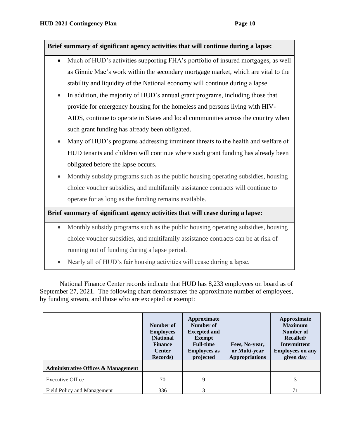### **Brief summary of significant agency activities that will continue during a lapse:**

- Much of HUD's activities supporting FHA's portfolio of insured mortgages, as well as Ginnie Mae's work within the secondary mortgage market, which are vital to the stability and liquidity of the National economy will continue during a lapse.
- In addition, the majority of HUD's annual grant programs, including those that provide for emergency housing for the homeless and persons living with HIV-AIDS, continue to operate in States and local communities across the country when such grant funding has already been obligated.
- Many of HUD's programs addressing imminent threats to the health and welfare of HUD tenants and children will continue where such grant funding has already been obligated before the lapse occurs.
- Monthly subsidy programs such as the public housing operating subsidies, housing choice voucher subsidies, and multifamily assistance contracts will continue to operate for as long as the funding remains available.

**Brief summary of significant agency activities that will cease during a lapse:**

- Monthly subsidy programs such as the public housing operating subsidies, housing choice voucher subsidies, and multifamily assistance contracts can be at risk of running out of funding during a lapse period.
- Nearly all of HUD's fair housing activities will cease during a lapse.

National Finance Center records indicate that HUD has 8,233 employees on board as of September 27, 2021. The following chart demonstrates the approximate number of employees, by funding stream, and those who are excepted or exempt:

|                                                | Number of<br><b>Employees</b><br>(National<br><b>Finance</b><br><b>Center</b><br><b>Records</b> ) | Approximate<br>Number of<br><b>Excepted and</b><br>Exempt<br><b>Full-time</b><br><b>Employees as</b><br>projected | Fees, No-year,<br>or Multi-year<br><b>Appropriations</b> | Approximate<br><b>Maximum</b><br>Number of<br>Recalled/<br><b>Intermittent</b><br><b>Employees on any</b><br>given day |
|------------------------------------------------|---------------------------------------------------------------------------------------------------|-------------------------------------------------------------------------------------------------------------------|----------------------------------------------------------|------------------------------------------------------------------------------------------------------------------------|
| <b>Administrative Offices &amp; Management</b> |                                                                                                   |                                                                                                                   |                                                          |                                                                                                                        |
| <b>Executive Office</b>                        | 70                                                                                                | 9                                                                                                                 |                                                          | 3                                                                                                                      |
| Field Policy and Management                    | 336                                                                                               | 3                                                                                                                 |                                                          | 71                                                                                                                     |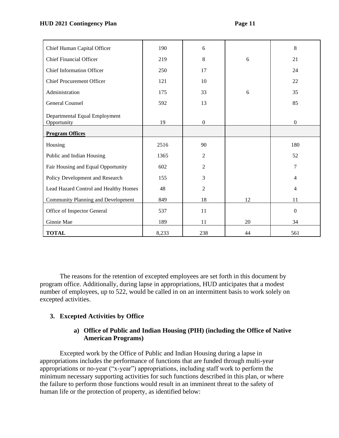| Chief Human Capital Officer                  | 190   | 6              |    | 8            |
|----------------------------------------------|-------|----------------|----|--------------|
| <b>Chief Financial Officer</b>               | 219   | 8              | 6  | 21           |
| <b>Chief Information Officer</b>             | 250   | 17             |    | 24           |
| <b>Chief Procurement Officer</b>             | 121   | 10             |    | 22           |
| Administration                               | 175   | 33             | 6  | 35           |
| <b>General Counsel</b>                       | 592   | 13             |    | 85           |
| Departmental Equal Employment<br>Opportunity | 19    | $\mathbf{0}$   |    | $\mathbf{0}$ |
| <b>Program Offices</b>                       |       |                |    |              |
| Housing                                      | 2516  | 90             |    | 180          |
| Public and Indian Housing                    | 1365  | $\overline{2}$ |    | 52           |
| Fair Housing and Equal Opportunity           | 602   | 2              |    | 7            |
| Policy Development and Research              | 155   | 3              |    | 4            |
| Lead Hazard Control and Healthy Homes        | 48    | 2              |    | 4            |
| <b>Community Planning and Development</b>    | 849   | 18             | 12 | 11           |
| Office of Inspector General                  | 537   | 11             |    | $\Omega$     |
| Ginnie Mae                                   | 189   | 11             | 20 | 34           |
| <b>TOTAL</b>                                 | 8,233 | 238            | 44 | 561          |

The reasons for the retention of excepted employees are set forth in this document by program office. Additionally, during lapse in appropriations, HUD anticipates that a modest number of employees, up to 522, would be called in on an intermittent basis to work solely on excepted activities.

# <span id="page-10-1"></span><span id="page-10-0"></span>**3. Excepted Activities by Office**

### **a) Office of Public and Indian Housing (PIH) (including the Office of Native American Programs)**

Excepted work by the Office of Public and Indian Housing during a lapse in appropriations includes the performance of functions that are funded through multi-year appropriations or no-year ("x-year") appropriations, including staff work to perform the minimum necessary supporting activities for such functions described in this plan, or where the failure to perform those functions would result in an imminent threat to the safety of human life or the protection of property, as identified below: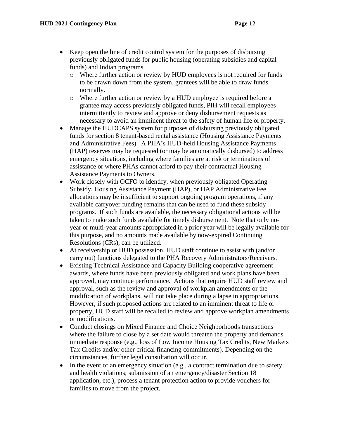- Keep open the line of credit control system for the purposes of disbursing previously obligated funds for public housing (operating subsidies and capital funds) and Indian programs.
	- o Where further action or review by HUD employees is not required for funds to be drawn down from the system, grantees will be able to draw funds normally.
	- o Where further action or review by a HUD employee is required before a grantee may access previously obligated funds, PIH will recall employees intermittently to review and approve or deny disbursement requests as necessary to avoid an imminent threat to the safety of human life or property.
- Manage the HUDCAPS system for purposes of disbursing previously obligated funds for section 8 tenant-based rental assistance (Housing Assistance Payments and Administrative Fees). A PHA's HUD-held Housing Assistance Payments (HAP) reserves may be requested (or may be automatically disbursed) to address emergency situations, including where families are at risk or terminations of assistance or where PHAs cannot afford to pay their contractual Housing Assistance Payments to Owners.
- Work closely with OCFO to identify, when previously obligated Operating Subsidy, Housing Assistance Payment (HAP), or HAP Administrative Fee allocations may be insufficient to support ongoing program operations, if any available carryover funding remains that can be used to fund these subsidy programs. If such funds are available, the necessary obligational actions will be taken to make such funds available for timely disbursement. Note that only noyear or multi-year amounts appropriated in a prior year will be legally available for this purpose, and no amounts made available by now-expired Continuing Resolutions (CRs), can be utilized.
- At receivership or HUD possession, HUD staff continue to assist with (and/or carry out) functions delegated to the PHA Recovery Administrators/Receivers.
- Existing Technical Assistance and Capacity Building cooperative agreement awards, where funds have been previously obligated and work plans have been approved, may continue performance. Actions that require HUD staff review and approval, such as the review and approval of workplan amendments or the modification of workplans, will not take place during a lapse in appropriations. However, if such proposed actions are related to an imminent threat to life or property, HUD staff will be recalled to review and approve workplan amendments or modifications.
- Conduct closings on Mixed Finance and Choice Neighborhoods transactions where the failure to close by a set date would threaten the property and demands immediate response (e.g., loss of Low Income Housing Tax Credits, New Markets Tax Credits and/or other critical financing commitments). Depending on the circumstances, further legal consultation will occur.
- In the event of an emergency situation (e.g., a contract termination due to safety and health violations; submission of an emergency/disaster Section 18 application, etc.), process a tenant protection action to provide vouchers for families to move from the project.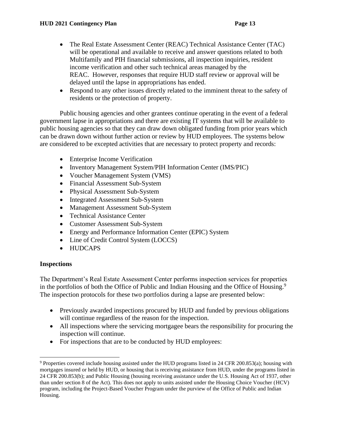- The Real Estate Assessment Center (REAC) Technical Assistance Center (TAC) will be operational and available to receive and answer questions related to both Multifamily and PIH financial submissions, all inspection inquiries, resident income verification and other such technical areas managed by the REAC. However, responses that require HUD staff review or approval will be delayed until the lapse in appropriations has ended.
- Respond to any other issues directly related to the imminent threat to the safety of residents or the protection of property.

Public housing agencies and other grantees continue operating in the event of a federal government lapse in appropriations and there are existing IT systems that will be available to public housing agencies so that they can draw down obligated funding from prior years which can be drawn down without further action or review by HUD employees. The systems below are considered to be excepted activities that are necessary to protect property and records:

- Enterprise Income Verification
- Inventory Management System/PIH Information Center (IMS/PIC)
- Voucher Management System (VMS)
- Financial Assessment Sub-System
- Physical Assessment Sub-System
- Integrated Assessment Sub-System
- Management Assessment Sub-System
- Technical Assistance Center
- Customer Assessment Sub-System
- Energy and Performance Information Center (EPIC) System
- Line of Credit Control System (LOCCS)
- HUDCAPS

### **Inspections**

The Department's Real Estate Assessment Center performs inspection services for properties in the portfolios of both the Office of Public and Indian Housing and the Office of Housing.<sup>9</sup> The inspection protocols for these two portfolios during a lapse are presented below:

- Previously awarded inspections procured by HUD and funded by previous obligations will continue regardless of the reason for the inspection.
- All inspections where the servicing mortgagee bears the responsibility for procuring the inspection will continue.
- For inspections that are to be conducted by HUD employees:

<sup>9</sup> Properties covered include housing assisted under the HUD programs listed in 24 CFR 200.853(a); housing with mortgages insured or held by HUD, or housing that is receiving assistance from HUD, under the programs listed in 24 CFR 200.853(b); and Public Housing (housing receiving assistance under the U.S. Housing Act of 1937, other than under section 8 of the Act). This does not apply to units assisted under the Housing Choice Voucher (HCV) program, including the Project-Based Voucher Program under the purview of the Office of Public and Indian Housing.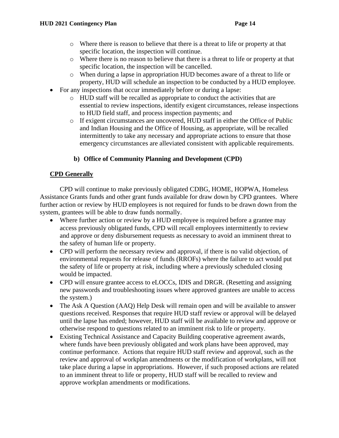- o Where there is reason to believe that there is a threat to life or property at that specific location, the inspection will continue.
- o Where there is no reason to believe that there is a threat to life or property at that specific location, the inspection will be cancelled.
- o When during a lapse in appropriation HUD becomes aware of a threat to life or property, HUD will schedule an inspection to be conducted by a HUD employee.
- For any inspections that occur immediately before or during a lapse:
	- o HUD staff will be recalled as appropriate to conduct the activities that are essential to review inspections, identify exigent circumstances, release inspections to HUD field staff, and process inspection payments; and
	- o If exigent circumstances are uncovered, HUD staff in either the Office of Public and Indian Housing and the Office of Housing, as appropriate, will be recalled intermittently to take any necessary and appropriate actions to ensure that those emergency circumstances are alleviated consistent with applicable requirements.

# **b) Office of Community Planning and Development (CPD)**

### <span id="page-13-1"></span><span id="page-13-0"></span>**CPD Generally**

CPD will continue to make previously obligated CDBG, HOME, HOPWA, Homeless Assistance Grants funds and other grant funds available for draw down by CPD grantees. Where further action or review by HUD employees is not required for funds to be drawn down from the system, grantees will be able to draw funds normally.

- Where further action or review by a HUD employee is required before a grantee may access previously obligated funds, CPD will recall employees intermittently to review and approve or deny disbursement requests as necessary to avoid an imminent threat to the safety of human life or property.
- CPD will perform the necessary review and approval, if there is no valid objection, of environmental requests for release of funds (RROFs) where the failure to act would put the safety of life or property at risk, including where a previously scheduled closing would be impacted.
- CPD will ensure grantee access to eLOCCs, IDIS and DRGR. (Resetting and assigning new passwords and troubleshooting issues where approved grantees are unable to access the system.)
- The Ask A Question (AAQ) Help Desk will remain open and will be available to answer questions received. Responses that require HUD staff review or approval will be delayed until the lapse has ended; however, HUD staff will be available to review and approve or otherwise respond to questions related to an imminent risk to life or property.
- Existing Technical Assistance and Capacity Building cooperative agreement awards, where funds have been previously obligated and work plans have been approved, may continue performance. Actions that require HUD staff review and approval, such as the review and approval of workplan amendments or the modification of workplans, will not take place during a lapse in appropriations. However, if such proposed actions are related to an imminent threat to life or property, HUD staff will be recalled to review and approve workplan amendments or modifications.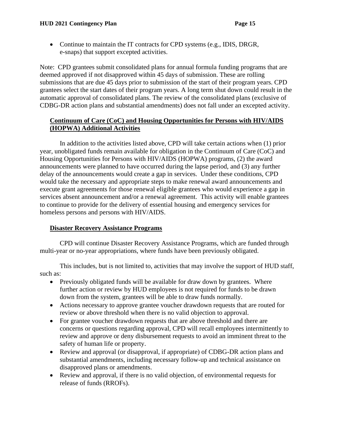• Continue to maintain the IT contracts for CPD systems (e.g., IDIS, DRGR, e-snaps) that support excepted activities.

Note: CPD grantees submit consolidated plans for annual formula funding programs that are deemed approved if not disapproved within 45 days of submission. These are rolling submissions that are due 45 days prior to submission of the start of their program years. CPD grantees select the start dates of their program years. A long term shut down could result in the automatic approval of consolidated plans. The review of the consolidated plans (exclusive of CDBG-DR action plans and substantial amendments) does not fall under an excepted activity.

### <span id="page-14-0"></span>**Continuum of Care (CoC) and Housing Opportunities for Persons with HIV/AIDS (HOPWA) Additional Activities**

In addition to the activities listed above, CPD will take certain actions when (1) prior year, unobligated funds remain available for obligation in the Continuum of Care (CoC) and Housing Opportunities for Persons with HIV/AIDS (HOPWA) programs, (2) the award announcements were planned to have occurred during the lapse period, and (3) any further delay of the announcements would create a gap in services. Under these conditions, CPD would take the necessary and appropriate steps to make renewal award announcements and execute grant agreements for those renewal eligible grantees who would experience a gap in services absent announcement and/or a renewal agreement. This activity will enable grantees to continue to provide for the delivery of essential housing and emergency services for homeless persons and persons with HIV/AIDS.

### <span id="page-14-1"></span>**Disaster Recovery Assistance Programs**

CPD will continue Disaster Recovery Assistance Programs, which are funded through multi-year or no-year appropriations, where funds have been previously obligated.

This includes, but is not limited to, activities that may involve the support of HUD staff, such as:

- Previously obligated funds will be available for draw down by grantees. Where further action or review by HUD employees is not required for funds to be drawn down from the system, grantees will be able to draw funds normally.
- Actions necessary to approve grantee voucher drawdown requests that are routed for review or above threshold when there is no valid objection to approval.
- For grantee voucher drawdown requests that are above threshold and there are concerns or questions regarding approval, CPD will recall employees intermittently to review and approve or deny disbursement requests to avoid an imminent threat to the safety of human life or property.
- Review and approval (or disapproval, if appropriate) of CDBG-DR action plans and substantial amendments, including necessary follow-up and technical assistance on disapproved plans or amendments.
- Review and approval, if there is no valid objection, of environmental requests for release of funds (RROFs).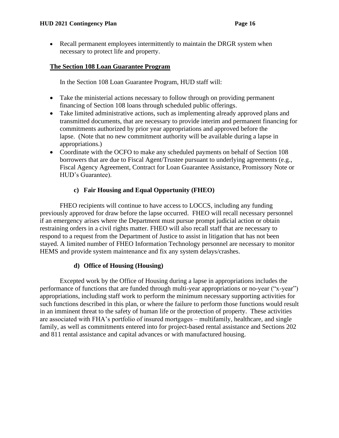• Recall permanent employees intermittently to maintain the DRGR system when necessary to protect life and property.

## <span id="page-15-0"></span>**The Section 108 Loan Guarantee Program**

In the Section 108 Loan Guarantee Program, HUD staff will:

- Take the ministerial actions necessary to follow through on providing permanent financing of Section 108 loans through scheduled public offerings.
- Take limited administrative actions, such as implementing already approved plans and transmitted documents, that are necessary to provide interim and permanent financing for commitments authorized by prior year appropriations and approved before the lapse. (Note that no new commitment authority will be available during a lapse in appropriations.)
- Coordinate with the OCFO to make any scheduled payments on behalf of Section 108 borrowers that are due to Fiscal Agent/Trustee pursuant to underlying agreements (e.g., Fiscal Agency Agreement, Contract for Loan Guarantee Assistance, Promissory Note or HUD's Guarantee).

# **c) Fair Housing and Equal Opportunity (FHEO)**

<span id="page-15-1"></span>FHEO recipients will continue to have access to LOCCS, including any funding previously approved for draw before the lapse occurred. FHEO will recall necessary personnel if an emergency arises where the Department must pursue prompt judicial action or obtain restraining orders in a civil rights matter. FHEO will also recall staff that are necessary to respond to a request from the Department of Justice to assist in litigation that has not been stayed. A limited number of FHEO Information Technology personnel are necessary to monitor HEMS and provide system maintenance and fix any system delays/crashes.

### **d) Office of Housing (Housing)**

<span id="page-15-2"></span>Excepted work by the Office of Housing during a lapse in appropriations includes the performance of functions that are funded through multi-year appropriations or no-year ("x-year") appropriations, including staff work to perform the minimum necessary supporting activities for such functions described in this plan, or where the failure to perform those functions would result in an imminent threat to the safety of human life or the protection of property. These activities are associated with FHA's portfolio of insured mortgages – multifamily, healthcare, and single family, as well as commitments entered into for project-based rental assistance and Sections 202 and 811 rental assistance and capital advances or with manufactured housing.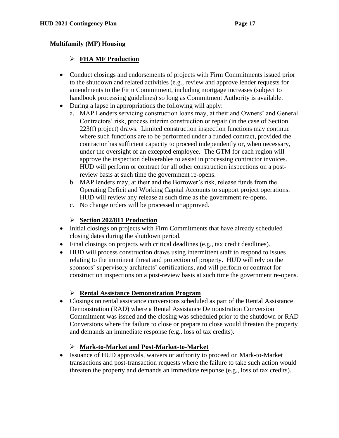# <span id="page-16-0"></span>**Multifamily (MF) Housing**

# ➢ **FHA MF Production**

- Conduct closings and endorsements of projects with Firm Commitments issued prior to the shutdown and related activities (e.g., review and approve lender requests for amendments to the Firm Commitment, including mortgage increases (subject to handbook processing guidelines) so long as Commitment Authority is available.
- During a lapse in appropriations the following will apply:
	- a. MAP Lenders servicing construction loans may, at their and Owners' and General Contractors' risk, process interim construction or repair (in the case of Section 223(f) project) draws. Limited construction inspection functions may continue where such functions are to be performed under a funded contract, provided the contractor has sufficient capacity to proceed independently or, when necessary, under the oversight of an excepted employee. The GTM for each region will approve the inspection deliverables to assist in processing contractor invoices. HUD will perform or contract for all other construction inspections on a postreview basis at such time the government re-opens.
	- b. MAP lenders may, at their and the Borrower's risk, release funds from the Operating Deficit and Working Capital Accounts to support project operations. HUD will review any release at such time as the government re-opens.
	- c. No change orders will be processed or approved.

# ➢ **Section 202/811 Production**

- Initial closings on projects with Firm Commitments that have already scheduled closing dates during the shutdown period.
- Final closings on projects with critical deadlines (e.g., tax credit deadlines).
- HUD will process construction draws using intermittent staff to respond to issues relating to the imminent threat and protection of property. HUD will rely on the sponsors' supervisory architects' certifications, and will perform or contract for construction inspections on a post-review basis at such time the government re-opens.

# ➢ **Rental Assistance Demonstration Program**

• Closings on rental assistance conversions scheduled as part of the Rental Assistance Demonstration (RAD) where a Rental Assistance Demonstration Conversion Commitment was issued and the closing was scheduled prior to the shutdown or RAD Conversions where the failure to close or prepare to close would threaten the property and demands an immediate response (e.g.. loss of tax credits).

# ➢ **Mark-to-Market and Post-Market-to-Market**

• Issuance of HUD approvals, waivers or authority to proceed on Mark-to-Market transactions and post-transaction requests where the failure to take such action would threaten the property and demands an immediate response (e.g., loss of tax credits).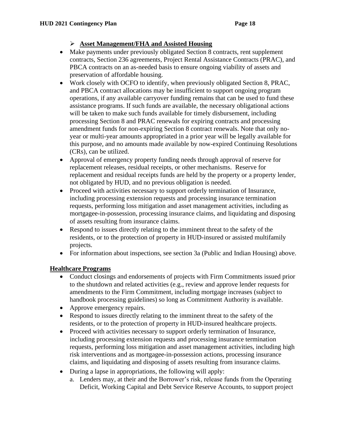# ➢ **Asset Management/FHA and Assisted Housing**

- Make payments under previously obligated Section 8 contracts, rent supplement contracts, Section 236 agreements, Project Rental Assistance Contracts (PRAC), and PBCA contracts on an as-needed basis to ensure ongoing viability of assets and preservation of affordable housing.
- Work closely with OCFO to identify, when previously obligated Section 8, PRAC, and PBCA contract allocations may be insufficient to support ongoing program operations, if any available carryover funding remains that can be used to fund these assistance programs. If such funds are available, the necessary obligational actions will be taken to make such funds available for timely disbursement, including processing Section 8 and PRAC renewals for expiring contracts and processing amendment funds for non-expiring Section 8 contract renewals. Note that only noyear or multi-year amounts appropriated in a prior year will be legally available for this purpose, and no amounts made available by now-expired Continuing Resolutions (CRs), can be utilized.
- Approval of emergency property funding needs through approval of reserve for replacement releases, residual receipts, or other mechanisms. Reserve for replacement and residual receipts funds are held by the property or a property lender, not obligated by HUD, and no previous obligation is needed.
- Proceed with activities necessary to support orderly termination of Insurance, including processing extension requests and processing insurance termination requests, performing loss mitigation and asset management activities, including as mortgagee-in-possession, processing insurance claims, and liquidating and disposing of assets resulting from insurance claims.
- Respond to issues directly relating to the imminent threat to the safety of the residents, or to the protection of property in HUD-insured or assisted multifamily projects.
- For information about inspections, see section 3a (Public and Indian Housing) above.

### <span id="page-17-0"></span>**Healthcare Programs**

- Conduct closings and endorsements of projects with Firm Commitments issued prior to the shutdown and related activities (e.g., review and approve lender requests for amendments to the Firm Commitment, including mortgage increases (subject to handbook processing guidelines) so long as Commitment Authority is available.
- Approve emergency repairs.
- Respond to issues directly relating to the imminent threat to the safety of the residents, or to the protection of property in HUD-insured healthcare projects.
- Proceed with activities necessary to support orderly termination of Insurance, including processing extension requests and processing insurance termination requests, performing loss mitigation and asset management activities, including high risk interventions and as mortgagee-in-possession actions, processing insurance claims, and liquidating and disposing of assets resulting from insurance claims.
- During a lapse in appropriations, the following will apply:
	- a. Lenders may, at their and the Borrower's risk, release funds from the Operating Deficit, Working Capital and Debt Service Reserve Accounts, to support project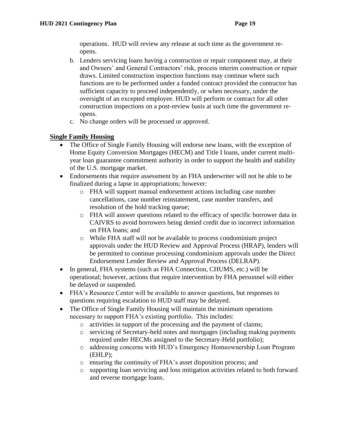operations. HUD will review any release at such time as the government reopens.

- b. Lenders servicing loans having a construction or repair component may, at their and Owners' and General Contractors' risk, process interim construction or repair draws. Limited construction inspection functions may continue where such functions are to be performed under a funded contract provided the contractor has sufficient capacity to proceed independently, or when necessary, under the oversight of an excepted employee. HUD will perform or contract for all other construction inspections on a post-review basis at such time the government reopens.
- c. No change orders will be processed or approved.

### <span id="page-18-0"></span>**Single Family Housing**

- The Office of Single Family Housing will endorse new loans, with the exception of Home Equity Conversion Mortgages (HECM) and Title I loans, under current multiyear loan guarantee commitment authority in order to support the health and stability of the U.S. mortgage market.
- Endorsements that require assessment by an FHA underwriter will not be able to be finalized during a lapse in appropriations; however:
	- o FHA will support manual endorsement actions including case number cancellations, case number reinstatement, case number transfers, and resolution of the hold tracking queue;
	- o FHA will answer questions related to the efficacy of specific borrower data in CAIVRS to avoid borrowers being denied credit due to incorrect information on FHA loans; and
	- o While FHA staff will not be available to process condominium project approvals under the HUD Review and Approval Process (HRAP), lenders will be permitted to continue processing condominium approvals under the Direct Endorsement Lender Review and Approval Process (DELRAP).
- In general, FHA systems (such as FHA Connection, CHUMS, etc.) will be operational; however, actions that require intervention by FHA personnel will either be delayed or suspended.
- FHA's Resource Center will be available to answer questions, but responses to questions requiring escalation to HUD staff may be delayed.
- The Office of Single Family Housing will maintain the minimum operations necessary to support FHA's existing portfolio. This includes:
	- o activities in support of the processing and the payment of claims;
	- o servicing of Secretary-held notes and mortgages (including making payments required under HECMs assigned to the Secretary-Held portfolio);
	- o addressing concerns with HUD's Emergency Homeownership Loan Program (EHLP);
	- o ensuring the continuity of FHA's asset disposition process; and
	- o supporting loan servicing and loss mitigation activities related to both forward and reverse mortgage loans.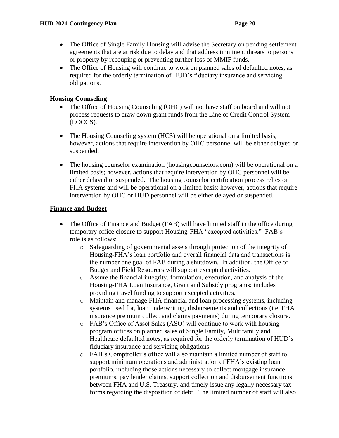- The Office of Single Family Housing will advise the Secretary on pending settlement agreements that are at risk due to delay and that address imminent threats to persons or property by recouping or preventing further loss of MMIF funds.
- The Office of Housing will continue to work on planned sales of defaulted notes, as required for the orderly termination of HUD's fiduciary insurance and servicing obligations.

## <span id="page-19-0"></span>**Housing Counseling**

- The Office of Housing Counseling (OHC) will not have staff on board and will not process requests to draw down grant funds from the Line of Credit Control System (LOCCS).
- The Housing Counseling system (HCS) will be operational on a limited basis; however, actions that require intervention by OHC personnel will be either delayed or suspended.
- The housing counselor examination (housing counselors.com) will be operational on a limited basis; however, actions that require intervention by OHC personnel will be either delayed or suspended. The housing counselor certification process relies on FHA systems and will be operational on a limited basis; however, actions that require intervention by OHC or HUD personnel will be either delayed or suspended.

### <span id="page-19-1"></span>**Finance and Budget**

- The Office of Finance and Budget (FAB) will have limited staff in the office during temporary office closure to support Housing-FHA "excepted activities." FAB's role is as follows:
	- o Safeguarding of governmental assets through protection of the integrity of Housing-FHA's loan portfolio and overall financial data and transactions is the number one goal of FAB during a shutdown. In addition, the Office of Budget and Field Resources will support excepted activities.
	- o Assure the financial integrity, formulation, execution, and analysis of the Housing-FHA Loan Insurance, Grant and Subsidy programs; includes providing travel funding to support excepted activities.
	- o Maintain and manage FHA financial and loan processing systems, including systems used for, loan underwriting, disbursements and collections (i.e. FHA insurance premium collect and claims payments) during temporary closure.
	- o FAB's Office of Asset Sales (ASO) will continue to work with housing program offices on planned sales of Single Family, Multifamily and Healthcare defaulted notes, as required for the orderly termination of HUD's fiduciary insurance and servicing obligations.
	- o FAB's Comptroller's office will also maintain a limited number of staff to support minimum operations and administration of FHA's existing loan portfolio, including those actions necessary to collect mortgage insurance premiums, pay lender claims, support collection and disbursement functions between FHA and U.S. Treasury, and timely issue any legally necessary tax forms regarding the disposition of debt. The limited number of staff will also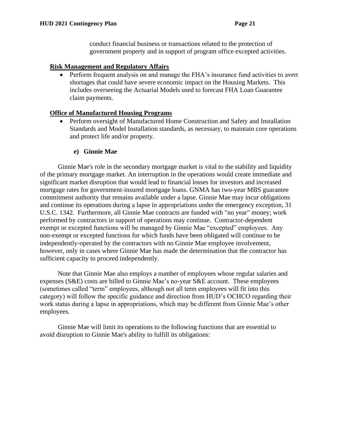conduct financial business or transactions related to the protection of government property and in support of program office excepted activities.

#### <span id="page-20-0"></span>**Risk Management and Regulatory Affairs**

• Perform frequent analysis on and manage the FHA's insurance fund activities to avert shortages that could have severe economic impact on the Housing Markets. This includes overseeing the Actuarial Models used to forecast FHA Loan Guarantee claim payments.

#### <span id="page-20-1"></span>**Office of Manufactured Housing Programs**

• Perform oversight of Manufactured Home Construction and Safety and Installation Standards and Model Installation standards, as necessary, to maintain core operations and protect life and/or property.

#### **e) Ginnie Mae**

<span id="page-20-2"></span>Ginnie Mae's role in the secondary mortgage market is vital to the stability and liquidity of the primary mortgage market. An interruption in the operations would create immediate and significant market disruption that would lead to financial losses for investors and increased mortgage rates for government-insured mortgage loans. GNMA has two-year MBS guarantee commitment authority that remains available under a lapse. Ginnie Mae may incur obligations and continue its operations during a lapse in appropriations under the emergency exception, 31 U.S.C. 1342. Furthermore, all Ginnie Mae contracts are funded with "no year" money; work performed by contractors in support of operations may continue. Contractor-dependent exempt or excepted functions will be managed by Ginnie Mae "excepted" employees. Any non-exempt or excepted functions for which funds have been obligated will continue to be independently-operated by the contractors with no Ginnie Mae employee involvement, however, only in cases where Ginnie Mae has made the determination that the contractor has sufficient capacity to proceed independently.

Note that Ginnie Mae also employs a number of employees whose regular salaries and expenses (S&E) costs are billed to Ginnie Mae's no-year S&E account. These employees (sometimes called "term" employees, although not all term employees will fit into this category) will follow the specific guidance and direction from HUD's OCHCO regarding their work status during a lapse in appropriations, which may be different from Ginnie Mae's other employees.

Ginnie Mae will limit its operations to the following functions that are essential to avoid disruption to Ginnie Mae's ability to fulfill its obligations: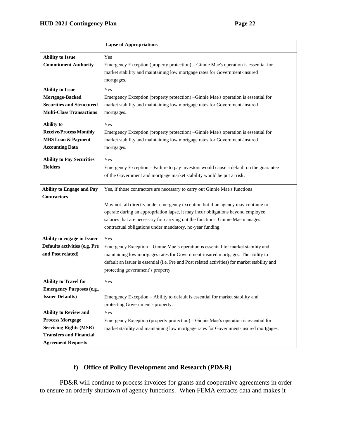|                                                                                                                                                         | <b>Lapse of Appropriations</b>                                                                                                                                                                                                                                                                                                                                                                    |
|---------------------------------------------------------------------------------------------------------------------------------------------------------|---------------------------------------------------------------------------------------------------------------------------------------------------------------------------------------------------------------------------------------------------------------------------------------------------------------------------------------------------------------------------------------------------|
| <b>Ability to Issue</b><br><b>Commitment Authority</b>                                                                                                  | Yes<br>Emergency Exception (property protection) – Ginnie Mae's operation is essential for<br>market stability and maintaining low mortgage rates for Government-insured<br>mortgages.                                                                                                                                                                                                            |
| <b>Ability to Issue</b><br>Mortgage-Backed<br><b>Securities and Structured</b><br><b>Multi-Class Transactions</b>                                       | Yes<br>Emergency Exception (property protection) – Ginnie Mae's operation is essential for<br>market stability and maintaining low mortgage rates for Government-insured<br>mortgages.                                                                                                                                                                                                            |
| <b>Ability to</b><br><b>Receive/Process Monthly</b><br><b>MBS Loan &amp; Payment</b><br><b>Accounting Data</b>                                          | Yes<br>Emergency Exception (property protection) - Ginnie Mae's operation is essential for<br>market stability and maintaining low mortgage rates for Government-insured<br>mortgages.                                                                                                                                                                                                            |
| <b>Ability to Pay Securities</b><br><b>Holders</b>                                                                                                      | Yes<br>Emergency Exception – Failure to pay investors would cause a default on the guarantee<br>of the Government and mortgage market stability would be put at risk.                                                                                                                                                                                                                             |
| <b>Ability to Engage and Pay</b><br><b>Contractors</b>                                                                                                  | Yes, if those contractors are necessary to carry out Ginnie Mae's functions<br>May not fall directly under emergency exception but if an agency may continue to<br>operate during an appropriation lapse, it may incur obligations beyond employee<br>salaries that are necessary for carrying out the functions. Ginnie Mae manages<br>contractual obligations under mandatory, no-year funding. |
| Ability to engage in Issuer<br>Defaults activities (e.g. Pre<br>and Post related)                                                                       | Yes<br>Emergency Exception - Ginnie Mae's operation is essential for market stability and<br>maintaining low mortgages rates for Government-insured mortgages. The ability to<br>default an issuer is essential (i.e. Pre and Post related activities) for market stability and<br>protecting government's property.                                                                              |
| <b>Ability to Travel for</b><br><b>Emergency Purposes (e.g.,</b><br><b>Issuer Defaults)</b>                                                             | Yes<br>Emergency Exception - Ability to default is essential for market stability and<br>protecting Government's property.                                                                                                                                                                                                                                                                        |
| <b>Ability to Review and</b><br><b>Process Mortgage</b><br><b>Servicing Rights (MSR)</b><br><b>Transfers and Financial</b><br><b>Agreement Requests</b> | Yes<br>Emergency Exception (property protection) – Ginnie Mae's operation is essential for<br>market stability and maintaining low mortgage rates for Government-insured mortgages.                                                                                                                                                                                                               |

# **f) Office of Policy Development and Research (PD&R)**

<span id="page-21-0"></span>PD&R will continue to process invoices for grants and cooperative agreements in order to ensure an orderly shutdown of agency functions. When FEMA extracts data and makes it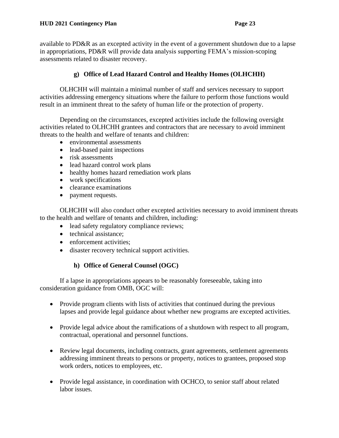available to PD&R as an excepted activity in the event of a government shutdown due to a lapse in appropriations, PD&R will provide data analysis supporting FEMA's mission-scoping assessments related to disaster recovery.

## **g) Office of Lead Hazard Control and Healthy Homes (OLHCHH)**

<span id="page-22-0"></span>OLHCHH will maintain a minimal number of staff and services necessary to support activities addressing emergency situations where the failure to perform those functions would result in an imminent threat to the safety of human life or the protection of property.

Depending on the circumstances, excepted activities include the following oversight activities related to OLHCHH grantees and contractors that are necessary to avoid imminent threats to the health and welfare of tenants and children:

- environmental assessments
- lead-based paint inspections
- risk assessments
- lead hazard control work plans
- healthy homes hazard remediation work plans
- work specifications
- clearance examinations
- payment requests.

OLHCHH will also conduct other excepted activities necessary to avoid imminent threats to the health and welfare of tenants and children, including:

- lead safety regulatory compliance reviews;
- technical assistance:
- enforcement activities:
- disaster recovery technical support activities.

### **h) Office of General Counsel (OGC)**

<span id="page-22-1"></span>If a lapse in appropriations appears to be reasonably foreseeable, taking into consideration guidance from OMB, OGC will:

- Provide program clients with lists of activities that continued during the previous lapses and provide legal guidance about whether new programs are excepted activities.
- Provide legal advice about the ramifications of a shutdown with respect to all program, contractual, operational and personnel functions.
- Review legal documents, including contracts, grant agreements, settlement agreements addressing imminent threats to persons or property, notices to grantees, proposed stop work orders, notices to employees, etc.
- Provide legal assistance, in coordination with OCHCO, to senior staff about related labor issues.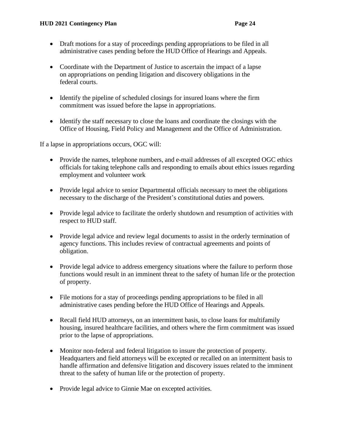- Draft motions for a stay of proceedings pending appropriations to be filed in all administrative cases pending before the HUD Office of Hearings and Appeals.
- Coordinate with the Department of Justice to ascertain the impact of a lapse on appropriations on pending litigation and discovery obligations in the federal courts.
- Identify the pipeline of scheduled closings for insured loans where the firm commitment was issued before the lapse in appropriations.
- Identify the staff necessary to close the loans and coordinate the closings with the Office of Housing, Field Policy and Management and the Office of Administration.

If a lapse in appropriations occurs, OGC will:

- Provide the names, telephone numbers, and e-mail addresses of all excepted OGC ethics officials for taking telephone calls and responding to emails about ethics issues regarding employment and volunteer work
- Provide legal advice to senior Departmental officials necessary to meet the obligations necessary to the discharge of the President's constitutional duties and powers.
- Provide legal advice to facilitate the orderly shutdown and resumption of activities with respect to HUD staff.
- Provide legal advice and review legal documents to assist in the orderly termination of agency functions. This includes review of contractual agreements and points of obligation.
- Provide legal advice to address emergency situations where the failure to perform those functions would result in an imminent threat to the safety of human life or the protection of property.
- File motions for a stay of proceedings pending appropriations to be filed in all administrative cases pending before the HUD Office of Hearings and Appeals.
- Recall field HUD attorneys, on an intermittent basis, to close loans for multifamily housing, insured healthcare facilities, and others where the firm commitment was issued prior to the lapse of appropriations.
- Monitor non-federal and federal litigation to insure the protection of property. Headquarters and field attorneys will be excepted or recalled on an intermittent basis to handle affirmation and defensive litigation and discovery issues related to the imminent threat to the safety of human life or the protection of property.
- Provide legal advice to Ginnie Mae on excepted activities.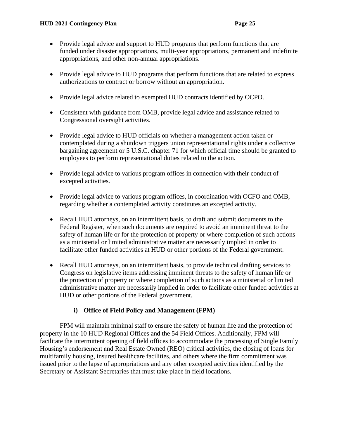- Provide legal advice and support to HUD programs that perform functions that are funded under disaster appropriations, multi-year appropriations, permanent and indefinite appropriations, and other non-annual appropriations.
- Provide legal advice to HUD programs that perform functions that are related to express authorizations to contract or borrow without an appropriation.
- Provide legal advice related to exempted HUD contracts identified by OCPO.
- Consistent with guidance from OMB, provide legal advice and assistance related to Congressional oversight activities.
- Provide legal advice to HUD officials on whether a management action taken or contemplated during a shutdown triggers union representational rights under a collective bargaining agreement or 5 U.S.C. chapter 71 for which official time should be granted to employees to perform representational duties related to the action.
- Provide legal advice to various program offices in connection with their conduct of excepted activities.
- Provide legal advice to various program offices, in coordination with OCFO and OMB, regarding whether a contemplated activity constitutes an excepted activity.
- Recall HUD attorneys, on an intermittent basis, to draft and submit documents to the Federal Register, when such documents are required to avoid an imminent threat to the safety of human life or for the protection of property or where completion of such actions as a ministerial or limited administrative matter are necessarily implied in order to facilitate other funded activities at HUD or other portions of the Federal government.
- Recall HUD attorneys, on an intermittent basis, to provide technical drafting services to Congress on legislative items addressing imminent threats to the safety of human life or the protection of property or where completion of such actions as a ministerial or limited administrative matter are necessarily implied in order to facilitate other funded activities at HUD or other portions of the Federal government.

# **i) Office of Field Policy and Management (FPM)**

<span id="page-24-0"></span>FPM will maintain minimal staff to ensure the safety of human life and the protection of property in the 10 HUD Regional Offices and the 54 Field Offices. Additionally, FPM will facilitate the intermittent opening of field offices to accommodate the processing of Single Family Housing's endorsement and Real Estate Owned (REO) critical activities, the closing of loans for multifamily housing, insured healthcare facilities, and others where the firm commitment was issued prior to the lapse of appropriations and any other excepted activities identified by the Secretary or Assistant Secretaries that must take place in field locations.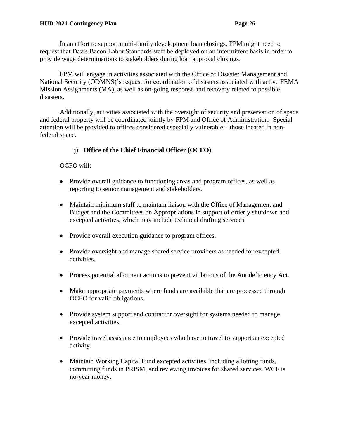In an effort to support multi-family development loan closings, FPM might need to request that Davis Bacon Labor Standards staff be deployed on an intermittent basis in order to provide wage determinations to stakeholders during loan approval closings.

FPM will engage in activities associated with the Office of Disaster Management and National Security (ODMNS)'s request for coordination of disasters associated with active FEMA Mission Assignments (MA), as well as on-going response and recovery related to possible disasters.

Additionally, activities associated with the oversight of security and preservation of space and federal property will be coordinated jointly by FPM and Office of Administration. Special attention will be provided to offices considered especially vulnerable – those located in nonfederal space.

# **j) Office of the Chief Financial Officer (OCFO)**

# <span id="page-25-0"></span>OCFO will:

- Provide overall guidance to functioning areas and program offices, as well as reporting to senior management and stakeholders.
- Maintain minimum staff to maintain liaison with the Office of Management and Budget and the Committees on Appropriations in support of orderly shutdown and excepted activities, which may include technical drafting services.
- Provide overall execution guidance to program offices.
- Provide oversight and manage shared service providers as needed for excepted activities.
- Process potential allotment actions to prevent violations of the Antideficiency Act.
- Make appropriate payments where funds are available that are processed through OCFO for valid obligations.
- Provide system support and contractor oversight for systems needed to manage excepted activities.
- Provide travel assistance to employees who have to travel to support an excepted activity.
- Maintain Working Capital Fund excepted activities, including allotting funds, committing funds in PRISM, and reviewing invoices for shared services. WCF is no-year money.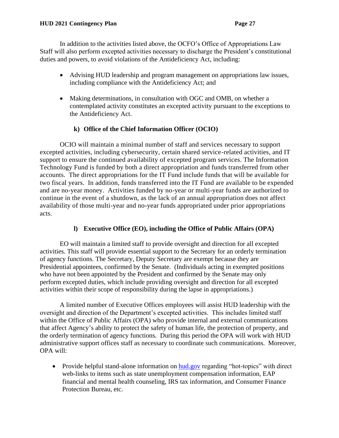In addition to the activities listed above, the OCFO's Office of Appropriations Law Staff will also perform excepted activities necessary to discharge the President's constitutional duties and powers, to avoid violations of the Antideficiency Act, including:

- Advising HUD leadership and program management on appropriations law issues, including compliance with the Antideficiency Act; and
- Making determinations, in consultation with OGC and OMB, on whether a contemplated activity constitutes an excepted activity pursuant to the exceptions to the Antideficiency Act.

# **k) Office of the Chief Information Officer (OCIO)**

<span id="page-26-0"></span>OCIO will maintain a minimal number of staff and services necessary to support excepted activities, including cybersecurity, certain shared service-related activities, and IT support to ensure the continued availability of excepted program services. The Information Technology Fund is funded by both a direct appropriation and funds transferred from other accounts. The direct appropriations for the IT Fund include funds that will be available for two fiscal years. In addition, funds transferred into the IT Fund are available to be expended and are no-year money. Activities funded by no-year or multi-year funds are authorized to continue in the event of a shutdown, as the lack of an annual appropriation does not affect availability of those multi-year and no-year funds appropriated under prior appropriations acts.

# **l) Executive Office (EO), including the Office of Public Affairs (OPA)**

<span id="page-26-1"></span>EO will maintain a limited staff to provide oversight and direction for all excepted activities. This staff will provide essential support to the Secretary for an orderly termination of agency functions. The Secretary, Deputy Secretary are exempt because they are Presidential appointees, confirmed by the Senate. (Individuals acting in exempted positions who have not been appointed by the President and confirmed by the Senate may only perform excepted duties, which include providing oversight and direction for all excepted activities within their scope of responsibility during the lapse in appropriations.)

A limited number of Executive Offices employees will assist HUD leadership with the oversight and direction of the Department's excepted activities. This includes limited staff within the Office of Public Affairs (OPA) who provide internal and external communications that affect Agency's ability to protect the safety of human life, the protection of property, and the orderly termination of agency functions*.* During this period the OPA will work with HUD administrative support offices staff as necessary to coordinate such communications. Moreover, OPA will:

• Provide helpful stand-alone information on [hud.gov](http://www.hud.gov/) regarding "hot-topics" with direct web-links to items such as state unemployment compensation information, EAP financial and mental health counseling, IRS tax information, and Consumer Finance Protection Bureau, etc.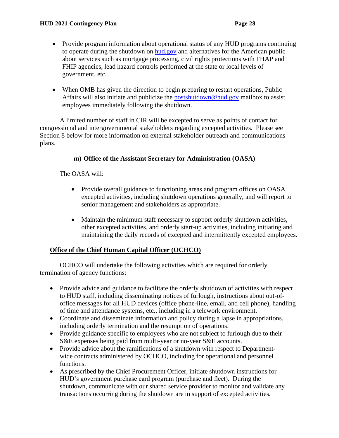- Provide program information about operational status of any HUD programs continuing to operate during the shutdown on [hud.gov](http://www.hud.gov/) and alternatives for the American public about services such as mortgage processing, civil rights protections with FHAP and FHIP agencies, lead hazard controls performed at the state or local levels of government, etc.
- When OMB has given the direction to begin preparing to restart operations, Public Affairs will also initiate and publicize the [postshutdown@hud.gov](mailto:postshutdown@hud.gov) mailbox to assist employees immediately following the shutdown.

A limited number of staff in CIR will be excepted to serve as points of contact for congressional and intergovernmental stakeholders regarding excepted activities. Please see Section 8 below for more information on external stakeholder outreach and communications plans.

### **m) Office of the Assistant Secretary for Administration (OASA)**

<span id="page-27-0"></span>The OASA will:

- Provide overall guidance to functioning areas and program offices on OASA excepted activities, including shutdown operations generally, and will report to senior management and stakeholders as appropriate.
- Maintain the minimum staff necessary to support orderly shutdown activities, other excepted activities, and orderly start-up activities, including initiating and maintaining the daily records of excepted and intermittently excepted employees.

# <span id="page-27-1"></span>**Office of the Chief Human Capital Officer (OCHCO)**

OCHCO will undertake the following activities which are required for orderly termination of agency functions:

- Provide advice and guidance to facilitate the orderly shutdown of activities with respect to HUD staff, including disseminating notices of furlough, instructions about out-ofoffice messages for all HUD devices (office phone-line, email, and cell phone), handling of time and attendance systems, etc., including in a telework environment.
- Coordinate and disseminate information and policy during a lapse in appropriations, including orderly termination and the resumption of operations.
- Provide guidance specific to employees who are not subject to furlough due to their S&E expenses being paid from multi-year or no-year S&E accounts.
- Provide advice about the ramifications of a shutdown with respect to Departmentwide contracts administered by OCHCO, including for operational and personnel functions.
- As prescribed by the Chief Procurement Officer, initiate shutdown instructions for HUD's government purchase card program (purchase and fleet). During the shutdown, communicate with our shared service provider to monitor and validate any transactions occurring during the shutdown are in support of excepted activities.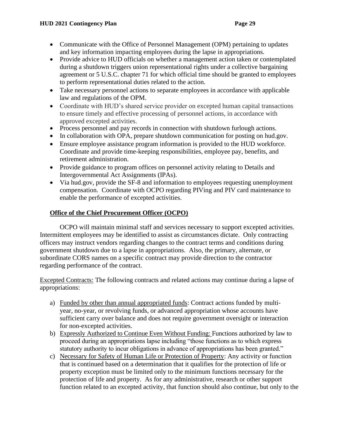- Communicate with the Office of Personnel Management (OPM) pertaining to updates and key information impacting employees during the lapse in appropriations.
- Provide advice to HUD officials on whether a management action taken or contemplated during a shutdown triggers union representational rights under a collective bargaining agreement or 5 U.S.C. chapter 71 for which official time should be granted to employees to perform representational duties related to the action.
- Take necessary personnel actions to separate employees in accordance with applicable law and regulations of the OPM.
- Coordinate with HUD's shared service provider on excepted human capital transactions to ensure timely and effective processing of personnel actions, in accordance with approved excepted activities.
- Process personnel and pay records in connection with shutdown furlough actions.
- In collaboration with OPA, prepare shutdown communication for posting on hud.gov.
- Ensure employee assistance program information is provided to the HUD workforce. Coordinate and provide time-keeping responsibilities, employee pay, benefits, and retirement administration.
- Provide guidance to program offices on personnel activity relating to Details and Intergovernmental Act Assignments (IPAs).
- Via hud.gov, provide the SF-8 and information to employees requesting unemployment compensation. Coordinate with OCPO regarding PIVing and PIV card maintenance to enable the performance of excepted activities.

# <span id="page-28-0"></span>**Office of the Chief Procurement Officer (OCPO)**

OCPO will maintain minimal staff and services necessary to support excepted activities. Intermittent employees may be identified to assist as circumstances dictate. Only contracting officers may instruct vendors regarding changes to the contract terms and conditions during government shutdown due to a lapse in appropriations. Also, the primary, alternate, or subordinate CORS names on a specific contract may provide direction to the contractor regarding performance of the contract.

Excepted Contracts: The following contracts and related actions may continue during a lapse of appropriations:

- a) Funded by other than annual appropriated funds: Contract actions funded by multiyear, no-year, or revolving funds, or advanced appropriation whose accounts have sufficient carry over balance and does not require government oversight or interaction for non-excepted activities.
- b) Expressly Authorized to Continue Even Without Funding: Functions authorized by law to proceed during an appropriations lapse including "those functions as to which express statutory authority to incur obligations in advance of appropriations has been granted."
- c) Necessary for Safety of Human Life or Protection of Property: Any activity or function that is continued based on a determination that it qualifies for the protection of life or property exception must be limited only to the minimum functions necessary for the protection of life and property. As for any administrative, research or other support function related to an excepted activity, that function should also continue, but only to the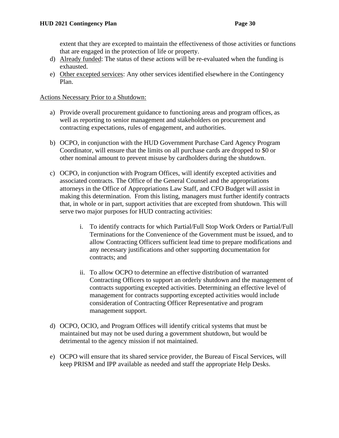extent that they are excepted to maintain the effectiveness of those activities or functions that are engaged in the protection of life or property.

- d) Already funded: The status of these actions will be re-evaluated when the funding is exhausted.
- e) Other excepted services: Any other services identified elsewhere in the Contingency Plan.

Actions Necessary Prior to a Shutdown:

- a) Provide overall procurement guidance to functioning areas and program offices, as well as reporting to senior management and stakeholders on procurement and contracting expectations, rules of engagement, and authorities.
- b) OCPO, in conjunction with the HUD Government Purchase Card Agency Program Coordinator, will ensure that the limits on all purchase cards are dropped to \$0 or other nominal amount to prevent misuse by cardholders during the shutdown.
- c) OCPO, in conjunction with Program Offices, will identify excepted activities and associated contracts. The Office of the General Counsel and the appropriations attorneys in the Office of Appropriations Law Staff, and CFO Budget will assist in making this determination. From this listing, managers must further identify contracts that, in whole or in part, support activities that are excepted from shutdown. This will serve two major purposes for HUD contracting activities:
	- i. To identify contracts for which Partial/Full Stop Work Orders or Partial/Full Terminations for the Convenience of the Government must be issued, and to allow Contracting Officers sufficient lead time to prepare modifications and any necessary justifications and other supporting documentation for contracts; and
	- ii. To allow OCPO to determine an effective distribution of warranted Contracting Officers to support an orderly shutdown and the management of contracts supporting excepted activities. Determining an effective level of management for contracts supporting excepted activities would include consideration of Contracting Officer Representative and program management support.
- d) OCPO, OCIO, and Program Offices will identify critical systems that must be maintained but may not be used during a government shutdown, but would be detrimental to the agency mission if not maintained.
- e) OCPO will ensure that its shared service provider, the Bureau of Fiscal Services, will keep PRISM and IPP available as needed and staff the appropriate Help Desks.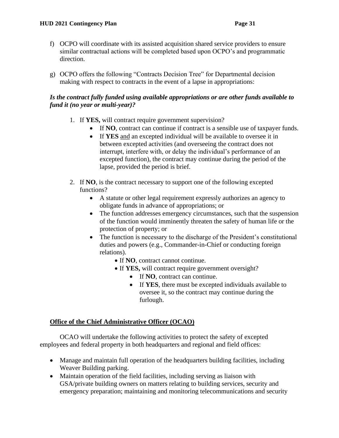g) OCPO offers the following "Contracts Decision Tree" for Departmental decision making with respect to contracts in the event of a lapse in appropriations:

### *Is the contract fully funded using available appropriations or are other funds available to fund it (no year or multi-year)?*

- 1. If **YES,** will contract require government supervision?
	- If **NO**, contract can continue if contract is a sensible use of taxpayer funds.
	- If **YES** and an excepted individual will be available to oversee it in between excepted activities (and overseeing the contract does not interrupt, interfere with, or delay the individual's performance of an excepted function), the contract may continue during the period of the lapse, provided the period is brief.
- 2. If **NO**, is the contract necessary to support one of the following excepted functions?
	- A statute or other legal requirement expressly authorizes an agency to obligate funds in advance of appropriations; or
	- The function addresses emergency circumstances, such that the suspension of the function would imminently threaten the safety of human life or the protection of property; or
	- The function is necessary to the discharge of the President's constitutional duties and powers (e.g., Commander-in-Chief or conducting foreign relations).
		- If **NO**, contract cannot continue.
		- If **YES**, will contract require government oversight?
			- If **NO**, contract can continue.
			- If **YES**, there must be excepted individuals available to oversee it, so the contract may continue during the furlough.

# <span id="page-30-0"></span>**Office of the Chief Administrative Officer (OCAO)**

OCAO will undertake the following activities to protect the safety of excepted employees and federal property in both headquarters and regional and field offices:

- Manage and maintain full operation of the headquarters building facilities, including Weaver Building parking.
- Maintain operation of the field facilities, including serving as liaison with GSA/private building owners on matters relating to building services, security and emergency preparation; maintaining and monitoring telecommunications and security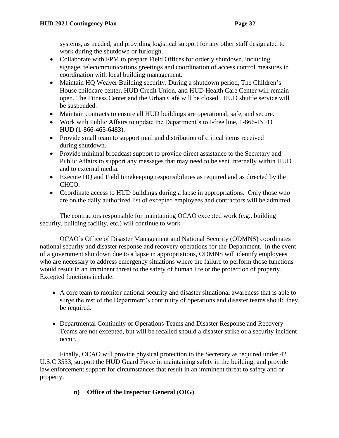systems, as needed; and providing logistical support for any other staff designated to work during the shutdown or furlough.

- Collaborate with FPM to prepare Field Offices for orderly shutdown, including signage, telecommunications greetings and coordination of access control measures in coordination with local building management.
- Maintain HQ Weaver Building security. During a shutdown period, The Children's House childcare center, HUD Credit Union, and HUD Health Care Center will remain open. The Fitness Center and the Urban Café will be closed. HUD shuttle service will be suspended.
- Maintain contracts to ensure all HUD buildings are operational, safe, and secure.
- Work with Public Affairs to update the Department's toll-free line, 1-866-INFO HUD (1-866-463-6483).
- Provide small team to support mail and distribution of critical items received during shutdown.
- Provide minimal broadcast support to provide direct assistance to the Secretary and Public Affairs to support any messages that may need to be sent internally within HUD and to external media.
- Execute HQ and Field timekeeping responsibilities as required and as directed by the CHCO.
- Coordinate access to HUD buildings during a lapse in appropriations. Only those who are on the daily authorized list of excepted employees and contractors will be admitted.

The contractors responsible for maintaining OCAO excepted work (e.g., building security, building facility, etc.) will continue to work.

OCAO's Office of Disaster Management and National Security (ODMNS) coordinates national security and disaster response and recovery operations for the Department. In the event of a government shutdown due to a lapse in appropriations, ODMNS will identify employees who are necessary to address emergency situations where the failure to perform those functions would result in an imminent threat to the safety of human life or the protection of property. Excepted functions include:

- A core team to monitor national security and disaster situational awareness that is able to surge the rest of the Department's continuity of operations and disaster teams should they be required.
- Departmental Continuity of Operations Teams and Disaster Response and Recovery Teams are not excepted, but will be recalled should a disaster strike or a security incident occur.

Finally, OCAO will provide physical protection to the Secretary as required under 42 U.S.C 3533, support the HUD Guard Force in maintaining safety in the building, and provide law enforcement support for circumstances that result in an imminent threat to safety and or property.

# <span id="page-31-0"></span>**n) Office of the Inspector General (OIG)**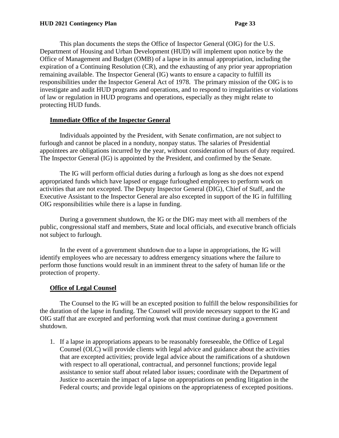This plan documents the steps the Office of Inspector General (OIG) for the U.S. Department of Housing and Urban Development (HUD) will implement upon notice by the Office of Management and Budget (OMB) of a lapse in its annual appropriation, including the expiration of a Continuing Resolution (CR), and the exhausting of any prior year appropriation remaining available. The Inspector General (IG) wants to ensure a capacity to fulfill its responsibilities under the Inspector General Act of 1978. The primary mission of the OIG is to investigate and audit HUD programs and operations, and to respond to irregularities or violations of law or regulation in HUD programs and operations, especially as they might relate to protecting HUD funds.

### <span id="page-32-0"></span>**Immediate Office of the Inspector General**

Individuals appointed by the President, with Senate confirmation, are not subject to furlough and cannot be placed in a nonduty, nonpay status. The salaries of Presidential appointees are obligations incurred by the year, without consideration of hours of duty required. The Inspector General (IG) is appointed by the President, and confirmed by the Senate.

The IG will perform official duties during a furlough as long as she does not expend appropriated funds which have lapsed or engage furloughed employees to perform work on activities that are not excepted. The Deputy Inspector General (DIG), Chief of Staff, and the Executive Assistant to the Inspector General are also excepted in support of the IG in fulfilling OIG responsibilities while there is a lapse in funding.

During a government shutdown, the IG or the DIG may meet with all members of the public, congressional staff and members, State and local officials, and executive branch officials not subject to furlough.

In the event of a government shutdown due to a lapse in appropriations, the IG will identify employees who are necessary to address emergency situations where the failure to perform those functions would result in an imminent threat to the safety of human life or the protection of property.

# <span id="page-32-1"></span>**Office of Legal Counsel**

The Counsel to the IG will be an excepted position to fulfill the below responsibilities for the duration of the lapse in funding. The Counsel will provide necessary support to the IG and OIG staff that are excepted and performing work that must continue during a government shutdown.

1. If a lapse in appropriations appears to be reasonably foreseeable, the Office of Legal Counsel (OLC) will provide clients with legal advice and guidance about the activities that are excepted activities; provide legal advice about the ramifications of a shutdown with respect to all operational, contractual, and personnel functions; provide legal assistance to senior staff about related labor issues; coordinate with the Department of Justice to ascertain the impact of a lapse on appropriations on pending litigation in the Federal courts; and provide legal opinions on the appropriateness of excepted positions.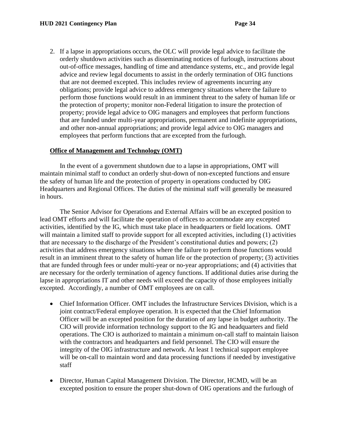2. If a lapse in appropriations occurs, the OLC will provide legal advice to facilitate the orderly shutdown activities such as disseminating notices of furlough, instructions about out-of-office messages, handling of time and attendance systems, etc., and provide legal advice and review legal documents to assist in the orderly termination of OIG functions that are not deemed excepted. This includes review of agreements incurring any obligations; provide legal advice to address emergency situations where the failure to perform those functions would result in an imminent threat to the safety of human life or the protection of property; monitor non-Federal litigation to insure the protection of property; provide legal advice to OIG managers and employees that perform functions that are funded under multi-year appropriations, permanent and indefinite appropriations, and other non-annual appropriations; and provide legal advice to OIG managers and employees that perform functions that are excepted from the furlough.

#### <span id="page-33-0"></span>**Office of Management and Technology (OMT)**

In the event of a government shutdown due to a lapse in appropriations, OMT will maintain minimal staff to conduct an orderly shut-down of non-excepted functions and ensure the safety of human life and the protection of property in operations conducted by OIG Headquarters and Regional Offices. The duties of the minimal staff will generally be measured in hours.

The Senior Advisor for Operations and External Affairs will be an excepted position to lead OMT efforts and will facilitate the operation of offices to accommodate any excepted activities, identified by the IG, which must take place in headquarters or field locations. OMT will maintain a limited staff to provide support for all excepted activities, including (1) activities that are necessary to the discharge of the President's constitutional duties and powers; (2) activities that address emergency situations where the failure to perform those functions would result in an imminent threat to the safety of human life or the protection of property; (3) activities that are funded through fees or under multi-year or no-year appropriations; and (4) activities that are necessary for the orderly termination of agency functions. If additional duties arise during the lapse in appropriations IT and other needs will exceed the capacity of those employees initially excepted. Accordingly, a number of OMT employees are on call.

- Chief Information Officer. OMT includes the Infrastructure Services Division, which is a joint contract/Federal employee operation. It is expected that the Chief Information Officer will be an excepted position for the duration of any lapse in budget authority. The CIO will provide information technology support to the IG and headquarters and field operations. The CIO is authorized to maintain a minimum on-call staff to maintain liaison with the contractors and headquarters and field personnel. The CIO will ensure the integrity of the OIG infrastructure and network. At least 1 technical support employee will be on-call to maintain word and data processing functions if needed by investigative staff
- Director, Human Capital Management Division. The Director, HCMD, will be an excepted position to ensure the proper shut-down of OIG operations and the furlough of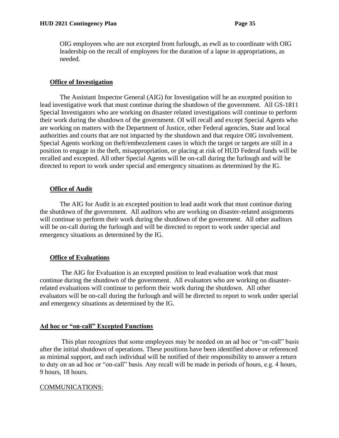OIG employees who are not excepted from furlough, as ewll as to coordinate with OIG leadership on the recall of employees for the duration of a lapse in appropriations, as needed.

### <span id="page-34-0"></span>**Office of Investigation**

The Assistant Inspector General (AIG) for Investigation will be an excepted position to lead investigative work that must continue during the shutdown of the government. All GS-1811 Special Investigators who are working on disaster related investigations will continue to perform their work during the shutdown of the government. OI will recall and except Special Agents who are working on matters with the Department of Justice, other Federal agencies, State and local authorities and courts that are not impacted by the shutdown and that require OIG involvement. Special Agents working on theft/embezzlement cases in which the target or targets are still in a position to engage in the theft, misappropriation, or placing at risk of HUD Federal funds will be recalled and excepted. All other Special Agents will be on-call during the furlough and will be directed to report to work under special and emergency situations as determined by the IG.

### <span id="page-34-1"></span>**Office of Audit**

The AIG for Audit is an excepted position to lead audit work that must continue during the shutdown of the government. All auditors who are working on disaster-related assignments will continue to perform their work during the shutdown of the government. All other auditors will be on-call during the furlough and will be directed to report to work under special and emergency situations as determined by the IG.

# <span id="page-34-2"></span>**Office of Evaluations**

 The AIG for Evaluation is an excepted position to lead evaluation work that must continue during the shutdown of the government. All evaluators who are working on disasterrelated evaluations will continue to perform their work during the shutdown. All other evaluators will be on-call during the furlough and will be directed to report to work under special and emergency situations as determined by the IG.

### **Ad hoc or "on-call" Excepted Functions**

 This plan recognizes that some employees may be needed on an ad hoc or "on-call" basis after the initial shutdown of operations. These positions have been identified above or referenced as minimal support, and each individual will be notified of their responsibility to answer a return to duty on an ad hoc or "on-call" basis. Any recall will be made in periods of hours, e.g. 4 hours, 9 hours, 18 hours.

### COMMUNICATIONS: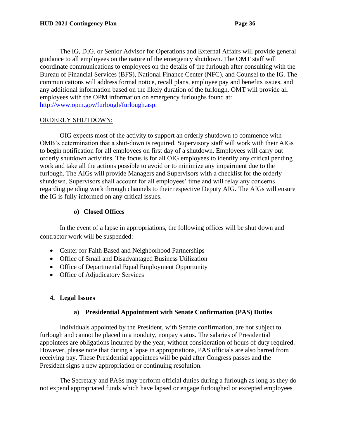The IG, DIG, or Senior Advisor for Operations and External Affairs will provide general guidance to all employees on the nature of the emergency shutdown. The OMT staff will coordinate communications to employees on the details of the furlough after consulting with the Bureau of Financial Services (BFS), National Finance Center (NFC), and Counsel to the IG. The communications will address formal notice, recall plans, employee pay and benefits issues, and any additional information based on the likely duration of the furlough. OMT will provide all employees with the OPM information on emergency furloughs found at: [http://www.opm.gov/furlough/furlough.asp.](http://www.opm.gov/furlough/furlough.asp)

### ORDERLY SHUTDOWN:

OIG expects most of the activity to support an orderly shutdown to commence with OMB's determination that a shut-down is required. Supervisory staff will work with their AIGs to begin notification for all employees on first day of a shutdown. Employees will carry out orderly shutdown activities. The focus is for all OIG employees to identify any critical pending work and take all the actions possible to avoid or to minimize any impairment due to the furlough. The AIGs will provide Managers and Supervisors with a checklist for the orderly shutdown. Supervisors shall account for all employees' time and will relay any concerns regarding pending work through channels to their respective Deputy AIG. The AIGs will ensure the IG is fully informed on any critical issues.

### **o) Closed Offices**

<span id="page-35-0"></span>In the event of a lapse in appropriations, the following offices will be shut down and contractor work will be suspended:

- Center for Faith Based and Neighborhood Partnerships
- Office of Small and Disadvantaged Business Utilization
- Office of Departmental Equal Employment Opportunity
- Office of Adjudicatory Services

# <span id="page-35-1"></span>**4. Legal Issues**

# <span id="page-35-2"></span>**a) Presidential Appointment with Senate Confirmation (PAS) Duties**

Individuals appointed by the President, with Senate confirmation, are not subject to furlough and cannot be placed in a nonduty, nonpay status. The salaries of Presidential appointees are obligations incurred by the year, without consideration of hours of duty required. However, please note that during a lapse in appropriations, PAS officials are also barred from receiving pay. These Presidential appointees will be paid after Congress passes and the President signs a new appropriation or continuing resolution.

The Secretary and PASs may perform official duties during a furlough as long as they do not expend appropriated funds which have lapsed or engage furloughed or excepted employees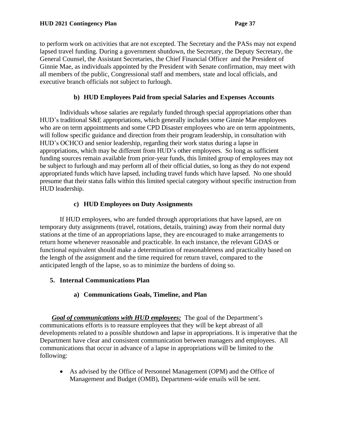to perform work on activities that are not excepted. The Secretary and the PASs may not expend lapsed travel funding. During a government shutdown, the Secretary, the Deputy Secretary, the General Counsel, the Assistant Secretaries, the Chief Financial Officer and the President of Ginnie Mae, as individuals appointed by the President with Senate confirmation, may meet with all members of the public, Congressional staff and members, state and local officials, and executive branch officials not subject to furlough.

# **b) HUD Employees Paid from special Salaries and Expenses Accounts**

Individuals whose salaries are regularly funded through special appropriations other than HUD's traditional S&E appropriations, which generally includes some Ginnie Mae employees who are on term appointments and some CPD Disaster employees who are on term appointments, will follow specific guidance and direction from their program leadership, in consultation with HUD's OCHCO and senior leadership, regarding their work status during a lapse in appropriations, which may be different from HUD's other employees. So long as sufficient funding sources remain available from prior-year funds, this limited group of employees may not be subject to furlough and may perform all of their official duties, so long as they do not expend appropriated funds which have lapsed, including travel funds which have lapsed. No one should presume that their status falls within this limited special category without specific instruction from HUD leadership.

# **c) HUD Employees on Duty Assignments**

If HUD employees, who are funded through appropriations that have lapsed, are on temporary duty assignments (travel, rotations, details, training) away from their normal duty stations at the time of an appropriations lapse, they are encouraged to make arrangements to return home whenever reasonable and practicable. In each instance, the relevant GDAS or functional equivalent should make a determination of reasonableness and practicality based on the length of the assignment and the time required for return travel, compared to the anticipated length of the lapse, so as to minimize the burdens of doing so.

# **5. Internal Communications Plan**

# **a) Communications Goals, Timeline, and Plan**

*Goal of communications with HUD employees:* The goal of the Department's communications efforts is to reassure employees that they will be kept abreast of all developments related to a possible shutdown and lapse in appropriations. It is imperative that the Department have clear and consistent communication between managers and employees. All communications that occur in advance of a lapse in appropriations will be limited to the following:

• As advised by the Office of Personnel Management (OPM) and the Office of Management and Budget (OMB), Department-wide emails will be sent.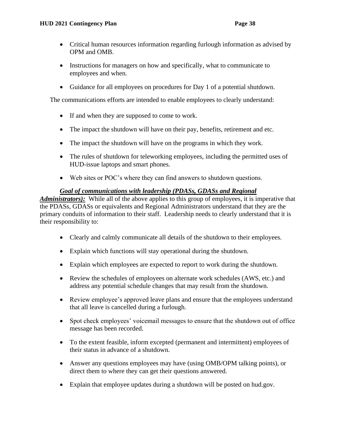- Critical human resources information regarding furlough information as advised by OPM and OMB.
- Instructions for managers on how and specifically, what to communicate to employees and when.
- Guidance for all employees on procedures for Day 1 of a potential shutdown.

The communications efforts are intended to enable employees to clearly understand:

- If and when they are supposed to come to work.
- The impact the shutdown will have on their pay, benefits, retirement and etc.
- The impact the shutdown will have on the programs in which they work.
- The rules of shutdown for teleworking employees, including the permitted uses of HUD-issue laptops and smart phones.
- Web sites or POC's where they can find answers to shutdown questions.

#### *Goal of communications with leadership (PDASs, GDASs and Regional*

*Administrators*): While all of the above applies to this group of employees, it is imperative that the PDASs, GDASs or equivalents and Regional Administrators understand that they are the primary conduits of information to their staff. Leadership needs to clearly understand that it is their responsibility to:

- Clearly and calmly communicate all details of the shutdown to their employees.
- Explain which functions will stay operational during the shutdown.
- Explain which employees are expected to report to work during the shutdown.
- Review the schedules of employees on alternate work schedules (AWS, etc.) and address any potential schedule changes that may result from the shutdown.
- Review employee's approved leave plans and ensure that the employees understand that all leave is cancelled during a furlough.
- Spot check employees' voicemail messages to ensure that the shutdown out of office message has been recorded.
- To the extent feasible, inform excepted (permanent and intermittent) employees of their status in advance of a shutdown.
- Answer any questions employees may have (using OMB/OPM talking points), or direct them to where they can get their questions answered.
- Explain that employee updates during a shutdown will be posted on hud.gov.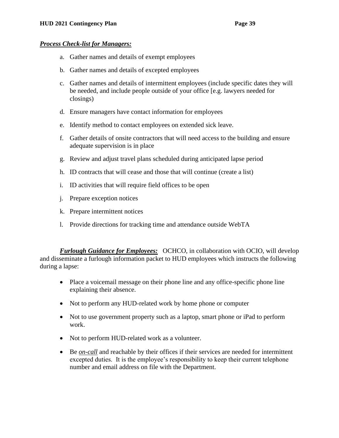#### *Process Check-list for Managers:*

- a. Gather names and details of exempt employees
- b. Gather names and details of excepted employees
- c. Gather names and details of intermittent employees (include specific dates they will be needed, and include people outside of your office [e.g. lawyers needed for closings)
- d. Ensure managers have contact information for employees
- e. Identify method to contact employees on extended sick leave.
- f. Gather details of onsite contractors that will need access to the building and ensure adequate supervision is in place
- g. Review and adjust travel plans scheduled during anticipated lapse period
- h. ID contracts that will cease and those that will continue (create a list)
- i. ID activities that will require field offices to be open
- j. Prepare exception notices
- k. Prepare intermittent notices
- l. Provide directions for tracking time and attendance outside WebTA

*Furlough Guidance for Employees:* OCHCO, in collaboration with OCIO, will develop and disseminate a furlough information packet to HUD employees which instructs the following during a lapse:

- Place a voicemail message on their phone line and any office-specific phone line explaining their absence.
- Not to perform any HUD-related work by home phone or computer
- Not to use government property such as a laptop, smart phone or iPad to perform work.
- Not to perform HUD-related work as a volunteer.
- Be *on-call* and reachable by their offices if their services are needed for intermittent excepted duties. It is the employee's responsibility to keep their current telephone number and email address on file with the Department.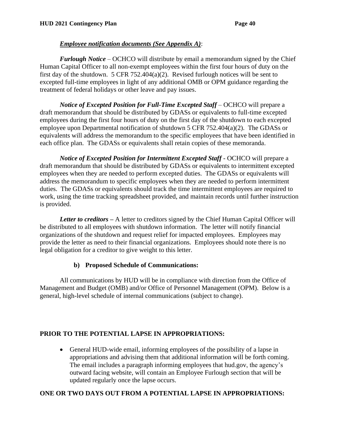### *Employee notification documents (See Appendix A)*:

*Furlough Notice* – OCHCO will distribute by email a memorandum signed by the Chief Human Capital Officer to all non-exempt employees within the first four hours of duty on the first day of the shutdown. 5 CFR 752.404(a)(2). Revised furlough notices will be sent to excepted full-time employees in light of any additional OMB or OPM guidance regarding the treatment of federal holidays or other leave and pay issues.

*Notice of Excepted Position for Full-Time Excepted Staff* – OCHCO will prepare a draft memorandum that should be distributed by GDASs or equivalents to full-time excepted employees during the first four hours of duty on the first day of the shutdown to each excepted employee upon Departmental notification of shutdown 5 CFR 752.404(a)(2). The GDASs or equivalents will address the memorandum to the specific employees that have been identified in each office plan. The GDASs or equivalents shall retain copies of these memoranda.

*Notice of Excepted Position for Intermittent Excepted Staff* - OCHCO will prepare a draft memorandum that should be distributed by GDASs or equivalents to intermittent excepted employees when they are needed to perform excepted duties. The GDASs or equivalents will address the memorandum to specific employees when they are needed to perform intermittent duties. The GDASs or equivalents should track the time intermittent employees are required to work, using the time tracking spreadsheet provided, and maintain records until further instruction is provided.

*Letter to creditors* – A letter to creditors signed by the Chief Human Capital Officer will be distributed to all employees with shutdown information. The letter will notify financial organizations of the shutdown and request relief for impacted employees. Employees may provide the letter as need to their financial organizations. Employees should note there is no legal obligation for a creditor to give weight to this letter.

# **b) Proposed Schedule of Communications:**

All communications by HUD will be in compliance with direction from the Office of Management and Budget (OMB) and/or Office of Personnel Management (OPM). Below is a general, high-level schedule of internal communications (subject to change).

# **PRIOR TO THE POTENTIAL LAPSE IN APPROPRIATIONS:**

• General HUD-wide email, informing employees of the possibility of a lapse in appropriations and advising them that additional information will be forth coming. The email includes a paragraph informing employees that hud.gov, the agency's outward facing website, will contain an Employee Furlough section that will be updated regularly once the lapse occurs.

# **ONE OR TWO DAYS OUT FROM A POTENTIAL LAPSE IN APPROPRIATIONS:**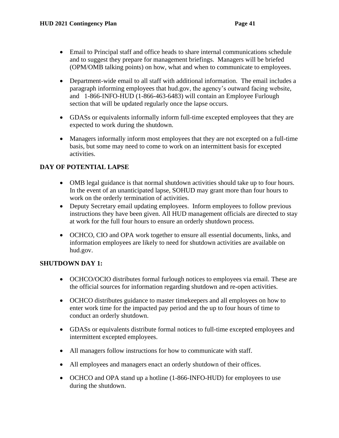- Email to Principal staff and office heads to share internal communications schedule and to suggest they prepare for management briefings. Managers will be briefed (OPM/OMB talking points) on how, what and when to communicate to employees.
- Department-wide email to all staff with additional information. The email includes a paragraph informing employees that hud.gov, the agency's outward facing website, and 1-866-INFO-HUD (1-866-463-6483) will contain an Employee Furlough section that will be updated regularly once the lapse occurs.
- GDASs or equivalents informally inform full-time excepted employees that they are expected to work during the shutdown.
- Managers informally inform most employees that they are not excepted on a full-time basis, but some may need to come to work on an intermittent basis for excepted activities.

# **DAY OF POTENTIAL LAPSE**

- OMB legal guidance is that normal shutdown activities should take up to four hours. In the event of an unanticipated lapse, SOHUD may grant more than four hours to work on the orderly termination of activities.
- Deputy Secretary email updating employees. Inform employees to follow previous instructions they have been given. All HUD management officials are directed to stay at work for the full four hours to ensure an orderly shutdown process.
- OCHCO, CIO and OPA work together to ensure all essential documents, links, and information employees are likely to need for shutdown activities are available on hud.gov.

#### **SHUTDOWN DAY 1:**

- OCHCO/OCIO distributes formal furlough notices to employees via email. These are the official sources for information regarding shutdown and re-open activities.
- OCHCO distributes guidance to master timekeepers and all employees on how to enter work time for the impacted pay period and the up to four hours of time to conduct an orderly shutdown.
- GDASs or equivalents distribute formal notices to full-time excepted employees and intermittent excepted employees.
- All managers follow instructions for how to communicate with staff.
- All employees and managers enact an orderly shutdown of their offices.
- OCHCO and OPA stand up a hotline (1-866-INFO-HUD) for employees to use during the shutdown.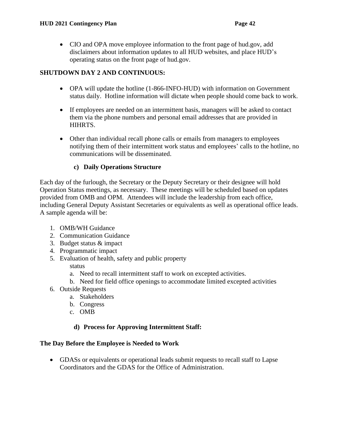• CIO and OPA move employee information to the front page of hud.gov, add disclaimers about information updates to all HUD websites, and place HUD's operating status on the front page of hud.gov.

# **SHUTDOWN DAY 2 AND CONTINUOUS:**

- OPA will update the hotline (1-866-INFO-HUD) with information on Government status daily. Hotline information will dictate when people should come back to work.
- If employees are needed on an intermittent basis, managers will be asked to contact them via the phone numbers and personal email addresses that are provided in HIHRTS.
- Other than individual recall phone calls or emails from managers to employees notifying them of their intermittent work status and employees' calls to the hotline, no communications will be disseminated.

# **c) Daily Operations Structure**

Each day of the furlough, the Secretary or the Deputy Secretary or their designee will hold Operation Status meetings, as necessary. These meetings will be scheduled based on updates provided from OMB and OPM. Attendees will include the leadership from each office, including General Deputy Assistant Secretaries or equivalents as well as operational office leads. A sample agenda will be:

- 1. OMB/WH Guidance
- 2. Communication Guidance
- 3. Budget status & impact
- 4. Programmatic impact
- 5. Evaluation of health, safety and public property

status

- a. Need to recall intermittent staff to work on excepted activities.
- b. Need for field office openings to accommodate limited excepted activities
- 6. Outside Requests
	- a. Stakeholders
	- b. Congress
	- c. OMB

# **d) Process for Approving Intermittent Staff:**

# **The Day Before the Employee is Needed to Work**

• GDASs or equivalents or operational leads submit requests to recall staff to Lapse Coordinators and the GDAS for the Office of Administration.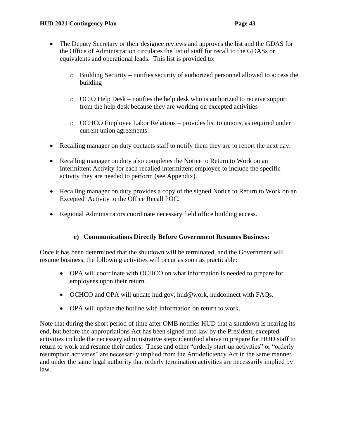- The Deputy Secretary or their designee reviews and approves the list and the GDAS for the Office of Administration circulates the list of staff for recall to the GDASs or equivalents and operational leads. This list is provided to:
	- o Building Security notifies security of authorized personnel allowed to access the building
	- o OCIO Help Desk notifies the help desk who is authorized to receive support from the help desk because they are working on excepted activities
	- $\circ$  OCHCO Employee Labor Relations provides list to unions, as required under current union agreements.
- Recalling manager on duty contacts staff to notify them they are to report the next day.
- Recalling manager on duty also completes the Notice to Return to Work on an Intermittent Activity for each recalled intermittent employee to include the specific activity they are needed to perform (see Appendix).
- Recalling manager on duty provides a copy of the signed Notice to Return to Work on an Excepted Activity to the Office Recall POC.
- Regional Administrators coordinate necessary field office building access.

#### **e) Communications Directly Before Government Resumes Business:**

Once it has been determined that the shutdown will be terminated, and the Government will resume business, the following activities will occur as soon as practicable:

- OPA will coordinate with OCHCO on what information is needed to prepare for employees upon their return.
- OCHCO and OPA will update hud.gov, hud@work, hudconnect with FAQs.
- OPA will update the hotline with information on return to work.

Note that during the short period of time after OMB notifies HUD that a shutdown is nearing its end, but before the appropriations Act has been signed into law by the President, excepted activities include the necessary administrative steps identified above to prepare for HUD staff to return to work and resume their duties. These and other "orderly start-up activities" or "orderly resumption activities" are necessarily implied from the Antideficiency Act in the same manner and under the same legal authority that orderly termination activities are necessarily implied by law.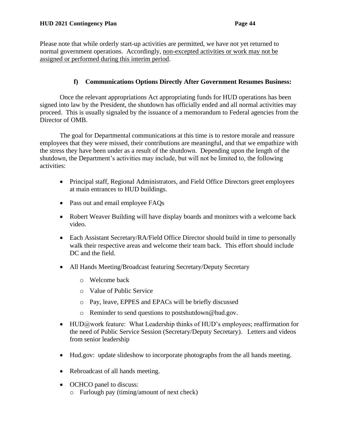Please note that while orderly start-up activities are permitted, we have not yet returned to normal government operations. Accordingly, non-excepted activities or work may not be assigned or performed during this interim period.

### **f) Communications Options Directly After Government Resumes Business:**

Once the relevant appropriations Act appropriating funds for HUD operations has been signed into law by the President, the shutdown has officially ended and all normal activities may proceed. This is usually signaled by the issuance of a memorandum to Federal agencies from the Director of OMB.

The goal for Departmental communications at this time is to restore morale and reassure employees that they were missed, their contributions are meaningful, and that we empathize with the stress they have been under as a result of the shutdown. Depending upon the length of the shutdown, the Department's activities may include, but will not be limited to, the following activities:

- Principal staff, Regional Administrators, and Field Office Directors greet employees at main entrances to HUD buildings.
- Pass out and email employee FAQs
- Robert Weaver Building will have display boards and monitors with a welcome back video.
- Each Assistant Secretary/RA/Field Office Director should build in time to personally walk their respective areas and welcome their team back. This effort should include DC and the field.
- All Hands Meeting/Broadcast featuring Secretary/Deputy Secretary
	- o Welcome back
	- o Value of Public Service
	- o Pay, leave, EPPES and EPACs will be briefly discussed
	- o Reminder to send questions to postshutdown@hud.gov.
- HUD@work feature: What Leadership thinks of HUD's employees; reaffirmation for the need of Public Service Session (Secretary/Deputy Secretary). Letters and videos from senior leadership
- Hud.gov: update slideshow to incorporate photographs from the all hands meeting.
- Rebroadcast of all hands meeting.
- OCHCO panel to discuss:
	- o Furlough pay (timing/amount of next check)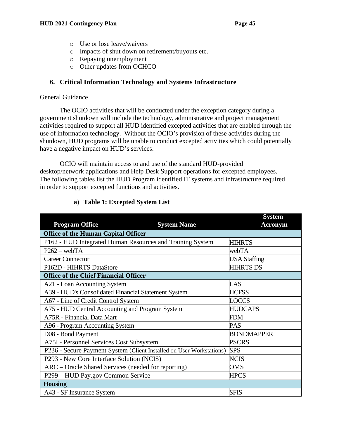- o Use or lose leave/waivers
- o Impacts of shut down on retirement/buyouts etc.
- o Repaying unemployment
- o Other updates from OCHCO

### **6. Critical Information Technology and Systems Infrastructure**

#### General Guidance

The OCIO activities that will be conducted under the exception category during a government shutdown will include the technology, administrative and project management activities required to support all HUD identified excepted activities that are enabled through the use of information technology. Without the OCIO's provision of these activities during the shutdown, HUD programs will be unable to conduct excepted activities which could potentially have a negative impact on HUD's services.

OCIO will maintain access to and use of the standard HUD-provided desktop/network applications and Help Desk Support operations for excepted employees. The following tables list the HUD Program identified IT systems and infrastructure required in order to support excepted functions and activities.

|                                                                      | <b>System</b>       |
|----------------------------------------------------------------------|---------------------|
| <b>Program Office</b><br><b>System Name</b>                          | <b>Acronym</b>      |
| <b>Office of the Human Capital Officer</b>                           |                     |
| P162 - HUD Integrated Human Resources and Training System            | <b>HIHRTS</b>       |
| $P262 - webTA$                                                       | webTA               |
| <b>Career Connector</b>                                              | <b>USA Staffing</b> |
| P162D - HIHRTS DataStore                                             | <b>HIHRTS DS</b>    |
| <b>Office of the Chief Financial Officer</b>                         |                     |
| A21 - Loan Accounting System                                         | LAS                 |
| A39 - HUD's Consolidated Financial Statement System                  | <b>HCFSS</b>        |
| A67 - Line of Credit Control System                                  | <b>LOCCS</b>        |
| A75 - HUD Central Accounting and Program System                      | <b>HUDCAPS</b>      |
| A75R - Financial Data Mart                                           | <b>FDM</b>          |
| A96 - Program Accounting System                                      | <b>PAS</b>          |
| D08 - Bond Payment                                                   | <b>BONDMAPPER</b>   |
| A75I - Personnel Services Cost Subsystem                             | <b>PSCRS</b>        |
| P236 - Secure Payment System (Client Installed on User Workstations) | <b>SPS</b>          |
| P293 - New Core Interface Solution (NCIS)                            | <b>NCIS</b>         |
| ARC – Oracle Shared Services (needed for reporting)                  | <b>OMS</b>          |
| P299 - HUD Pay.gov Common Service                                    | <b>HPCS</b>         |
| <b>Housing</b>                                                       |                     |
| $\parallel$ A43 - SF Insurance System                                | <b>SFIS</b>         |

#### **a) Table 1: Excepted System List**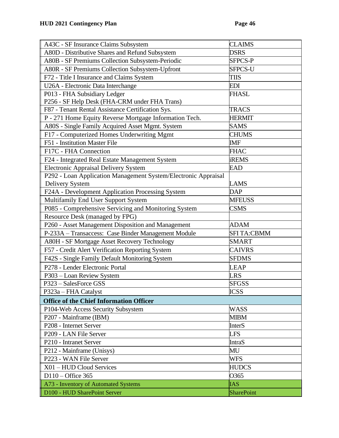| A43C - SF Insurance Claims Subsystem                           | <b>CLAIMS</b>      |
|----------------------------------------------------------------|--------------------|
| A80D - Distributive Shares and Refund Subsystem                | <b>DSRS</b>        |
| A80B - SF Premiums Collection Subsystem-Periodic               | <b>SFPCS-P</b>     |
| <b>A80R - SF Premiums Collection Subsystem-Upfront</b>         | <b>SFPCS-U</b>     |
| F72 - Title I Insurance and Claims System                      | <b>TIIS</b>        |
| U26A - Electronic Data Interchange                             | <b>EDI</b>         |
| P013 - FHA Subsidiary Ledger                                   | <b>FHASL</b>       |
| P256 - SF Help Desk (FHA-CRM under FHA Trans)                  |                    |
| F87 - Tenant Rental Assistance Certification Sys.              | <b>TRACS</b>       |
| P - 271 Home Equity Reverse Mortgage Information Tech.         | <b>HERMIT</b>      |
| A80S - Single Family Acquired Asset Mgmt. System               | <b>SAMS</b>        |
| F17 - Computerized Homes Underwriting Mgmt                     | <b>CHUMS</b>       |
| F51 - Institution Master File                                  | <b>IMF</b>         |
| F17C - FHA Connection                                          | <b>FHAC</b>        |
| F24 - Integrated Real Estate Management System                 | <b>iREMS</b>       |
| Electronic Appraisal Delivery System                           | <b>EAD</b>         |
| P292 - Loan Application Management System/Electronic Appraisal |                    |
| <b>Delivery System</b>                                         | <b>LAMS</b>        |
| F24A - Development Application Processing System               | <b>DAP</b>         |
| Multifamily End User Support System                            | <b>MFEUSS</b>      |
| P085 - Comprehensive Servicing and Monitoring System           | <b>CSMS</b>        |
| Resource Desk (managed by FPG)                                 |                    |
| P260 - Asset Management Disposition and Management             | <b>ADAM</b>        |
| P-233A - Transaccess: Case Binder Management Module            | <b>SFI TA:CBMM</b> |
| A80H - SF Mortgage Asset Recovery Technology                   | <b>SMART</b>       |
| F57 - Credit Alert Verification Reporting System               | <b>CAIVRS</b>      |
| F42S - Single Family Default Monitoring System                 | <b>SFDMS</b>       |
| P278 - Lender Electronic Portal                                | <b>LEAP</b>        |
| P303 - Loan Review System                                      | <b>LRS</b>         |
| P323 - SalesForce GSS                                          | <b>SFGSS</b>       |
| P323a – FHA Catalyst                                           | <b>ICSS</b>        |
| <b>Office of the Chief Information Officer</b>                 |                    |
| P104-Web Access Security Subsystem                             | <b>WASS</b>        |
| P207 - Mainframe (IBM)                                         | <b>MIBM</b>        |
| P208 - Internet Server                                         | <b>InterS</b>      |
| P209 - LAN File Server                                         | <b>LFS</b>         |
| P210 - Intranet Server                                         | <b>IntraS</b>      |
| P212 - Mainframe (Unisys)                                      | MU                 |
| P223 - WAN File Server                                         | <b>WFS</b>         |
| X01 - HUD Cloud Services                                       | <b>HUDCS</b>       |
| D110 - Office 365                                              | O365               |
| A73 - Inventory of Automated Systems                           | <b>IAS</b>         |
| D100 - HUD SharePoint Server                                   | <b>SharePoint</b>  |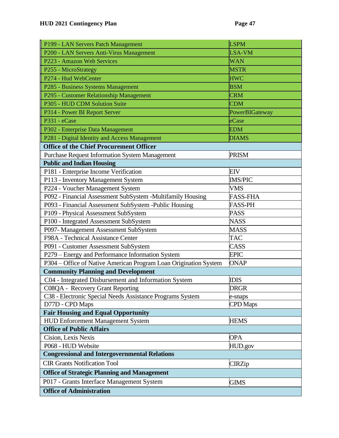| P199 - LAN Servers Patch Management                              | <b>LSPM</b>     |
|------------------------------------------------------------------|-----------------|
| P200 - LAN Servers Anti-Virus Management                         | LSA-VM          |
| P223 - Amazon Web Services                                       | <b>WAN</b>      |
| P255 - MicroStrategy                                             | <b>MSTR</b>     |
| P274 - Hud WebCenter                                             | <b>HWC</b>      |
| P285 - Business Systems Management                               | <b>BSM</b>      |
| P295 - Customer Relationship Management                          | <b>CRM</b>      |
| P305 - HUD CDM Solution Suite                                    | <b>CDM</b>      |
| P314 - Power BI Report Server                                    | PowerBIGateway  |
| P331 - eCase                                                     | eCase           |
| P302 - Enterprise Data Management                                | <b>EDM</b>      |
| P281 - Digital Identity and Access Management                    | <b>DIAMS</b>    |
| <b>Office of the Chief Procurement Officer</b>                   |                 |
| <b>Purchase Request Information System Management</b>            | <b>PRISM</b>    |
| <b>Public and Indian Housing</b>                                 |                 |
| P181 - Enterprise Income Verification                            | <b>EIV</b>      |
| P113 - Inventory Management System                               | <b>IMS/PIC</b>  |
| P224 - Voucher Management System                                 | <b>VMS</b>      |
| P092 - Financial Assessment SubSystem -Multifamily Housing       | <b>FASS-FHA</b> |
| P093 - Financial Assessment SubSystem -Public Housing            | <b>FASS-PH</b>  |
| P109 - Physical Assessment SubSystem                             | <b>PASS</b>     |
| P100 - Integrated Assessment SubSystem                           | <b>NASS</b>     |
| P097- Management Assessment SubSystem                            | <b>MASS</b>     |
| F98A - Technical Assistance Center                               | <b>TAC</b>      |
| P091 - Customer Assessment SubSystem                             | CASS            |
| P279 – Energy and Performance Information System                 | <b>EPIC</b>     |
| P304 - Office of Native American Program Loan Origination System | <b>ONAP</b>     |
| <b>Community Planning and Development</b>                        |                 |
| C04 - Integrated Disbursement and Information System             | <b>IDIS</b>     |
| C08QA - Recovery Grant Reporting                                 | <b>DRGR</b>     |
| C38 - Electronic Special Needs Assistance Programs System        | e-snaps         |
| D77D - CPD Maps                                                  | <b>CPD</b> Maps |
| <b>Fair Housing and Equal Opportunity</b>                        |                 |
| <b>HUD Enforcement Management System</b>                         | <b>HEMS</b>     |
| <b>Office of Public Affairs</b>                                  |                 |
| Cision, Lexis Nexis                                              | <b>OPA</b>      |
| P068 - HUD Website                                               | HUD.gov         |
| <b>Congressional and Intergovernmental Relations</b>             |                 |
| <b>CIR Grants Notification Tool</b>                              | <b>CIRZip</b>   |
| <b>Office of Strategic Planning and Management</b>               |                 |
| P017 - Grants Interface Management System                        | <b>GIMS</b>     |
| <b>Office of Administration</b>                                  |                 |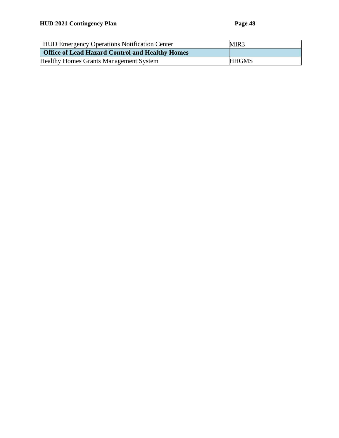| <b>HUD Emergency Operations Notification Center</b>    | MIR3         |
|--------------------------------------------------------|--------------|
| <b>Office of Lead Hazard Control and Healthy Homes</b> |              |
| <b>Healthy Homes Grants Management System</b>          | <b>HHGMS</b> |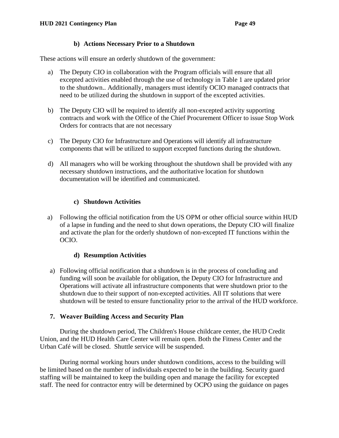#### **b) Actions Necessary Prior to a Shutdown**

These actions will ensure an orderly shutdown of the government:

- a) The Deputy CIO in collaboration with the Program officials will ensure that all excepted activities enabled through the use of technology in Table 1 are updated prior to the shutdown.. Additionally, managers must identify OCIO managed contracts that need to be utilized during the shutdown in support of the excepted activities.
- b) The Deputy CIO will be required to identify all non-excepted activity supporting contracts and work with the Office of the Chief Procurement Officer to issue Stop Work Orders for contracts that are not necessary
- c) The Deputy CIO for Infrastructure and Operations will identify all infrastructure components that will be utilized to support excepted functions during the shutdown.
- d) All managers who will be working throughout the shutdown shall be provided with any necessary shutdown instructions, and the authoritative location for shutdown documentation will be identified and communicated.

# **c) Shutdown Activities**

a) Following the official notification from the US OPM or other official source within HUD of a lapse in funding and the need to shut down operations, the Deputy CIO will finalize and activate the plan for the orderly shutdown of non-excepted IT functions within the OCIO.

# **d) Resumption Activities**

a) Following official notification that a shutdown is in the process of concluding and funding will soon be available for obligation, the Deputy CIO for Infrastructure and Operations will activate all infrastructure components that were shutdown prior to the shutdown due to their support of non-excepted activities. All IT solutions that were shutdown will be tested to ensure functionality prior to the arrival of the HUD workforce.

# **7. Weaver Building Access and Security Plan**

During the shutdown period, The Children's House childcare center, the HUD Credit Union, and the HUD Health Care Center will remain open. Both the Fitness Center and the Urban Café will be closed. Shuttle service will be suspended.

During normal working hours under shutdown conditions, access to the building will be limited based on the number of individuals expected to be in the building. Security guard staffing will be maintained to keep the building open and manage the facility for excepted staff. The need for contractor entry will be determined by OCPO using the guidance on pages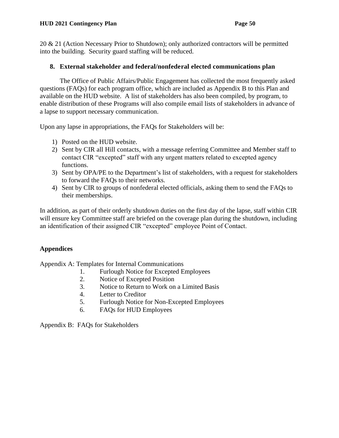20 & 21 (Action Necessary Prior to Shutdown); only authorized contractors will be permitted into the building. Security guard staffing will be reduced.

#### **8. External stakeholder and federal/nonfederal elected communications plan**

The Office of Public Affairs/Public Engagement has collected the most frequently asked questions (FAQs) for each program office, which are included as Appendix B to this Plan and available on the HUD website. A list of stakeholders has also been compiled, by program, to enable distribution of these Programs will also compile email lists of stakeholders in advance of a lapse to support necessary communication.

Upon any lapse in appropriations, the FAQs for Stakeholders will be:

- 1) Posted on the HUD website.
- 2) Sent by CIR all Hill contacts, with a message referring Committee and Member staff to contact CIR "excepted" staff with any urgent matters related to excepted agency functions.
- 3) Sent by OPA/PE to the Department's list of stakeholders, with a request for stakeholders to forward the FAQs to their networks.
- 4) Sent by CIR to groups of nonfederal elected officials, asking them to send the FAQs to their memberships.

In addition, as part of their orderly shutdown duties on the first day of the lapse, staff within CIR will ensure key Committee staff are briefed on the coverage plan during the shutdown, including an identification of their assigned CIR "excepted" employee Point of Contact.

# **Appendices**

Appendix A: Templates for Internal Communications

- 1. Furlough Notice for Excepted Employees
- 2. Notice of Excepted Position
- 3. Notice to Return to Work on a Limited Basis
- 4. Letter to Creditor
- 5. Furlough Notice for Non-Excepted Employees
- 6. FAQs for HUD Employees

Appendix B: FAQs for Stakeholders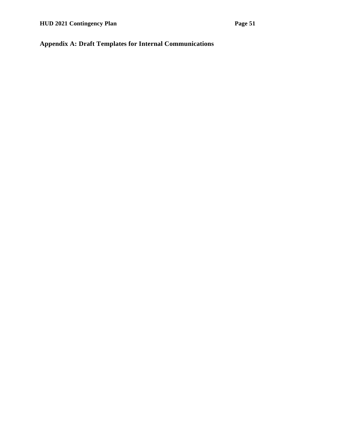# **Appendix A: Draft Templates for Internal Communications**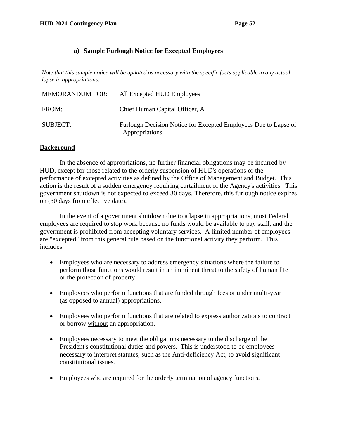#### **a) Sample Furlough Notice for Excepted Employees**

*Note that this sample notice will be updated as necessary with the specific facts applicable to any actual lapse in appropriations.* 

| <b>MEMORANDUM FOR:</b> | All Excepted HUD Employees                                                        |
|------------------------|-----------------------------------------------------------------------------------|
| FROM:                  | Chief Human Capital Officer, A                                                    |
| <b>SUBJECT:</b>        | Furlough Decision Notice for Excepted Employees Due to Lapse of<br>Appropriations |

#### **Background**

In the absence of appropriations, no further financial obligations may be incurred by HUD, except for those related to the orderly suspension of HUD's operations or the performance of excepted activities as defined by the Office of Management and Budget. This action is the result of a sudden emergency requiring curtailment of the Agency's activities. This government shutdown is not expected to exceed 30 days. Therefore, this furlough notice expires on (30 days from effective date).

In the event of a government shutdown due to a lapse in appropriations, most Federal employees are required to stop work because no funds would be available to pay staff, and the government is prohibited from accepting voluntary services. A limited number of employees are "excepted" from this general rule based on the functional activity they perform. This includes:

- Employees who are necessary to address emergency situations where the failure to perform those functions would result in an imminent threat to the safety of human life or the protection of property.
- Employees who perform functions that are funded through fees or under multi-year (as opposed to annual) appropriations.
- Employees who perform functions that are related to express authorizations to contract or borrow without an appropriation.
- Employees necessary to meet the obligations necessary to the discharge of the President's constitutional duties and powers. This is understood to be employees necessary to interpret statutes, such as the Anti-deficiency Act, to avoid significant constitutional issues.
- Employees who are required for the orderly termination of agency functions.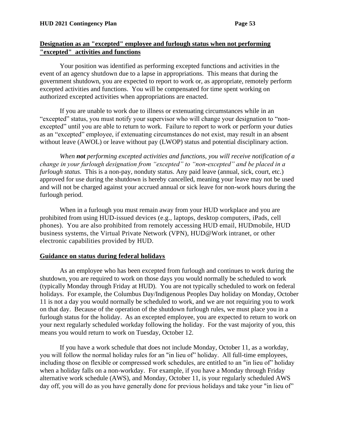#### **Designation as an "excepted" employee and furlough status when not performing "excepted" activities and functions**

Your position was identified as performing excepted functions and activities in the event of an agency shutdown due to a lapse in appropriations. This means that during the government shutdown, you are expected to report to work or, as appropriate, remotely perform excepted activities and functions. You will be compensated for time spent working on authorized excepted activities when appropriations are enacted.

If you are unable to work due to illness or extenuating circumstances while in an "excepted" status, you must notify your supervisor who will change your designation to "nonexcepted" until you are able to return to work. Failure to report to work or perform your duties as an "excepted" employee, if extenuating circumstances do not exist, may result in an absent without leave (AWOL) or leave without pay (LWOP) status and potential disciplinary action.

*When not performing excepted activities and functions, you will receive notification of a change in your furlough designation from "excepted" to "non-excepted" and be placed in a furlough status.* This is a non-pay, nonduty status. Any paid leave (annual, sick, court, etc.) approved for use during the shutdown is hereby cancelled, meaning your leave may not be used and will not be charged against your accrued annual or sick leave for non-work hours during the furlough period.

When in a furlough you must remain away from your HUD workplace and you are prohibited from using HUD-issued devices (e.g., laptops, desktop computers, iPads, cell phones). You are also prohibited from remotely accessing HUD email, HUDmobile, HUD business systems, the Virtual Private Network (VPN), HUD@Work intranet, or other electronic capabilities provided by HUD.

#### **Guidance on status during federal holidays**

As an employee who has been excepted from furlough and continues to work during the shutdown, you are required to work on those days you would normally be scheduled to work (typically Monday through Friday at HUD). You are not typically scheduled to work on federal holidays. For example, the Columbus Day/Indigenous Peoples Day holiday on Monday, October 11 is not a day you would normally be scheduled to work, and we are not requiring you to work on that day. Because of the operation of the shutdown furlough rules, we must place you in a furlough status for the holiday. As an excepted employee, you are expected to return to work on your next regularly scheduled workday following the holiday. For the vast majority of you, this means you would return to work on Tuesday, October 12.

If you have a work schedule that does not include Monday, October 11, as a workday, you will follow the normal holiday rules for an "in lieu of" holiday. All full-time employees, including those on flexible or compressed work schedules, are entitled to an "in lieu of" holiday when a holiday falls on a non-workday. For example, if you have a Monday through Friday alternative work schedule (AWS), and Monday, October 11, is your regularly scheduled AWS day off, you will do as you have generally done for previous holidays and take your "in lieu of"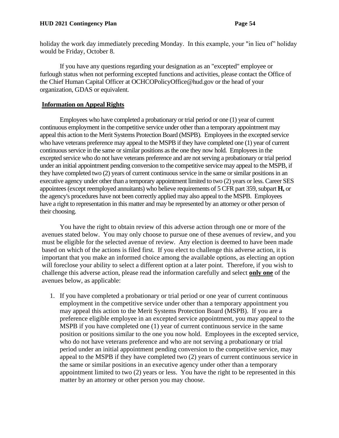holiday the work day immediately preceding Monday. In this example, your "in lieu of" holiday would be Friday, October 8.

If you have any questions regarding your designation as an "excepted" employee or furlough status when not performing excepted functions and activities, please contact the Office of the Chief Human Capital Officer at OCHCOPolicyOffice@hud.gov or the head of your organization, GDAS or equivalent.

#### **Information on Appeal Rights**

Employees who have completed a probationary or trial period or one (1) year of current continuous employment in the competitive service under other than a temporary appointment may appeal this action to the Merit Systems Protection Board (MSPB). Employees in the excepted service who have veterans preference may appeal to the MSPB if they have completed one (1) year of current continuous service in the same or similar positions as the one they now hold. Employees in the excepted service who do not have veterans preference and are not serving a probationary or trial period under an initial appointment pending conversion to the competitive service may appeal to the MSPB, if they have completed two (2) years of current continuous service in the same or similar positions in an executive agency under other than a temporary appointment limited to two (2) years or less. Career SES appointees (except reemployed annuitants) who believe requirements of 5 CFR part 359, subpart **H,** or the agency's procedures have not been correctly applied may also appeal to the MSPB. Employees have a right to representation in this matter and may be represented by an attorney or other person of their choosing.

You have the right to obtain review of this adverse action through one or more of the avenues stated below. You may only choose to pursue one of these avenues of review, and you must be eligible for the selected avenue of review. Any election is deemed to have been made based on which of the actions is filed first. If you elect to challenge this adverse action, it is important that you make an informed choice among the available options, as electing an option will foreclose your ability to select a different option at a later point. Therefore, if you wish to challenge this adverse action, please read the information carefully and select **only one** of the avenues below, as applicable:

1. If you have completed a probationary or trial period or one year of current continuous employment in the competitive service under other than a temporary appointment you may appeal this action to the Merit Systems Protection Board (MSPB). If you are a preference eligible employee in an excepted service appointment, you may appeal to the MSPB if you have completed one (1) year of current continuous service in the same position or positions similar to the one you now hold. Employees in the excepted service, who do not have veterans preference and who are not serving a probationary or trial period under an initial appointment pending conversion to the competitive service, may appeal to the MSPB if they have completed two (2) years of current continuous service in the same or similar positions in an executive agency under other than a temporary appointment limited to two (2) years or less. You have the right to be represented in this matter by an attorney or other person you may choose.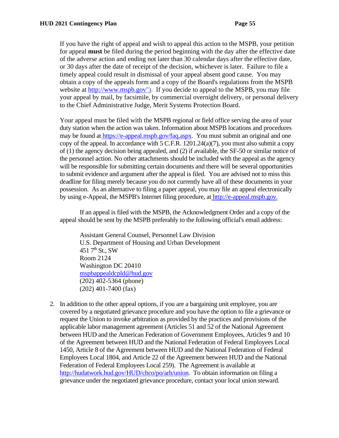If you have the right of appeal and wish to appeal this action to the MSPB, your petition for appeal **must** be filed during the period beginning with the day after the effective date of the adverse action and ending not later than 30 calendar days after the effective date, or 30 days after the date of receipt of the decision, whichever is later. Failure to file a timely appeal could result in dismissal of your appeal absent good cause. You may obtain a copy of the appeals form and a copy of the Board's regulations from the MSPB website at [http://www.mspb.gov"](http://www.mspb.gov/)). If you decide to appeal to the MSPB, you may file your appeal by mail, by facsimile, by commercial overnight delivery, or personal delivery to the Chief Administrative Judge, Merit Systems Protection Board.

Your appeal must be filed with the MSPB regional or field office serving the area of your duty station when the action was taken. Information about MSPB locations and procedures may be found at [https://e-appeal.mspb.gov/faq.aspx.](https://e-appeal.mspb.gov/faq.aspx) You must submit an original and one copy of the appeal. In accordance with  $5$  C.F.R. 1201.24(a)(7), you must also submit a copy of (1) the agency decision being appealed, and (2) if available, the SF-50 or similar notice of the personnel action. No other attachments should be included with the appeal as the agency will be responsible for submitting certain documents and there will be several opportunities to submit evidence and argument after the appeal is filed. You are advised not to miss this deadline for filing merely because you do not currently have all of these documents in your possession. As an alternative to filing a paper appeal, you may file an appeal electronically by using e-Appeal, the MSPB's Internet filing procedure, at [http://e-appeal.mspb.gov.](http://e-appeal.mspb.gov/)

If an appeal is filed with the MSPB, the Acknowledgment Order and a copy of the appeal should be sent by the MSPB preferably to the following official's email address:

Assistant General Counsel, Personnel Law Division U.S. Department of Housing and Urban Development 451  $7<sup>th</sup>$  St., SW Room 2124 Washington DC 20410 [mspbappealdcpld@hud.gov](mailto:mspbappealdcpld@hud.gov) (202) 402-5364 (phone) (202) 401-7400 (fax)

2. In addition to the other appeal options, if you are a bargaining unit employee, you are covered by a negotiated grievance procedure and you have the option to file a grievance or request the Union to invoke arbitration as provided by the practices and provisions of the applicable labor management agreement (Articles 51 and 52 of the National Agreement between HUD and the American Federation of Government Employees, Articles 9 and 10 of the Agreement between HUD and the National Federation of Federal Employees Local 1450, Article 8 of the Agreement between HUD and the National Federation of Federal Employees Local 1804, and Article 22 of the Agreement between HUD and the National Federation of Federal Employees Local 259). The Agreement is available at [http://hudatwork.hud.gov/HUD/chco/po/arh/union.](http://hudatwork.hud.gov/HUD/chco/po/arh/union) To obtain information on filing a grievance under the negotiated grievance procedure, contact your local union steward.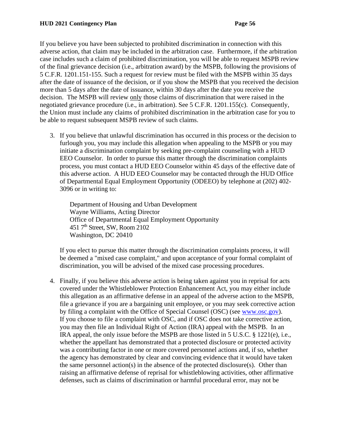If you believe you have been subjected to prohibited discrimination in connection with this adverse action, that claim may be included in the arbitration case. Furthermore, if the arbitration case includes such a claim of prohibited discrimination, you will be able to request MSPB review of the final grievance decision (i.e., arbitration award) by the MSPB, following the provisions of 5 C.F.R. 1201.151-155. Such a request for review must be filed with the MSPB within 35 days after the date of issuance of the decision, or if you show the MSPB that you received the decision more than 5 days after the date of issuance, within 30 days after the date you receive the decision. The MSPB will review only those claims of discrimination that were raised in the negotiated grievance procedure (i.e., in arbitration). See 5 C.F.R. 1201.155(c). Consequently, the Union must include any claims of prohibited discrimination in the arbitration case for you to be able to request subsequent MSPB review of such claims.

3. If you believe that unlawful discrimination has occurred in this process or the decision to furlough you, you may include this allegation when appealing to the MSPB or you may initiate a discrimination complaint by seeking pre-complaint counseling with a HUD EEO Counselor. In order to pursue this matter through the discrimination complaints process, you must contact a HUD EEO Counselor within 45 days of the effective date of this adverse action. A HUD EEO Counselor may be contacted through the HUD Office of Departmental Equal Employment Opportunity (ODEEO) by telephone at (202) 402- 3096 or in writing to:

Department of Housing and Urban Development Wayne Williams, Acting Director Office of Departmental Equal Employment Opportunity 451 7th Street, SW, Room 2102 Washington, DC 20410

If you elect to pursue this matter through the discrimination complaints process, it will be deemed a "mixed case complaint," and upon acceptance of your formal complaint of discrimination, you will be advised of the mixed case processing procedures.

4. Finally, if you believe this adverse action is being taken against you in reprisal for acts covered under the Whistleblower Protection Enhancement Act, you may either include this allegation as an affirmative defense in an appeal of the adverse action to the MSPB, file a grievance if you are a bargaining unit employee, or you may seek corrective action by filing a complaint with the Office of Special Counsel (OSC) (see [www.osc.gov\)](http://www.osc.gov/). If you choose to file a complaint with OSC, and if OSC does not take corrective action, you may then file an Individual Right of Action (IRA) appeal with the MSPB. In an IRA appeal, the only issue before the MSPB are those listed in 5 U.S.C. § 1221(e), i.e., whether the appellant has demonstrated that a protected disclosure or protected activity was a contributing factor in one or more covered personnel actions and, if so, whether the agency has demonstrated by clear and convincing evidence that it would have taken the same personnel action(s) in the absence of the protected disclosure(s). Other than raising an affirmative defense of reprisal for whistleblowing activities, other affirmative defenses, such as claims of discrimination or harmful procedural error, may not be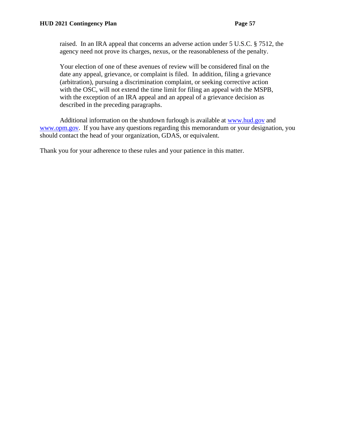raised. In an IRA appeal that concerns an adverse action under 5 U.S.C. § 7512, the agency need not prove its charges, nexus, or the reasonableness of the penalty.

Your election of one of these avenues of review will be considered final on the date any appeal, grievance, or complaint is filed. In addition, filing a grievance (arbitration), pursuing a discrimination complaint, or seeking corrective action with the OSC, will not extend the time limit for filing an appeal with the MSPB, with the exception of an IRA appeal and an appeal of a grievance decision as described in the preceding paragraphs.

Additional information on the shutdown furlough is available at [www.hud.gov](http://www.hud.gov/) and [www.opm.gov.](http://www.opm.gov/) If you have any questions regarding this memorandum or your designation, you should contact the head of your organization, GDAS, or equivalent.

Thank you for your adherence to these rules and your patience in this matter.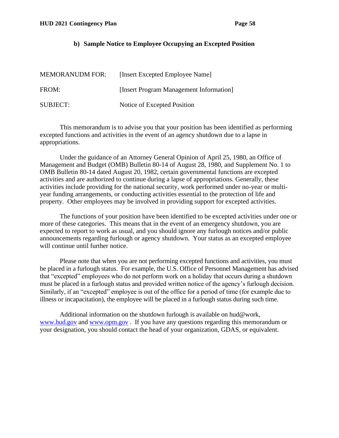#### **b) Sample Notice to Employee Occupying an Excepted Position**

| <b>MEMORANUDM FOR:</b> | [Insert Excepted Employee Name]         |
|------------------------|-----------------------------------------|
| FROM:                  | [Insert Program Management Information] |
| SUBJECT:               | Notice of Excepted Position             |

This memorandum is to advise you that your position has been identified as performing excepted functions and activities in the event of an agency shutdown due to a lapse in appropriations.

Under the guidance of an Attorney General Opinion of April 25, 1980, an Office of Management and Budget (OMB) Bulletin 80-14 of August 28, 1980, and Supplement No. 1 to OMB Bulletin 80-14 dated August 20, 1982, certain governmental functions are excepted activities and are authorized to continue during a lapse of appropriations. Generally, these activities include providing for the national security, work performed under no-year or multiyear funding arrangements, or conducting activities essential to the protection of life and property. Other employees may be involved in providing support for excepted activities.

The functions of your position have been identified to be excepted activities under one or more of these categories. This means that in the event of an emergency shutdown, you are expected to report to work as usual, and you should ignore any furlough notices and/or public announcements regarding furlough or agency shutdown. Your status as an excepted employee will continue until further notice.

Please note that when you are not performing excepted functions and activities, you must be placed in a furlough status. For example, the U.S. Office of Personnel Management has advised that "excepted" employees who do not perform work on a holiday that occurs during a shutdown must be placed in a furlough status and provided written notice of the agency's furlough decision. Similarly, if an "excepted" employee is out of the office for a period of time (for example due to illness or incapacitation), the employee will be placed in a furlough status during such time.

Additional information on the shutdown furlough is available on hud@work, [www.hud.gov](http://www.hud.gove/) and [www.opm.gov](http://www.opm.gov/) . If you have any questions regarding this memorandum or your designation, you should contact the head of your organization, GDAS, or equivalent.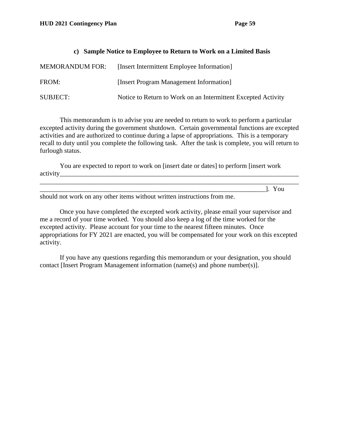#### **c) Sample Notice to Employee to Return to Work on a Limited Basis**

| <b>MEMORANDUM FOR:</b> | [Insert Intermittent Employee Information]                    |
|------------------------|---------------------------------------------------------------|
| FROM:                  | [Insert Program Management Information]                       |
| <b>SUBJECT:</b>        | Notice to Return to Work on an Intermittent Excepted Activity |

This memorandum is to advise you are needed to return to work to perform a particular excepted activity during the government shutdown. Certain governmental functions are excepted activities and are authorized to continue during a lapse of appropriations. This is a temporary recall to duty until you complete the following task. After the task is complete, you will return to furlough status.

You are expected to report to work on [insert date or dates] to perform [insert work activity\_\_\_\_\_\_\_\_\_\_\_\_\_\_\_\_\_\_\_\_\_\_\_\_\_\_\_\_\_\_\_\_\_\_\_\_\_\_\_\_\_\_\_\_\_\_\_\_\_\_\_\_\_\_\_\_\_\_\_\_\_\_\_\_\_\_\_\_\_\_\_\_

\_\_\_\_\_\_\_\_\_\_\_\_\_\_\_\_\_\_\_\_\_\_\_\_\_\_\_\_\_\_\_\_\_\_\_\_\_\_\_\_\_\_\_\_\_\_\_\_\_\_\_\_\_\_\_\_\_\_\_\_\_\_\_\_\_\_\_\_]. You should not work on any other items without written instructions from me.

Once you have completed the excepted work activity, please email your supervisor and me a record of your time worked. You should also keep a log of the time worked for the excepted activity. Please account for your time to the nearest fifteen minutes. Once appropriations for FY 2021 are enacted, you will be compensated for your work on this excepted activity.

If you have any questions regarding this memorandum or your designation, you should contact [Insert Program Management information (name(s) and phone number(s)].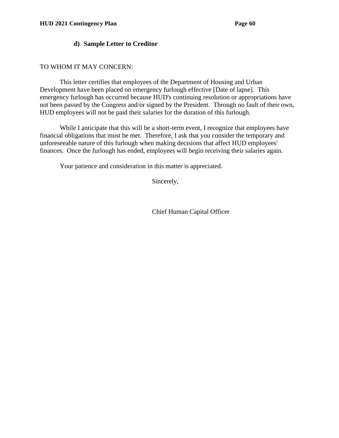#### **d) Sample Letter to Creditor**

#### TO WHOM IT MAY CONCERN:

This letter certifies that employees of the Department of Housing and Urban Development have been placed on emergency furlough effective [Date of lapse]*.* This emergency furlough has occurred because HUD's continuing resolution or appropriations have not been passed by the Congress and/or signed by the President. Through no fault of their own, HUD employees will not be paid their salaries for the duration of this furlough.

While I anticipate that this will be a short-term event, I recognize that employees have financial obligations that must be met. Therefore, I ask that you consider the temporary and unforeseeable nature of this furlough when making decisions that affect HUD employees' finances. Once the furlough has ended, employees will begin receiving their salaries again.

Your patience and consideration in this matter is appreciated.

Sincerely,

Chief Human Capital Officer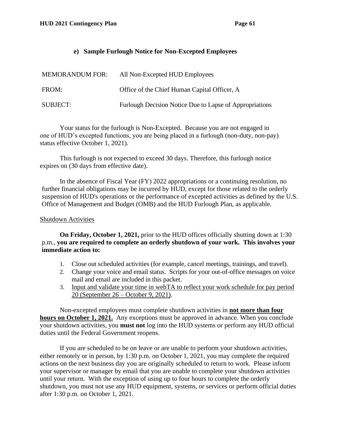#### **e) Sample Furlough Notice for Non-Excepted Employees**

| <b>MEMORANDUM FOR:</b> | All Non-Excepted HUD Employees                          |
|------------------------|---------------------------------------------------------|
| FROM:                  | Office of the Chief Human Capital Officer, A            |
| <b>SUBJECT:</b>        | Furlough Decision Notice Due to Lapse of Appropriations |

Your status for the furlough is Non-Excepted. Because you are not engaged in one of HUD's excepted functions, you are being placed in a furlough (non-duty, non-pay) status effective October 1, 2021).

This furlough is not expected to exceed 30 days. Therefore, this furlough notice expires on (30 days from effective date).

In the absence of Fiscal Year (FY) 2022 appropriations or a continuing resolution, no further financial obligations may be incurred by HUD, except for those related to the orderly suspension of HUD's operations or the performance of excepted activities as defined by the U.S. Office of Management and Budget (OMB) and the HUD Furlough Plan, as applicable.

#### Shutdown Activities

**On Friday, October 1, 2021,** prior to the HUD offices officially shutting down at 1:30 p.m., **you are required to complete an orderly shutdown of your work. This involves your immediate action to:**

- 1. Close out scheduled activities (for example, cancel meetings, trainings, and travel).
- 2. Change your voice and email status. Scripts for your out-of-office messages on voice mail and email are included in this packet.
- 3. Input and validate your time in webTA to reflect your work schedule for pay period 20 (September 26 – October 9, 2021).

Non-excepted employees must complete shutdown activities in **not more than four hours on October 1, 2021.** Any exceptions must be approved in advance. When you conclude your shutdown activities, you **must not** log into the HUD systems or perform any HUD official duties until the Federal Government reopens.

If you are scheduled to be on leave or are unable to perform your shutdown activities, either remotely or in person, by 1:30 p.m. on October 1, 2021, you may complete the required actions on the next business day you are originally scheduled to return to work. Please inform your supervisor or manager by email that you are unable to complete your shutdown activities until your return. With the exception of using up to four hours to complete the orderly shutdown, you must not use any HUD equipment, systems, or services or perform official duties after 1:30 p.m. on October 1, 2021.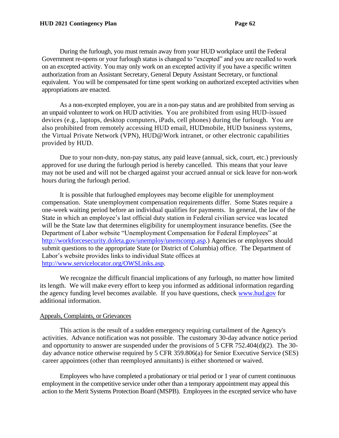During the furlough, you must remain away from your HUD workplace until the Federal Government re-opens or your furlough status is changed to "excepted" and you are recalled to work on an excepted activity. You may only work on an excepted activity if you have a specific written authorization from an Assistant Secretary, General Deputy Assistant Secretary, or functional equivalent. You will be compensated for time spent working on authorized excepted activities when appropriations are enacted.

As a non-excepted employee, you are in a non-pay status and are prohibited from serving as an unpaid volunteer to work on HUD activities. You are prohibited from using HUD-issued devices (e.g., laptops, desktop computers, iPads, cell phones) during the furlough. You are also prohibited from remotely accessing HUD email, HUDmobile, HUD business systems, the Virtual Private Network (VPN), HUD@Work intranet, or other electronic capabilities provided by HUD.

Due to your non-duty, non-pay status, any paid leave (annual, sick, court, etc.) previously approved for use during the furlough period is hereby cancelled. This means that your leave may not be used and will not be charged against your accrued annual or sick leave for non-work hours during the furlough period.

It is possible that furloughed employees may become eligible for unemployment compensation. State unemployment compensation requirements differ. Some States require a one-week waiting period before an individual qualifies for payments. In general, the law of the State in which an employee's last official duty station in Federal civilian service was located will be the State law that determines eligibility for unemployment insurance benefits. (See the Department of Labor website "Unemployment Compensation for Federal Employees" at [http://workforcesecurity.doleta.gov/unemploy/unemcomp.asp.](http://workforcesecurity.doleta.gov/unemploy/unemcomp.asp)) Agencies or employees should submit questions to the appropriate State (or District of Columbia) office. The Department of Labor's website provides links to individual State offices at [http://www.servicelocator.org/OWSLinks.asp.](http://www.servicelocator.org/OWSLinks.asp)

We recognize the difficult financial implications of any furlough, no matter how limited its length. We will make every effort to keep you informed as additional information regarding the agency funding level becomes available. If you have questions, check [www.hud.gov](http://www.hud.gov/) for additional information.

#### Appeals, Complaints, or Grievances

This action is the result of a sudden emergency requiring curtailment of the Agency's activities. Advance notification was not possible. The customary 30-day advance notice period and opportunity to answer are suspended under the provisions of 5 CFR 752.404(d)(2). The 30 day advance notice otherwise required by 5 CFR 359.806(a) for Senior Executive Service (SES) career appointees (other than reemployed annuitants) is either shortened or waived.

Employees who have completed a probationary or trial period or 1 year of current continuous employment in the competitive service under other than a temporary appointment may appeal this action to the Merit Systems Protection Board (MSPB). Employees in the excepted service who have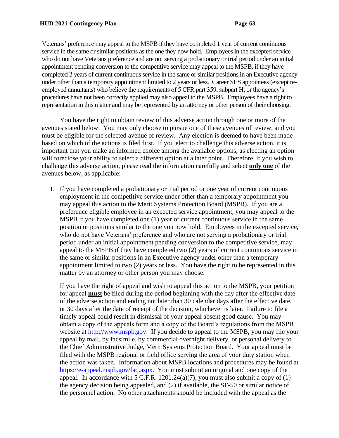Veterans' preference may appeal to the MSPB if they have completed 1 year of current continuous service in the same or similar positions as the one they now hold. Employees in the excepted service who do not have Veterans preference and are not serving a probationary or trial period under an initial appointment pending conversion to the competitive service may appeal to the MSPB, if they have completed 2 years of current continuous service in the same or similar positions in an Executive agency under other than a temporary appointment limited to 2 years or less. Career SES appointees (except reemployed annuitants) who believe the requirements of 5 CFR part 359, subpart H, or the agency's procedures have not been correctly applied may also appeal to the MSPB. Employees have a right to representation in this matter and may be represented by an attorney or other person of their choosing.

You have the right to obtain review of this adverse action through one or more of the avenues stated below. You may only choose to pursue one of these avenues of review, and you must be eligible for the selected avenue of review. Any election is deemed to have been made based on which of the actions is filed first. If you elect to challenge this adverse action, it is important that you make an informed choice among the available options, as electing an option will foreclose your ability to select a different option at a later point. Therefore, if you wish to challenge this adverse action, please read the information carefully and select **only one** of the avenues below, as applicable:

1. If you have completed a probationary or trial period or one year of current continuous employment in the competitive service under other than a temporary appointment you may appeal this action to the Merit Systems Protection Board (MSPB). If you are a preference eligible employee in an excepted service appointment, you may appeal to the MSPB if you have completed one (1) year of current continuous service in the same position or positions similar to the one you now hold. Employees in the excepted service, who do not have Veterans' preference and who are not serving a probationary or trial period under an initial appointment pending conversion to the competitive service, may appeal to the MSPB if they have completed two (2) years of current continuous service in the same or similar positions in an Executive agency under other than a temporary appointment limited to two (2) years or less. You have the right to be represented in this matter by an attorney or other person you may choose.

If you have the right of appeal and wish to appeal this action to the MSPB, your petition for appeal **must** be filed during the period beginning with the day after the effective date of the adverse action and ending not later than 30 calendar days after the effective date, or 30 days after the date of receipt of the decision, whichever is later. Failure to file a timely appeal could result in dismissal of your appeal absent good cause. You may obtain a copy of the appeals form and a copy of the Board's regulations from the MSPB website at [http://www.mspb.gov.](http://www.mspb.gov/) If you decide to appeal to the MSPB, you may file your appeal by mail, by facsimile, by commercial overnight delivery, or personal delivery to the Chief Administrative Judge, Merit Systems Protection Board. Your appeal must be filed with the MSPB regional or field office serving the area of your duty station when the action was taken. Information about MSPB locations and procedures may be found at [https://e-appeal.mspb.gov/faq.aspx.](https://e-appeal.mspb.gov/faq.aspx) You must submit an original and one copy of the appeal. In accordance with 5 C.F.R. 1201.24(a)(7), you must also submit a copy of  $(1)$ the agency decision being appealed, and (2) if available, the SF-50 or similar notice of the personnel action. No other attachments should be included with the appeal as the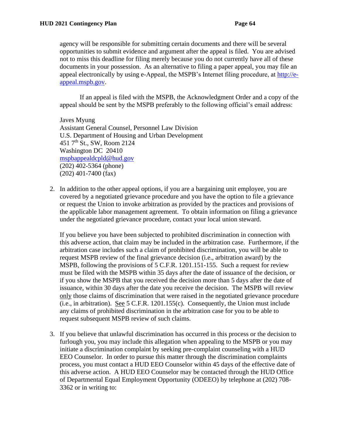agency will be responsible for submitting certain documents and there will be several opportunities to submit evidence and argument after the appeal is filed. You are advised not to miss this deadline for filing merely because you do not currently have all of these documents in your possession. As an alternative to filing a paper appeal, you may file an appeal electronically by using e-Appeal, the MSPB's Internet filing procedure, at [http://e](http://e-appeal.mspb.gov/)[appeal.mspb.gov.](http://e-appeal.mspb.gov/)

If an appeal is filed with the MSPB, the Acknowledgment Order and a copy of the appeal should be sent by the MSPB preferably to the following official's email address:

Javes Myung Assistant General Counsel, Personnel Law Division U.S. Department of Housing and Urban Development 451 7th St., SW, Room 2124 Washington DC 20410 [mspbappealdcpld@hud.gov](mailto:mspbappealdcpld@hud.gov) (202) 402-5364 (phone) (202) 401-7400 (fax)

2. In addition to the other appeal options, if you are a bargaining unit employee, you are covered by a negotiated grievance procedure and you have the option to file a grievance or request the Union to invoke arbitration as provided by the practices and provisions of the applicable labor management agreement. To obtain information on filing a grievance under the negotiated grievance procedure, contact your local union steward.

If you believe you have been subjected to prohibited discrimination in connection with this adverse action, that claim may be included in the arbitration case. Furthermore, if the arbitration case includes such a claim of prohibited discrimination, you will be able to request MSPB review of the final grievance decision (i.e., arbitration award) by the MSPB, following the provisions of 5 C.F.R. 1201.151-155. Such a request for review must be filed with the MSPB within 35 days after the date of issuance of the decision, or if you show the MSPB that you received the decision more than 5 days after the date of issuance, within 30 days after the date you receive the decision. The MSPB will review only those claims of discrimination that were raised in the negotiated grievance procedure (i.e., in arbitration). See 5 C.F.R. 1201.155(c). Consequently, the Union must include any claims of prohibited discrimination in the arbitration case for you to be able to request subsequent MSPB review of such claims.

3. If you believe that unlawful discrimination has occurred in this process or the decision to furlough you, you may include this allegation when appealing to the MSPB or you may initiate a discrimination complaint by seeking pre-complaint counseling with a HUD EEO Counselor. In order to pursue this matter through the discrimination complaints process, you must contact a HUD EEO Counselor within 45 days of the effective date of this adverse action. A HUD EEO Counselor may be contacted through the HUD Office of Departmental Equal Employment Opportunity (ODEEO) by telephone at (202) 708- 3362 or in writing to: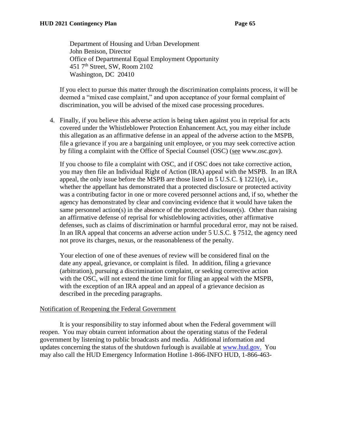Department of Housing and Urban Development John Benison, Director Office of Departmental Equal Employment Opportunity 451 7th Street, SW, Room 2102 Washington, DC 20410

If you elect to pursue this matter through the discrimination complaints process, it will be deemed a "mixed case complaint," and upon acceptance of your formal complaint of discrimination, you will be advised of the mixed case processing procedures.

4. Finally, if you believe this adverse action is being taken against you in reprisal for acts covered under the Whistleblower Protection Enhancement Act, you may either include this allegation as an affirmative defense in an appeal of the adverse action to the MSPB, file a grievance if you are a bargaining unit employee, or you may seek corrective action by filing a complaint with the Office of Special Counsel (OSC) (see www.osc.gov).

If you choose to file a complaint with OSC, and if OSC does not take corrective action, you may then file an Individual Right of Action (IRA) appeal with the MSPB. In an IRA appeal, the only issue before the MSPB are those listed in 5 U.S.C. § 1221(e), i.e., whether the appellant has demonstrated that a protected disclosure or protected activity was a contributing factor in one or more covered personnel actions and, if so, whether the agency has demonstrated by clear and convincing evidence that it would have taken the same personnel action(s) in the absence of the protected disclosure(s). Other than raising an affirmative defense of reprisal for whistleblowing activities, other affirmative defenses, such as claims of discrimination or harmful procedural error, may not be raised. In an IRA appeal that concerns an adverse action under 5 U.S.C. § 7512, the agency need not prove its charges, nexus, or the reasonableness of the penalty.

Your election of one of these avenues of review will be considered final on the date any appeal, grievance, or complaint is filed. In addition, filing a grievance (arbitration), pursuing a discrimination complaint, or seeking corrective action with the OSC, will not extend the time limit for filing an appeal with the MSPB, with the exception of an IRA appeal and an appeal of a grievance decision as described in the preceding paragraphs.

#### Notification of Reopening the Federal Government

It is your responsibility to stay informed about when the Federal government will reopen. You may obtain current information about the operating status of the Federal government by listening to public broadcasts and media. Additional information and updates concerning the status of the shutdown furlough is available at [www.hud.gov.](http://www.hud.gove/) You may also call the HUD Emergency Information Hotline 1-866-INFO HUD, 1-866-463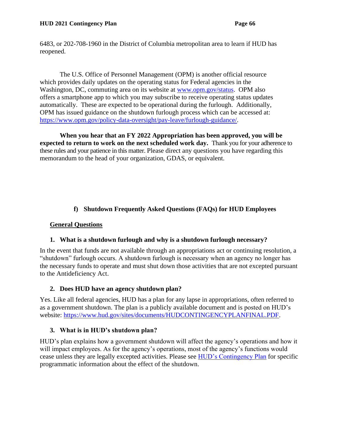6483, or 202-708-1960 in the District of Columbia metropolitan area to learn if HUD has reopened.

The U.S. Office of Personnel Management (OPM) is another official resource which provides daily updates on the operating status for Federal agencies in the Washington, DC, commuting area on its website at [www.opm.gov/status.](http://www.opm.gov/status) OPM also offers a smartphone app to which you may subscribe to receive operating status updates automatically. These are expected to be operational during the furlough. Additionally, OPM has issued guidance on the shutdown furlough process which can be accessed at: [https://www.opm.gov/policy-data-oversight/pay-leave/furlough-guidance/.](https://www.opm.gov/policy-data-oversight/pay-leave/furlough-guidance/)

**When you hear that an FY 2022 Appropriation has been approved, you will be expected to return to work on the next scheduled work day.** Thank you for your adherence to these rules and your patience in this matter. Please direct any questions you have regarding this memorandum to the head of your organization, GDAS, or equivalent.

# **f) Shutdown Frequently Asked Questions (FAQs) for HUD Employees**

# **General Questions**

# **1. What is a shutdown furlough and why is a shutdown furlough necessary?**

In the event that funds are not available through an appropriations act or continuing resolution, a "shutdown" furlough occurs. A shutdown furlough is necessary when an agency no longer has the necessary funds to operate and must shut down those activities that are not excepted pursuant to the Antideficiency Act.

# **2. Does HUD have an agency shutdown plan?**

Yes. Like all federal agencies, HUD has a plan for any lapse in appropriations, often referred to as a government shutdown. The plan is a publicly available document and is posted on HUD's website: [https://www.hud.gov/sites/documents/HUDCONTINGENCYPLANFINAL.PDF.](https://www.hud.gov/sites/documents/HUDCONTINGENCYPLANFINAL.PDF)

# **3. What is in HUD's shutdown plan?**

HUD's plan explains how a government shutdown will affect the agency's operations and how it will impact employees. As for the agency's operations, most of the agency's functions would cease unless they are legally excepted activities. Please see [HUD's Contingency Plan](https://www.hud.gov/sites/documents/HUDCONTINGENCYPLANFINAL.PDF) for specific programmatic information about the effect of the shutdown.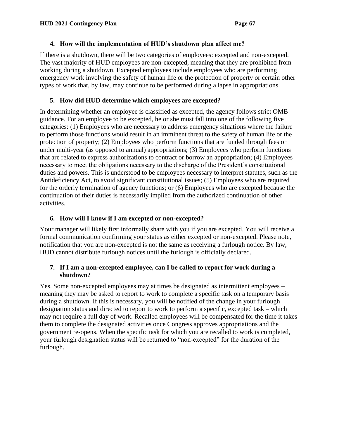# **4. How will the implementation of HUD's shutdown plan affect me?**

If there is a shutdown, there will be two categories of employees: excepted and non-excepted. The vast majority of HUD employees are non-excepted, meaning that they are prohibited from working during a shutdown. Excepted employees include employees who are performing emergency work involving the safety of human life or the protection of property or certain other types of work that, by law, may continue to be performed during a lapse in appropriations.

# **5. How did HUD determine which employees are excepted?**

In determining whether an employee is classified as excepted, the agency follows strict OMB guidance. For an employee to be excepted, he or she must fall into one of the following five categories: (1) Employees who are necessary to address emergency situations where the failure to perform those functions would result in an imminent threat to the safety of human life or the protection of property; (2) Employees who perform functions that are funded through fees or under multi-year (as opposed to annual) appropriations; (3) Employees who perform functions that are related to express authorizations to contract or borrow an appropriation; (4) Employees necessary to meet the obligations necessary to the discharge of the President's constitutional duties and powers. This is understood to be employees necessary to interpret statutes, such as the Antideficiency Act, to avoid significant constitutional issues; (5) Employees who are required for the orderly termination of agency functions; or (6) Employees who are excepted because the continuation of their duties is necessarily implied from the authorized continuation of other activities.

#### **6. How will I know if I am excepted or non-excepted?**

Your manager will likely first informally share with you if you are excepted. You will receive a formal communication confirming your status as either excepted or non-excepted. Please note, notification that you are non-excepted is not the same as receiving a furlough notice. By law, HUD cannot distribute furlough notices until the furlough is officially declared.

#### **7. If I am a non-excepted employee, can I be called to report for work during a shutdown?**

Yes. Some non-excepted employees may at times be designated as intermittent employees – meaning they may be asked to report to work to complete a specific task on a temporary basis during a shutdown. If this is necessary, you will be notified of the change in your furlough designation status and directed to report to work to perform a specific, excepted task – which may not require a full day of work. Recalled employees will be compensated for the time it takes them to complete the designated activities once Congress approves appropriations and the government re-opens. When the specific task for which you are recalled to work is completed, your furlough designation status will be returned to "non-excepted" for the duration of the furlough.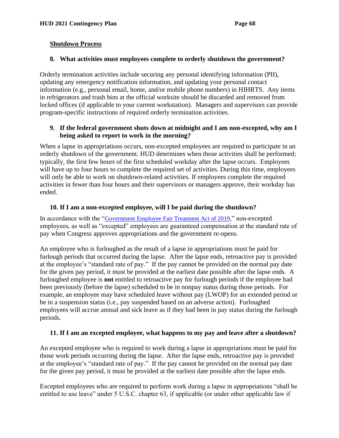### **Shutdown Process**

### **8. What activities must employees complete to orderly shutdown the government?**

Orderly termination activities include securing any personal identifying information (PII), updating any emergency notification information, and updating your personal contact information (e.g., personal email, home, and/or mobile phone numbers) in HIHRTS. Any items in refrigerators and trash bins at the official worksite should be discarded and removed from locked offices (if applicable to your current workstation). Managers and supervisors can provide program-specific instructions of required orderly termination activities.

#### **9. If the federal government shuts down at midnight and I am non-excepted, why am I being asked to report to work in the morning?**

When a lapse in appropriations occurs, non-excepted employees are required to participate in an orderly shutdown of the government. HUD determines when those activities shall be performed; typically, the first few hours of the first scheduled workday after the lapse occurs. Employees will have up to four hours to complete the required set of activities. During this time, employees will only be able to work on shutdown-related activities. If employees complete the required activities in fewer than four hours and their supervisors or managers approve, their workday has ended.

# **10. If I am a non-excepted employee, will I be paid during the shutdown?**

In accordance with the "[Government Employee Fair Treatment Act of 2019](https://www.congress.gov/bill/116th-congress/senate-bill/24)," non-excepted employees, as well as "excepted" employees are guaranteed compensation at the standard rate of pay when Congress approves appropriations and the government re-opens.

An employee who is furloughed as the result of a lapse in appropriations must be paid for furlough periods that occurred during the lapse. After the lapse ends, retroactive pay is provided at the employee's "standard rate of pay." If the pay cannot be provided on the normal pay date for the given pay period, it must be provided at the earliest date possible after the lapse ends. A furloughed employee is **not** entitled to retroactive pay for furlough periods if the employee had been previously (before the lapse) scheduled to be in nonpay status during those periods. For example, an employee may have scheduled leave without pay (LWOP) for an extended period or be in a suspension status (i.e., pay suspended based on an adverse action). Furloughed employees will accrue annual and sick leave as if they had been in pay status during the furlough periods.

# **11. If I am an excepted employee, what happens to my pay and leave after a shutdown?**

An excepted employee who is required to work during a lapse in appropriations must be paid for those work periods occurring during the lapse. After the lapse ends, retroactive pay is provided at the employee's "standard rate of pay." If the pay cannot be provided on the normal pay date for the given pay period, it must be provided at the earliest date possible after the lapse ends.

Excepted employees who are required to perform work during a lapse in appropriations "shall be entitled to use leave" under 5 U.S.C. chapter 63, if applicable (or under other applicable law if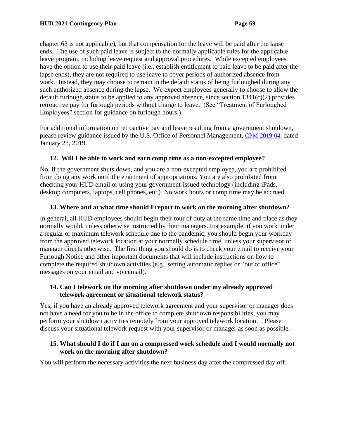chapter 63 is not applicable), but that compensation for the leave will be paid after the lapse ends. The use of such paid leave is subject to the normally applicable rules for the applicable leave program, including leave request and approval procedures. While excepted employees have the option to use their paid leave (i.e., establish entitlement to paid leave to be paid after the lapse ends), they are not required to use leave to cover periods of authorized absence from work. Instead, they may choose to remain in the default status of being furloughed during any such authorized absence during the lapse. We expect employees generally to choose to allow the default furlough status to be applied to any approved absence, since section  $1341(c)(2)$  provides retroactive pay for furlough periods without charge to leave. (See "Treatment of Furloughed Employees" section for guidance on furlough hours.)

For additional information on retroactive pay and leave resulting from a government shutdown, please review guidance issued by the U.S. Office of Personnel Management, [CPM-2019-04](https://chcoc.gov/content/government-employee-fair-treatment-act-2019), dated January 23, 2019.

# **12. Will I be able to work and earn comp time as a non-excepted employee?**

No. If the government shuts down, and you are a non-excepted employee, you are prohibited from doing any work until the enactment of appropriations. You are also prohibited from checking your HUD email or using your government-issued technology (including iPads, desktop computers, laptops, cell phones, etc.) No work hours or comp time may be accrued.

#### **13. Where and at what time should I report to work on the morning after shutdown?**

In general, all HUD employees should begin their tour of duty at the same time and place as they normally would, unless otherwise instructed by their managers. For example, if you work under a regular or maximum telework schedule due to the pandemic, you should begin your workday from the approved telework location at your normally schedule time, unless your supervisor or manager directs otherwise. The first thing you should do is to check your email to receive your Furlough Notice and other important documents that will include instructions on how to complete the required shutdown activities (e.g., setting automatic replies or "out of office" messages on your email and voicemail).

#### **14. Can I telework on the morning after shutdown under my already approved telework agreement or situational telework status?**

Yes, if you have an already approved telework agreement and your supervisor or manager does not have a need for you to be in the office to complete shutdown responsibilities, you may perform your shutdown activities remotely from your approved telework location. . Please discuss your situational telework request with your supervisor or manager as soon as possible.

#### **15. What should I do if I am on a compressed work schedule and I would normally not work on the morning after shutdown?**

You will perform the necessary activities the next business day after the compressed day off.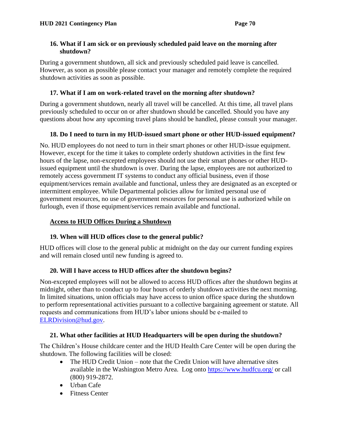#### **16. What if I am sick or on previously scheduled paid leave on the morning after shutdown?**

During a government shutdown, all sick and previously scheduled paid leave is cancelled. However, as soon as possible please contact your manager and remotely complete the required shutdown activities as soon as possible.

### **17. What if I am on work-related travel on the morning after shutdown?**

During a government shutdown, nearly all travel will be cancelled. At this time, all travel plans previously scheduled to occur on or after shutdown should be cancelled. Should you have any questions about how any upcoming travel plans should be handled, please consult your manager.

#### **18. Do I need to turn in my HUD-issued smart phone or other HUD-issued equipment?**

No. HUD employees do not need to turn in their smart phones or other HUD-issue equipment. However, except for the time it takes to complete orderly shutdown activities in the first few hours of the lapse, non-excepted employees should not use their smart phones or other HUDissued equipment until the shutdown is over. During the lapse, employees are not authorized to remotely access government IT systems to conduct any official business, even if those equipment/services remain available and functional, unless they are designated as an excepted or intermittent employee. While Departmental policies allow for limited personal use of government resources, no use of government resources for personal use is authorized while on furlough, even if those equipment/services remain available and functional.

### **Access to HUD Offices During a Shutdown**

# **19. When will HUD offices close to the general public?**

HUD offices will close to the general public at midnight on the day our current funding expires and will remain closed until new funding is agreed to.

#### **20. Will I have access to HUD offices after the shutdown begins?**

Non-excepted employees will not be allowed to access HUD offices after the shutdown begins at midnight, other than to conduct up to four hours of orderly shutdown activities the next morning. In limited situations, union officials may have access to union office space during the shutdown to perform representational activities pursuant to a collective bargaining agreement or statute. All requests and communications from HUD's labor unions should be e-mailed to [ELRDivision@hud.gov.](mailto:ELRDivision@hud.gov)

#### **21. What other facilities at HUD Headquarters will be open during the shutdown?**

The Children's House childcare center and the HUD Health Care Center will be open during the shutdown. The following facilities will be closed:

- The HUD Credit Union note that the Credit Union will have alternative sites available in the Washington Metro Area. Log onto<https://www.hudfcu.org/> or call (800) 919-2872.
- Urban Cafe
- Fitness Center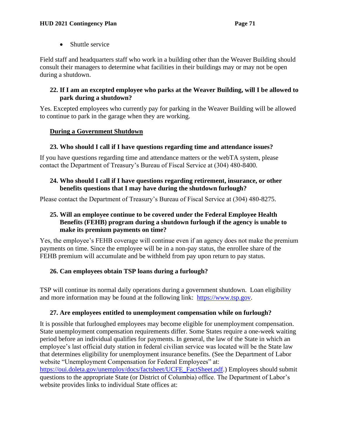• Shuttle service

Field staff and headquarters staff who work in a building other than the Weaver Building should consult their managers to determine what facilities in their buildings may or may not be open during a shutdown.

### **22. If I am an excepted employee who parks at the Weaver Building, will I be allowed to park during a shutdown?**

Yes. Excepted employees who currently pay for parking in the Weaver Building will be allowed to continue to park in the garage when they are working.

# **During a Government Shutdown**

# **23. Who should I call if I have questions regarding time and attendance issues?**

If you have questions regarding time and attendance matters or the webTA system, please contact the Department of Treasury's Bureau of Fiscal Service at (304) 480-8400.

#### **24. Who should I call if I have questions regarding retirement, insurance, or other benefits questions that I may have during the shutdown furlough?**

Please contact the Department of Treasury's Bureau of Fiscal Service at (304) 480-8275.

#### **25. Will an employee continue to be covered under the Federal Employee Health Benefits (FEHB) program during a shutdown furlough if the agency is unable to make its premium payments on time?**

Yes, the employee's FEHB coverage will continue even if an agency does not make the premium payments on time. Since the employee will be in a non-pay status, the enrollee share of the FEHB premium will accumulate and be withheld from pay upon return to pay status.

# **26. Can employees obtain TSP loans during a furlough?**

TSP will continue its normal daily operations during a government shutdown. Loan eligibility and more information may be found at the following link: [https://www.tsp.gov.](https://www.tsp.gov/)

# **27. Are employees entitled to unemployment compensation while on furlough?**

It is possible that furloughed employees may become eligible for unemployment compensation. State unemployment compensation requirements differ. Some States require a one-week waiting period before an individual qualifies for payments. In general, the law of the State in which an employee's last official duty station in federal civilian service was located will be the State law that determines eligibility for unemployment insurance benefits. (See the Department of Labor website "Unemployment Compensation for Federal Employees" at:

[https://oui.doleta.gov/unemploy/docs/factsheet/UCFE\\_FactSheet.pdf.](https://oui.doleta.gov/unemploy/docs/factsheet/UCFE_FactSheet.pdf)) Employees should submit questions to the appropriate State (or District of Columbia) office. The Department of Labor's website provides links to individual State offices at: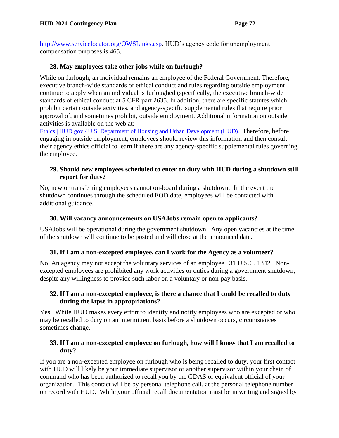[http://www.servicelocator.org/OWSLinks.asp.](http://www.servicelocator.org/OWSLinks.asp) HUD's agency code for unemployment compensation purposes is 465.

# **28. May employees take other jobs while on furlough?**

While on furlough, an individual remains an employee of the Federal Government. Therefore, executive branch-wide standards of ethical conduct and rules regarding outside employment continue to apply when an individual is furloughed (specifically, the executive branch-wide standards of ethical conduct at 5 CFR part 2635. In addition, there are specific statutes which prohibit certain outside activities, and agency-specific supplemental rules that require prior approval of, and sometimes prohibit, outside employment. Additional information on outside activities is available on the web at:

[Ethics | HUD.gov / U.S. Department of Housing and Urban Development \(HUD\).](https://www.hud.gov/program_offices/general_counsel/ethics) Therefore, before engaging in outside employment, employees should review this information and then consult their agency ethics official to learn if there are any agency-specific supplemental rules governing the employee.

### **29. Should new employees scheduled to enter on duty with HUD during a shutdown still report for duty?**

No, new or transferring employees cannot on-board during a shutdown. In the event the shutdown continues through the scheduled EOD date, employees will be contacted with additional guidance.

# **30. Will vacancy announcements on USAJobs remain open to applicants?**

USAJobs will be operational during the government shutdown. Any open vacancies at the time of the shutdown will continue to be posted and will close at the announced date.

# **31. If I am a non-excepted employee, can I work for the Agency as a volunteer?**

No. An agency may not accept the voluntary services of an employee. 31 U.S.C. 1342. Nonexcepted employees are prohibited any work activities or duties during a government shutdown, despite any willingness to provide such labor on a voluntary or non-pay basis.

#### **32. If I am a non-excepted employee, is there a chance that I could be recalled to duty during the lapse in appropriations?**

Yes. While HUD makes every effort to identify and notify employees who are excepted or who may be recalled to duty on an intermittent basis before a shutdown occurs, circumstances sometimes change.

#### **33. If I am a non-excepted employee on furlough, how will I know that I am recalled to duty?**

If you are a non-excepted employee on furlough who is being recalled to duty, your first contact with HUD will likely be your immediate supervisor or another supervisor within your chain of command who has been authorized to recall you by the GDAS or equivalent official of your organization. This contact will be by personal telephone call, at the personal telephone number on record with HUD. While your official recall documentation must be in writing and signed by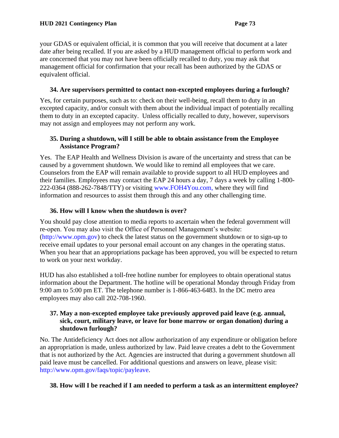your GDAS or equivalent official, it is common that you will receive that document at a later date after being recalled. If you are asked by a HUD management official to perform work and are concerned that you may not have been officially recalled to duty, you may ask that management official for confirmation that your recall has been authorized by the GDAS or equivalent official.

### **34. Are supervisors permitted to contact non-excepted employees during a furlough?**

Yes, for certain purposes, such as to: check on their well-being, recall them to duty in an excepted capacity, and/or consult with them about the individual impact of potentially recalling them to duty in an excepted capacity. Unless officially recalled to duty, however, supervisors may not assign and employees may not perform any work.

#### **35. During a shutdown, will I still be able to obtain assistance from the Employee Assistance Program?**

Yes. The EAP Health and Wellness Division is aware of the uncertainty and stress that can be caused by a government shutdown. We would like to remind all employees that we care. Counselors from the EAP will remain available to provide support to all HUD employees and their families. Employees may contact the EAP 24 hours a day, 7 days a week by calling 1-800- 222-0364 (888-262-7848/TTY) or visiting [www.FOH4You.com,](http://www.foh4you.com/) where they will find information and resources to assist them through this and any other challenging time.

### **36. How will I know when the shutdown is over?**

You should pay close attention to media reports to ascertain when the federal government will re-open. You may also visit the Office of Personnel Management's website: [\(http://www.opm.gov\)](http://www.opm.gov/) to check the latest status on the government shutdown or to sign-up to receive email updates to your personal email account on any changes in the operating status. When you hear that an appropriations package has been approved, you will be expected to return to work on your next workday.

HUD has also established a toll-free hotline number for employees to obtain operational status information about the Department. The hotline will be operational Monday through Friday from 9:00 am to 5:00 pm ET. The telephone number is 1-866-463-6483. In the DC metro area employees may also call 202-708-1960.

#### **37. May a non-excepted employee take previously approved paid leave (e.g. annual, sick, court, military leave, or leave for bone marrow or organ donation) during a shutdown furlough?**

No. The Antideficiency Act does not allow authorization of any expenditure or obligation before an appropriation is made, unless authorized by law. Paid leave creates a debt to the Government that is not authorized by the Act. Agencies are instructed that during a government shutdown all paid leave must be cancelled. For additional questions and answers on leave, please visit: [http://www.opm.gov/faqs/topic/payleave.](http://www.opm.gov/faqs/topic/payleave)

#### **38. How will I be reached if I am needed to perform a task as an intermittent employee?**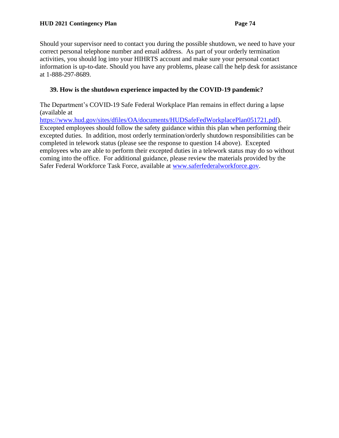Should your supervisor need to contact you during the possible shutdown, we need to have your correct personal telephone number and email address. As part of your orderly termination activities, you should log into your HIHRTS account and make sure your personal contact information is up-to-date. Should you have any problems, please call the help desk for assistance at 1-888-297-8689.

### **39. How is the shutdown experience impacted by the COVID-19 pandemic?**

The Department's COVID-19 Safe Federal Workplace Plan remains in effect during a lapse (available at

[https://www.hud.gov/sites/dfiles/OA/documents/HUDSafeFedWorkplacePlan051721.pdf\)](https://www.hud.gov/sites/dfiles/OA/documents/HUDSafeFedWorkplacePlan051721.pdf). Excepted employees should follow the safety guidance within this plan when performing their excepted duties. In addition, most orderly termination/orderly shutdown responsibilities can be completed in telework status (please see the response to question 14 above). Excepted employees who are able to perform their excepted duties in a telework status may do so without coming into the office. For additional guidance, please review the materials provided by the Safer Federal Workforce Task Force, available at [www.saferfederalworkforce.gov.](http://www.saferfederalworkforce.gov/)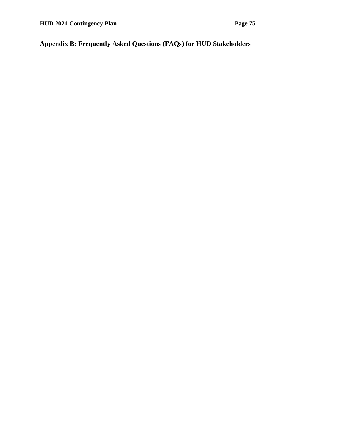# **Appendix B: Frequently Asked Questions (FAQs) for HUD Stakeholders**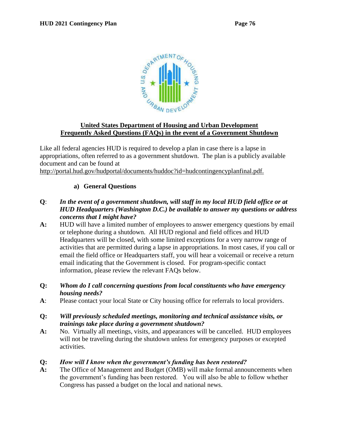

### **United States Department of Housing and Urban Development Frequently Asked Questions (FAQs) in the event of a Government Shutdown**

Like all federal agencies HUD is required to develop a plan in case there is a lapse in appropriations, often referred to as a government shutdown. The plan is a publicly available document and can be found at

http://portal.hud.gov/hudportal/documents/huddoc?id=hudcontingencyplanfinal.pdf.

### **a) General Questions**

- **Q**: *In the event of a government shutdown, will staff in my local HUD field office or at HUD Headquarters (Washington D.C.) be available to answer my questions or address concerns that I might have?*
- **A:** HUD will have a limited number of employees to answer emergency questions by email or telephone during a shutdown. All HUD regional and field offices and HUD Headquarters will be closed, with some limited exceptions for a very narrow range of activities that are permitted during a lapse in appropriations. In most cases, if you call or email the field office or Headquarters staff, you will hear a voicemail or receive a return email indicating that the Government is closed. For program-specific contact information, please review the relevant FAQs below.
- **Q:** *Whom do I call concerning questions from local constituents who have emergency housing needs?*
- **A**: Please contact your local State or City housing office for referrals to local providers.
- **Q:** *Will previously scheduled meetings, monitoring and technical assistance visits, or trainings take place during a government shutdown?*
- **A:** No. Virtually all meetings, visits, and appearances will be cancelled. HUD employees will not be traveling during the shutdown unless for emergency purposes or excepted activities.
- **Q:** *How will I know when the government's funding has been restored?*
- **A:** The Office of Management and Budget (OMB) will make formal announcements when the government's funding has been restored. You will also be able to follow whether Congress has passed a budget on the local and national news.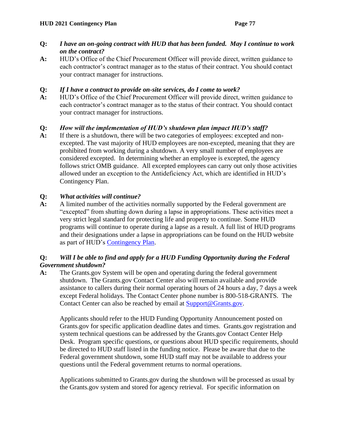### **Q:** *I have an on-going contract with HUD that has been funded. May I continue to work on the contract?*

**A:**HUD's Office of the Chief Procurement Officer will provide direct, written guidance to each contractor's contract manager as to the status of their contract. You should contact your contract manager for instructions.

### **Q:** *If I have a contract to provide on-site services, do I come to work?*

**A:** HUD's Office of the Chief Procurement Officer will provide direct, written guidance to each contractor's contract manager as to the status of their contract. You should contact your contract manager for instructions.

### **Q:** *How will the implementation of HUD's shutdown plan impact HUD's staff?*

**A:** If there is a shutdown, there will be two categories of employees: excepted and nonexcepted. The vast majority of HUD employees are non-excepted, meaning that they are prohibited from working during a shutdown. A very small number of employees are considered excepted. In determining whether an employee is excepted, the agency follows strict OMB guidance. All excepted employees can carry out only those activities allowed under an exception to the Antideficiency Act, which are identified in HUD's Contingency Plan.

### **Q:** *What activities will continue?*

**A:** A limited number of the activities normally supported by the Federal government are "excepted" from shutting down during a lapse in appropriations. These activities meet a very strict legal standard for protecting life and property to continue. Some HUD programs will continue to operate during a lapse as a result. A full list of HUD programs and their designations under a lapse in appropriations can be found on the HUD website as part of HUD's [Contingency Plan.](http://portal.hud.gov/hudportal/documents/huddoc?id=hudcontingencyplanfinal.pdf)

### **Q:** *Will I be able to find and apply for a HUD Funding Opportunity during the Federal Government shutdown?*

**A:** The Grants.gov System will be open and operating during the federal government shutdown. The Grants.gov Contact Center also will remain available and provide assistance to callers during their normal operating hours of 24 hours a day, 7 days a week except Federal holidays. The Contact Center phone number is 800-518-GRANTS. The Contact Center can also be reached by email at [Support@Grants.gov.](mailto:Support@Grants.gov)

Applicants should refer to the HUD Funding Opportunity Announcement posted on Grants.gov for specific application deadline dates and times. Grants.gov registration and system technical questions can be addressed by the Grants.gov Contact Center Help Desk. Program specific questions, or questions about HUD specific requirements, should be directed to HUD staff listed in the funding notice. Please be aware that due to the Federal government shutdown, some HUD staff may not be available to address your questions until the Federal government returns to normal operations.

Applications submitted to Grants.gov during the shutdown will be processed as usual by the Grants.gov system and stored for agency retrieval. For specific information on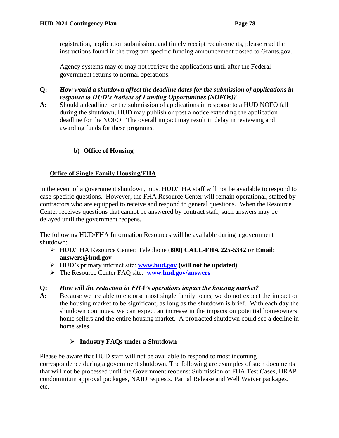registration, application submission, and timely receipt requirements, please read the instructions found in the program specific funding announcement posted to Grants.gov.

Agency systems may or may not retrieve the applications until after the Federal government returns to normal operations.

- **Q:** *How would a shutdown affect the deadline dates for the submission of applications in response to HUD's Notices of Funding Opportunities (NOFOs)?*
- **A:** Should a deadline for the submission of applications in response to a HUD NOFO fall during the shutdown, HUD may publish or post a notice extending the application deadline for the NOFO. The overall impact may result in delay in reviewing and awarding funds for these programs.

## **b) Office of Housing**

### **Office of Single Family Housing/FHA**

In the event of a government shutdown, most HUD/FHA staff will not be available to respond to case-specific questions. However, the FHA Resource Center will remain operational, staffed by contractors who are equipped to receive and respond to general questions. When the Resource Center receives questions that cannot be answered by contract staff, such answers may be delayed until the government reopens.

The following HUD/FHA Information Resources will be available during a government shutdown:

- ➢ HUD/FHA Resource Center: Telephone (**800) CALL-FHA 225-5342 or Email: answers@hud.gov**
- ➢ HUD's primary internet site: **[www.hud.gov](http://www.hud.gov/) (will not be updated)**
- ➢ The Resource Center FAQ site: **[www.hud.gov/answers](http://www.hud.gov/answers)**

### **Q:** *How will the reduction in FHA's operations impact the housing market?*

**A:** Because we are able to endorse most single family loans, we do not expect the impact on the housing market to be significant, as long as the shutdown is brief. With each day the shutdown continues, we can expect an increase in the impacts on potential homeowners. home sellers and the entire housing market. A protracted shutdown could see a decline in home sales.

### ➢ **Industry FAQs under a Shutdown**

Please be aware that HUD staff will not be available to respond to most incoming correspondence during a government shutdown. The following are examples of such documents that will not be processed until the Government reopens: Submission of FHA Test Cases, HRAP condominium approval packages, NAID requests, Partial Release and Well Waiver packages, etc.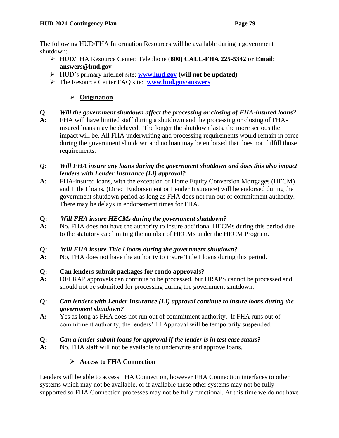The following HUD/FHA Information Resources will be available during a government shutdown:

- ➢ HUD/FHA Resource Center: Telephone (**800) CALL-FHA 225-5342 or Email: answers@hud.gov**
- ➢ HUD's primary internet site: **[www.hud.gov](http://www.hud.gov/) (will not be updated)**
- ➢ The Resource Center FAQ site: **[www.hud.gov/answers](http://www.hud.gov/answers)**

## ➢ **Origination**

### **Q:** *Will the government shutdown affect the processing or closing of FHA-insured loans?*

**A:** FHA will have limited staff during a shutdown and the processing or closing of FHAinsured loans may be delayed. The longer the shutdown lasts, the more serious the impact will be. All FHA underwriting and processing requirements would remain in force during the government shutdown and no loan may be endorsed that does not fulfill those requirements.

### *Q: Will FHA insure any loans during the government shutdown and does this also impact lenders with Lender Insurance (LI) approval?*

**A:** FHA-insured loans, with the exception of Home Equity Conversion Mortgages (HECM) and Title I loans, (Direct Endorsement or Lender Insurance) will be endorsed during the government shutdown period as long as FHA does not run out of commitment authority. There may be delays in endorsement times for FHA.

### **Q:** *Will FHA insure HECMs during the government shutdown?*

**A:** No, FHA does not have the authority to insure additional HECMs during this period due to the statutory cap limiting the number of HECMs under the HECM Program.

### **Q:** *Will FHA insure Title I loans during the government shutdown?*

**A:** No, FHA does not have the authority to insure Title I loans during this period.

## **Q: Can lenders submit packages for condo approvals?**

- **A:** DELRAP approvals can continue to be processed, but HRAPS cannot be processed and should not be submitted for processing during the government shutdown.
- **Q:** *Can lenders with Lender Insurance (LI) approval continue to insure loans during the government shutdown?*
- **A:** Yes as long as FHA does not run out of commitment authority. If FHA runs out of commitment authority, the lenders' LI Approval will be temporarily suspended.

## **Q:** *Can a lender submit loans for approval if the lender is in test case status?*

**A:** No. FHA staff will not be available to underwrite and approve loans.

## ➢ **Access to FHA Connection**

Lenders will be able to access FHA Connection, however FHA Connection interfaces to other systems which may not be available, or if available these other systems may not be fully supported so FHA Connection processes may not be fully functional. At this time we do not have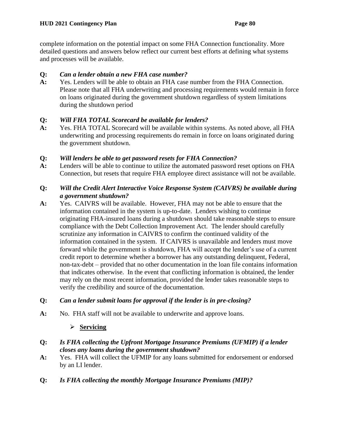complete information on the potential impact on some FHA Connection functionality. More detailed questions and answers below reflect our current best efforts at defining what systems and processes will be available.

### **Q:** *Can a lender obtain a new FHA case number?*

**A:** Yes. Lenders will be able to obtain an FHA case number from the FHA Connection. Please note that all FHA underwriting and processing requirements would remain in force on loans originated during the government shutdown regardless of system limitations during the shutdown period

### **Q:** *Will FHA TOTAL Scorecard be available for lenders?*

**A:** Yes. FHA TOTAL Scorecard will be available within systems. As noted above, all FHA underwriting and processing requirements do remain in force on loans originated during the government shutdown.

### **Q:** *Will lenders be able to get password resets for FHA Connection?*

**A:** Lenders will be able to continue to utilize the automated password reset options on FHA Connection, but resets that require FHA employee direct assistance will not be available.

### **Q:** *Will the Credit Alert Interactive Voice Response System (CAIVRS) be available during a government shutdown?*

**A:** Yes. CAIVRS will be available. However, FHA may not be able to ensure that the information contained in the system is up-to-date. Lenders wishing to continue originating FHA-insured loans during a shutdown should take reasonable steps to ensure compliance with the Debt Collection Improvement Act. The lender should carefully scrutinize any information in CAIVRS to confirm the continued validity of the information contained in the system. If CAIVRS is unavailable and lenders must move forward while the government is shutdown, FHA will accept the lender's use of a current credit report to determine whether a borrower has any outstanding delinquent, Federal, non-tax-debt – provided that no other documentation in the loan file contains information that indicates otherwise. In the event that conflicting information is obtained, the lender may rely on the most recent information, provided the lender takes reasonable steps to verify the credibility and source of the documentation.

## **Q:** *Can a lender submit loans for approval if the lender is in pre-closing?*

A: No. FHA staff will not be available to underwrite and approve loans.

### ➢ **Servicing**

### **Q:** *Is FHA collecting the Upfront Mortgage Insurance Premiums (UFMIP) if a lender closes any loans during the government shutdown?*

- **A:** Yes. FHA will collect the UFMIP for any loans submitted for endorsement or endorsed by an LI lender.
- **Q:** *Is FHA collecting the monthly Mortgage Insurance Premiums (MIP)?*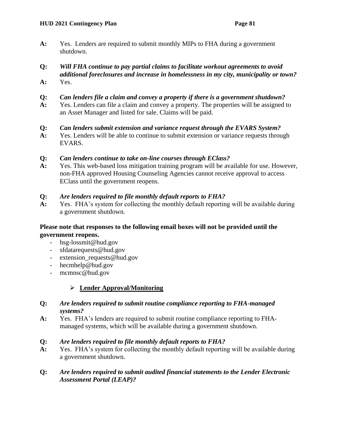**A:** Yes. Lenders are required to submit monthly MIPs to FHA during a government shutdown.

### **Q:** *Will FHA continue to pay partial claims to facilitate workout agreements to avoid additional foreclosures and increase in homelessness in my city, municipality or town?*

**A:** Yes.

### **Q:** *Can lenders file a claim and convey a property if there is a government shutdown?*

**A:** Yes. Lenders can file a claim and convey a property. The properties will be assigned to an Asset Manager and listed for sale. Claims will be paid.

### **Q:** *Can lenders submit extension and variance request through the EVARS System?*

**A:** Yes. Lenders will be able to continue to submit extension or variance requests through EVARS.

### **Q:** *Can lenders continue to take on-line courses through EClass?*

**A:** Yes. This web-based loss mitigation training program will be available for use. However, non-FHA approved Housing Counseling Agencies cannot receive approval to access EClass until the government reopens.

### **Q:** *Are lenders required to file monthly default reports to FHA?*

**A:** Yes. FHA's system for collecting the monthly default reporting will be available during a government shutdown.

#### **Please note that responses to the following email boxes will not be provided until the government reopens.**

- hsg-lossmit@hud.gov
- sfdatarequests@hud.gov
- extension\_requests@hud.gov
- hecmhelp@hud.gov
- mcmnsc@hud.gov

### ➢ **Lender Approval/Monitoring**

#### **Q:** *Are lenders required to submit routine compliance reporting to FHA-managed systems?*

**A:** Yes. FHA's lenders are required to submit routine compliance reporting to FHAmanaged systems, which will be available during a government shutdown.

#### **Q:** *Are lenders required to file monthly default reports to FHA?*

**A:** Yes. FHA's system for collecting the monthly default reporting will be available during a government shutdown.

### **Q:** *Are lenders required to submit audited financial statements to the Lender Electronic Assessment Portal (LEAP)?*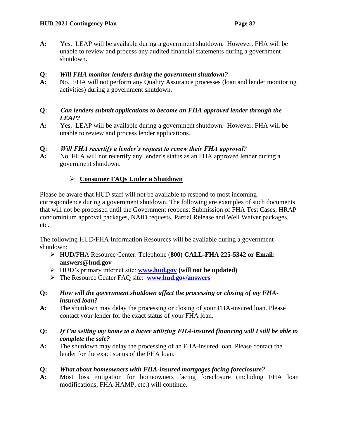**A:** Yes. LEAP will be available during a government shutdown. However, FHA will be unable to review and process any audited financial statements during a government shutdown.

### **Q:** *Will FHA monitor lenders during the government shutdown?*

**A:** No. FHA will not perform any Quality Assurance processes (loan and lender monitoring activities) during a government shutdown.

### **Q:** *Can lenders submit applications to become an FHA approved lender through the LEAP?*

**A:** Yes. LEAP will be available during a government shutdown. However, FHA will be unable to review and process lender applications.

### **Q:** *Will FHA recertify a lender's request to renew their FHA approval?*

**A:** No. FHA will not recertify any lender's status as an FHA approved lender during a government shutdown.

## ➢ **Consumer FAQs Under a Shutdown**

Please be aware that HUD staff will not be available to respond to most incoming correspondence during a government shutdown. The following are examples of such documents that will not be processed until the Government reopens: Submission of FHA Test Cases, HRAP condominium approval packages, NAID requests, Partial Release and Well Waiver packages, etc.

The following HUD/FHA Information Resources will be available during a government shutdown:

- ➢ HUD/FHA Resource Center: Telephone (**800) CALL-FHA 225-5342 or Email: answers@hud.gov**
- ➢ HUD's primary internet site: **[www.hud.gov](http://www.hud.gov/) (will not be updated)**
- ➢ The Resource Center FAQ site: **[www.hud.gov/answers](http://www.hud.gov/answers)**
- **Q:** *How will the government shutdown affect the processing or closing of my FHAinsured loan?*
- **A:** The shutdown may delay the processing or closing of your FHA-insured loan. Please contact your lender for the exact status of your FHA loan.
- **Q:** *If I'm selling my home to a buyer utilizing FHA-insured financing will I still be able to complete the sale?*
- **A:** The shutdown may delay the processing of an FHA-insured loan. Please contact the lender for the exact status of the FHA loan.

## **Q:** *What about homeowners with FHA-insured mortgages facing foreclosure?*

**A:** Most loss mitigation for homeowners facing foreclosure (including FHA loan modifications, FHA-HAMP, etc.) will continue.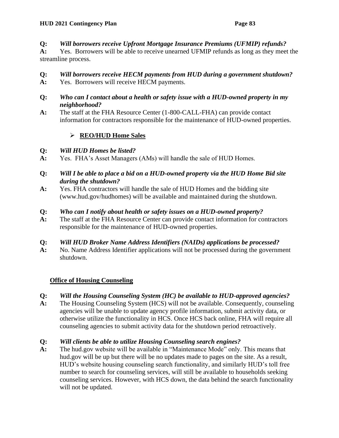## **Q:** *Will borrowers receive Upfront Mortgage Insurance Premiums (UFMIP) refunds?*

**A:** Yes. Borrowers will be able to receive unearned UFMIP refunds as long as they meet the streamline process.

## **Q:** *Will borrowers receive HECM payments from HUD during a government shutdown?*

**A:** Yes. Borrowers will receive HECM payments.

### **Q:** *Who can I contact about a health or safety issue with a HUD-owned property in my neighborhood?*

**A:** The staff at the FHA Resource Center (1-800-CALL-FHA) can provide contact information for contractors responsible for the maintenance of HUD-owned properties.

## ➢ **REO/HUD Home Sales**

## **Q:** *Will HUD Homes be listed?*

- **A:** Yes. FHA's Asset Managers (AMs) will handle the sale of HUD Homes.
- **Q:** *Will I be able to place a bid on a HUD-owned property via the HUD Home Bid site during the shutdown?*
- **A:** Yes. FHA contractors will handle the sale of HUD Homes and the bidding site (www.hud.gov/hudhomes) will be available and maintained during the shutdown.

### **Q:** *Who can I notify about health or safety issues on a HUD-owned property?*

**A:** The staff at the FHA Resource Center can provide contact information for contractors responsible for the maintenance of HUD-owned properties.

## **Q:** *Will HUD Broker Name Address Identifiers (NAIDs) applications be processed?*

**A:** No. Name Address Identifier applications will not be processed during the government shutdown.

## **Office of Housing Counseling**

## **Q:** *Will the Housing Counseling System (HC) be available to HUD-approved agencies?*

**A:** The Housing Counseling System (HCS) will not be available. Consequently, counseling agencies will be unable to update agency profile information, submit activity data, or otherwise utilize the functionality in HCS. Once HCS back online, FHA will require all counseling agencies to submit activity data for the shutdown period retroactively.

## **Q:** *Will clients be able to utilize Housing Counseling search engines?*

**A:** The hud.gov website will be available in "Maintenance Mode" only. This means that hud.gov will be up but there will be no updates made to pages on the site. As a result, HUD's website housing counseling search functionality, and similarly HUD's toll free number to search for counseling services, will still be available to households seeking counseling services. However, with HCS down, the data behind the search functionality will not be updated.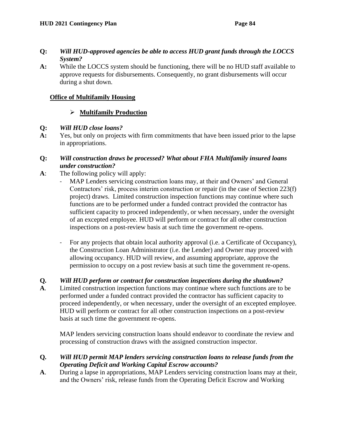- **Q:** *Will HUD-approved agencies be able to access HUD grant funds through the LOCCS System?*
- **A:** While the LOCCS system should be functioning, there will be no HUD staff available to approve requests for disbursements. Consequently, no grant disbursements will occur during a shut down.

### **Office of Multifamily Housing**

### ➢ **Multifamily Production**

#### **Q:** *Will HUD close loans?*

**A:** Yes, but only on projects with firm commitments that have been issued prior to the lapse in appropriations.

#### **Q:** *Will construction draws be processed? What about FHA Multifamily insured loans under construction?*

- **A**: The following policy will apply:
	- MAP Lenders servicing construction loans may, at their and Owners' and General Contractors' risk, process interim construction or repair (in the case of Section 223(f) project) draws. Limited construction inspection functions may continue where such functions are to be performed under a funded contract provided the contractor has sufficient capacity to proceed independently, or when necessary, under the oversight of an excepted employee. HUD will perform or contract for all other construction inspections on a post-review basis at such time the government re-opens.
	- For any projects that obtain local authority approval (i.e. a Certificate of Occupancy), the Construction Loan Administrator (i.e. the Lender) and Owner may proceed with allowing occupancy. HUD will review, and assuming appropriate, approve the permission to occupy on a post review basis at such time the government re-opens.

#### **Q***. Will HUD perform or contract for construction inspections during the shutdown?*

**A***.* Limited construction inspection functions may continue where such functions are to be performed under a funded contract provided the contractor has sufficient capacity to proceed independently, or when necessary, under the oversight of an excepted employee. HUD will perform or contract for all other construction inspections on a post-review basis at such time the government re-opens.

MAP lenders servicing construction loans should endeavor to coordinate the review and processing of construction draws with the assigned construction inspector.

- **Q***. Will HUD permit MAP lenders servicing construction loans to release funds from the Operating Deficit and Working Capital Escrow accounts?*
- **A**. During a lapse in appropriations, MAP Lenders servicing construction loans may at their, and the Owners' risk, release funds from the Operating Deficit Escrow and Working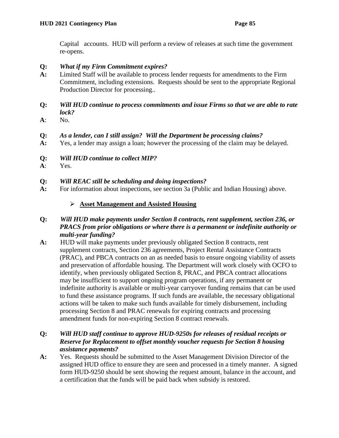Capital accounts. HUD will perform a review of releases at such time the government re-opens.

### **Q:** *What if my Firm Commitment expires?*

- **A:** Limited Staff will be available to process lender requests for amendments to the Firm Commitment, including extensions. Requests should be sent to the appropriate Regional Production Director for processing..
- **Q:** *Will HUD continue to process commitments and issue Firms so that we are able to rate lock?*
- **A**: No.

### **Q:** *As a lender, can I still assign? Will the Department be processing claims?*

- **A:** Yes, a lender may assign a loan; however the processing of the claim may be delayed.
- **Q:** *Will HUD continue to collect MIP?*
- **A**: Yes.
- **Q:** *Will REAC still be scheduling and doing inspections?*
- **A:** For information about inspections, see section 3a (Public and Indian Housing) above.

### ➢ **Asset Management and Assisted Housing**

### **Q:** *Will HUD make payments under Section 8 contracts, rent supplement, section 236, or PRACS from prior obligations or where there is a permanent or indefinite authority or multi-year funding?*

**A:** HUD will make payments under previously obligated Section 8 contracts, rent supplement contracts, Section 236 agreements, Project Rental Assistance Contracts (PRAC), and PBCA contracts on an as needed basis to ensure ongoing viability of assets and preservation of affordable housing. The Department will work closely with OCFO to identify, when previously obligated Section 8, PRAC, and PBCA contract allocations may be insufficient to support ongoing program operations, if any permanent or indefinite authority is available or multi-year carryover funding remains that can be used to fund these assistance programs. If such funds are available, the necessary obligational actions will be taken to make such funds available for timely disbursement, including processing Section 8 and PRAC renewals for expiring contracts and processing amendment funds for non-expiring Section 8 contract renewals.

### **Q:** *Will HUD staff continue to approve HUD-9250s for releases of residual receipts or Reserve for Replacement to offset monthly voucher requests for Section 8 housing assistance payments?*

**A:** Yes. Requests should be submitted to the Asset Management Division Director of the assigned HUD office to ensure they are seen and processed in a timely manner. A signed form HUD-9250 should be sent showing the request amount, balance in the account, and a certification that the funds will be paid back when subsidy is restored.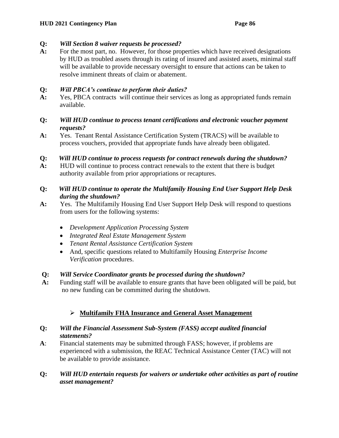### **Q:** *Will Section 8 waiver requests be processed?*

**A:** For the most part, no. However, for those properties which have received designations by HUD as troubled assets through its rating of insured and assisted assets, minimal staff will be available to provide necessary oversight to ensure that actions can be taken to resolve imminent threats of claim or abatement.

### **Q:** *Will PBCA's continue to perform their duties?*

**A:** Yes, PBCA contracts will continue their services as long as appropriated funds remain available.

### **Q:** *Will HUD continue to process tenant certifications and electronic voucher payment requests?*

**A:** Yes. Tenant Rental Assistance Certification System (TRACS) will be available to process vouchers, provided that appropriate funds have already been obligated.

### **Q:** *Will HUD continue to process requests for contract renewals during the shutdown?*

**A:** HUD will continue to process contract renewals to the extent that there is budget authority available from prior appropriations or recaptures.

### **Q:** *Will HUD continue to operate the Multifamily Housing End User Support Help Desk during the shutdown?*

- **A:** Yes. The Multifamily Housing End User Support Help Desk will respond to questions from users for the following systems:
	- *Development Application Processing System*
	- *Integrated Real Estate Management System*
	- *Tenant Rental Assistance Certification System*
	- And, specific questions related to Multifamily Housing *Enterprise Income Verification* procedures.

### **Q:** *Will Service Coordinator grants be processed during the shutdown?*

**A:** Funding staff will be available to ensure grants that have been obligated will be paid, but no new funding can be committed during the shutdown.

## ➢ **Multifamily FHA Insurance and General Asset Management**

- **Q:** *Will the Financial Assessment Sub-System (FASS) accept audited financial statements?*
- **A**: Financial statements may be submitted through FASS; however, if problems are experienced with a submission, the REAC Technical Assistance Center (TAC) will not be available to provide assistance.
- **Q:** *Will HUD entertain requests for waivers or undertake other activities as part of routine asset management?*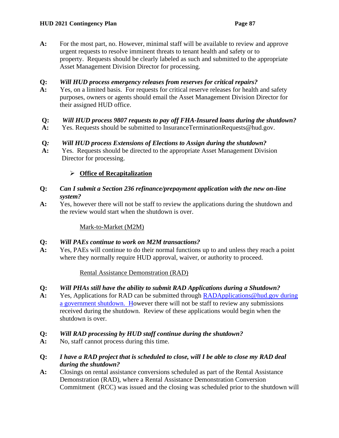**A:** For the most part, no. However, minimal staff will be available to review and approve urgent requests to resolve imminent threats to tenant health and safety or to property. Requests should be clearly labeled as such and submitted to the appropriate Asset Management Division Director for processing.

### **Q:** *Will HUD process emergency releases from reserves for critical repairs?*

**A:** Yes, on a limited basis. For requests for critical reserve releases for health and safety purposes, owners or agents should email the Asset Management Division Director for their assigned HUD office.

### **Q:** *Will HUD process 9807 requests to pay off FHA-Insured loans during the shutdown?*

**A:** Yes. Requests should be submitted to InsuranceTerminationRequests@hud.gov.

### **Q***: Will HUD process Extensions of Elections to Assign during the shutdown?*

**A:** Yes. Requests should be directed to the appropriate Asset Management Division Director for processing.

### ➢ **Office of Recapitalization**

### **Q:** *Can I submit a Section 236 refinance/prepayment application with the new on-line system?*

**A:** Yes, however there will not be staff to review the applications during the shutdown and the review would start when the shutdown is over.

## Mark-to-Market (M2M)

### **Q:** *Will PAEs continue to work on M2M transactions?*

**A:** Yes, PAEs will continue to do their normal functions up to and unless they reach a point where they normally require HUD approval, waiver, or authority to proceed.

### Rental Assistance Demonstration (RAD)

### **Q:** *Will PHAs still have the ability to submit RAD Applications during a Shutdown?*

**A:** Yes, Applications for RAD can be submitted through [RADApplications@hud.gov](mailto:RADApplications@hud.gov) during a government shutdown. However there will not be staff to review any submissions received during the shutdown. Review of these applications would begin when the shutdown is over.

### **Q:** *Will RAD processing by HUD staff continue during the shutdown?*

**A:** No, staff cannot process during this time.

### **Q:** *I have a RAD project that is scheduled to close, will I be able to close my RAD deal during the shutdown?*

**A:** Closings on rental assistance conversions scheduled as part of the Rental Assistance Demonstration (RAD), where a Rental Assistance Demonstration Conversion Commitment (RCC) was issued and the closing was scheduled prior to the shutdown will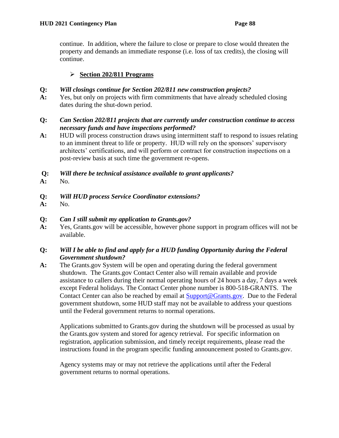continue. In addition, where the failure to close or prepare to close would threaten the property and demands an immediate response (i.e. loss of tax credits), the closing will continue.

### ➢ **Section 202/811 Programs**

### **Q:** *Will closings continue for Section 202/811 new construction projects?*

**A:** Yes, but only on projects with firm commitments that have already scheduled closing dates during the shut-down period.

### **Q:** *Can Section 202/811 projects that are currently under construction continue to access necessary funds and have inspections performed?*

**A:** HUD will process construction draws using intermittent staff to respond to issues relating to an imminent threat to life or property. HUD will rely on the sponsors' supervisory architects' certifications, and will perform or contract for construction inspections on a post-review basis at such time the government re-opens.

### **Q:** *Will there be technical assistance available to grant applicants?*

**A:** No.

### **Q:** *Will HUD process Service Coordinator extensions?*

**A:** No.

### **Q:** *Can I still submit my application to Grants.gov?*

**A:** Yes, Grants.gov will be accessible, however phone support in program offices will not be available.

### **Q:** *Will I be able to find and apply for a HUD funding Opportunity during the Federal Government shutdown?*

**A:** The Grants.gov System will be open and operating during the federal government shutdown. The Grants.gov Contact Center also will remain available and provide assistance to callers during their normal operating hours of 24 hours a day, 7 days a week except Federal holidays. The Contact Center phone number is 800-518-GRANTS. The Contact Center can also be reached by email at **Support@Grants.gov.** Due to the Federal government shutdown, some HUD staff may not be available to address your questions until the Federal government returns to normal operations.

Applications submitted to Grants.gov during the shutdown will be processed as usual by the Grants.gov system and stored for agency retrieval. For specific information on registration, application submission, and timely receipt requirements, please read the instructions found in the program specific funding announcement posted to Grants.gov.

Agency systems may or may not retrieve the applications until after the Federal government returns to normal operations.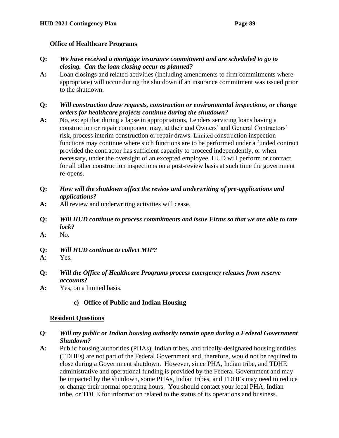### **Office of Healthcare Programs**

- **Q:** *We have received a mortgage insurance commitment and are scheduled to go to closing. Can the loan closing occur as planned?*
- **A:** Loan closings and related activities (including amendments to firm commitments where appropriate) will occur during the shutdown if an insurance commitment was issued prior to the shutdown.
- **Q:** *Will construction draw requests, construction or environmental inspections, or change orders for healthcare projects continue during the shutdown?*
- **A:** No, except that during a lapse in appropriations, Lenders servicing loans having a construction or repair component may, at their and Owners' and General Contractors' risk, process interim construction or repair draws. Limited construction inspection functions may continue where such functions are to be performed under a funded contract provided the contractor has sufficient capacity to proceed independently, or when necessary, under the oversight of an excepted employee. HUD will perform or contract for all other construction inspections on a post-review basis at such time the government re-opens.
- **Q:** *How will the shutdown affect the review and underwriting of pre-applications and applications?*
- **A:** All review and underwriting activities will cease.
- **Q:** *Will HUD continue to process commitments and issue Firms so that we are able to rate lock?*
- **A**: No.
- **Q:** *Will HUD continue to collect MIP?*
- **A**: Yes.
- **Q:** *Will the Office of Healthcare Programs process emergency releases from reserve accounts?*
- **A:** Yes, on a limited basis.

### **c) Office of Public and Indian Housing**

#### **Resident Questions**

#### **Q**: *Will my public or Indian housing authority remain open during a Federal Government Shutdown?*

**A:** Public housing authorities (PHAs), Indian tribes, and tribally-designated housing entities (TDHEs) are not part of the Federal Government and, therefore, would not be required to close during a Government shutdown. However, since PHA, Indian tribe, and TDHE administrative and operational funding is provided by the Federal Government and may be impacted by the shutdown, some PHAs, Indian tribes, and TDHEs may need to reduce or change their normal operating hours. You should contact your local PHA, Indian tribe, or TDHE for information related to the status of its operations and business.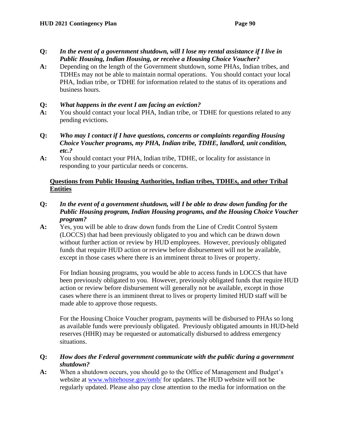- **Q:** *In the event of a government shutdown, will I lose my rental assistance if I live in Public Housing, Indian Housing, or receive a Housing Choice Voucher?*
- **A:** Depending on the length of the Government shutdown, some PHAs, Indian tribes, and TDHEs may not be able to maintain normal operations. You should contact your local PHA, Indian tribe, or TDHE for information related to the status of its operations and business hours.

### **Q:** *What happens in the event I am facing an eviction?*

- **A:** You should contact your local PHA, Indian tribe, or TDHE for questions related to any pending evictions.
- **Q:** *Who may I contact if I have questions, concerns or complaints regarding Housing Choice Voucher programs, my PHA, Indian tribe, TDHE, landlord, unit condition, etc.?*
- **A:** You should contact your PHA, Indian tribe, TDHE, or locality for assistance in responding to your particular needs or concerns.

### **Questions from Public Housing Authorities, Indian tribes, TDHEs, and other Tribal Entities**

- **Q:** *In the event of a government shutdown, will I be able to draw down funding for the Public Housing program, Indian Housing programs, and the Housing Choice Voucher program?*
- **A:** Yes, you will be able to draw down funds from the Line of Credit Control System (LOCCS) that had been previously obligated to you and which can be drawn down without further action or review by HUD employees. However, previously obligated funds that require HUD action or review before disbursement will not be available, except in those cases where there is an imminent threat to lives or property.

For Indian housing programs, you would be able to access funds in LOCCS that have been previously obligated to you. However, previously obligated funds that require HUD action or review before disbursement will generally not be available, except in those cases where there is an imminent threat to lives or property limited HUD staff will be made able to approve those requests.

For the Housing Choice Voucher program, payments will be disbursed to PHAs so long as available funds were previously obligated. Previously obligated amounts in HUD-held reserves (HHR) may be requested or automatically disbursed to address emergency situations.

### **Q:** *How does the Federal government communicate with the public during a government shutdown?*

**A:** When a shutdown occurs, you should go to the Office of Management and Budget's website at [www.whitehouse.gov/omb/](http://www.whitehouse.gov/omb/) for updates. The HUD website will not be regularly updated. Please also pay close attention to the media for information on the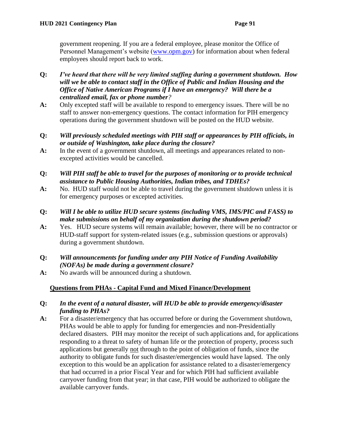government reopening. If you are a federal employee, please monitor the Office of Personnel Management's website [\(www.opm.gov\)](http://www.opm.gov/) for information about when federal employees should report back to work.

- **Q:** *I've heard that there will be very limited staffing during a government shutdown. How will we be able to contact staff in the Office of Public and Indian Housing and the Office of Native American Programs if I have an emergency? Will there be a centralized email, fax or phone number?*
- **A:** Only excepted staff will be available to respond to emergency issues. There will be no staff to answer non-emergency questions. The contact information for PIH emergency operations during the government shutdown will be posted on the HUD website.
- **Q:** *Will previously scheduled meetings with PIH staff or appearances by PIH officials, in or outside of Washington, take place during the closure?*
- **A:** In the event of a government shutdown, all meetings and appearances related to nonexcepted activities would be cancelled.
- **Q:** *Will PIH staff be able to travel for the purposes of monitoring or to provide technical assistance to Public Housing Authorities, Indian tribes, and TDHEs?*
- A: No. HUD staff would not be able to travel during the government shutdown unless it is for emergency purposes or excepted activities.
- **Q:** *Will I be able to utilize HUD secure systems (including VMS, IMS/PIC and FASS) to make submissions on behalf of my organization during the shutdown period?*
- **A:** Yes. HUD secure systems will remain available; however, there will be no contractor or HUD-staff support for system-related issues (e.g., submission questions or approvals) during a government shutdown.
- **Q:** *Will announcements for funding under any PIH Notice of Funding Availability (NOFAs) be made during a government closure?*
- **A:** No awards will be announced during a shutdown.

### **Questions from PHAs - Capital Fund and Mixed Finance/Development**

#### **Q:** *In the event of a natural disaster, will HUD be able to provide emergency/disaster funding to PHAs?*

**A:** For a disaster/emergency that has occurred before or during the Government shutdown, PHAs would be able to apply for funding for emergencies and non-Presidentially declared disasters. PIH may monitor the receipt of such applications and, for applications responding to a threat to safety of human life or the protection of property, process such applications but generally not through to the point of obligation of funds, since the authority to obligate funds for such disaster/emergencies would have lapsed. The only exception to this would be an application for assistance related to a disaster/emergency that had occurred in a prior Fiscal Year and for which PIH had sufficient available carryover funding from that year; in that case, PIH would be authorized to obligate the available carryover funds.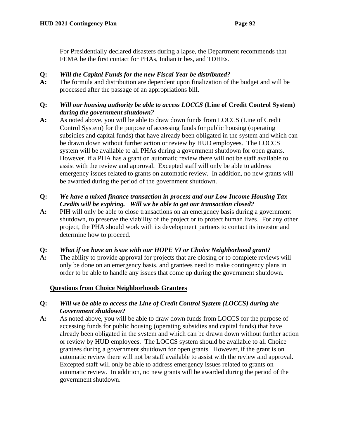For Presidentially declared disasters during a lapse, the Department recommends that FEMA be the first contact for PHAs, Indian tribes, and TDHEs.

### **Q:** *Will the Capital Funds for the new Fiscal Year be distributed?*

**A:** The formula and distribution are dependent upon finalization of the budget and will be processed after the passage of an appropriations bill.

### **Q:** *Will our housing authority be able to access LOCCS* **(Line of Credit Control System)** *during the government shutdown?*

**A:** As noted above, you will be able to draw down funds from LOCCS (Line of Credit Control System) for the purpose of accessing funds for public housing (operating subsidies and capital funds) that have already been obligated in the system and which can be drawn down without further action or review by HUD employees. The LOCCS system will be available to all PHAs during a government shutdown for open grants. However, if a PHA has a grant on automatic review there will not be staff available to assist with the review and approval. Excepted staff will only be able to address emergency issues related to grants on automatic review. In addition, no new grants will be awarded during the period of the government shutdown.

### **Q:** *We have a mixed finance transaction in process and our Low Income Housing Tax Credits will be expiring. Will we be able to get our transaction closed?*

**A:** PIH will only be able to close transactions on an emergency basis during a government shutdown, to preserve the viability of the project or to protect human lives. For any other project, the PHA should work with its development partners to contact its investor and determine how to proceed.

### **Q:** *What if we have an issue with our HOPE VI or Choice Neighborhood grant?*

**A:** The ability to provide approval for projects that are closing or to complete reviews will only be done on an emergency basis, and grantees need to make contingency plans in order to be able to handle any issues that come up during the government shutdown.

### **Questions from Choice Neighborhoods Grantees**

#### **Q:** *Will we be able to access the Line of Credit Control System (LOCCS) during the Government shutdown?*

**A:** As noted above, you will be able to draw down funds from LOCCS for the purpose of accessing funds for public housing (operating subsidies and capital funds) that have already been obligated in the system and which can be drawn down without further action or review by HUD employees. The LOCCS system should be available to all Choice grantees during a government shutdown for open grants. However, if the grant is on automatic review there will not be staff available to assist with the review and approval. Excepted staff will only be able to address emergency issues related to grants on automatic review. In addition, no new grants will be awarded during the period of the government shutdown.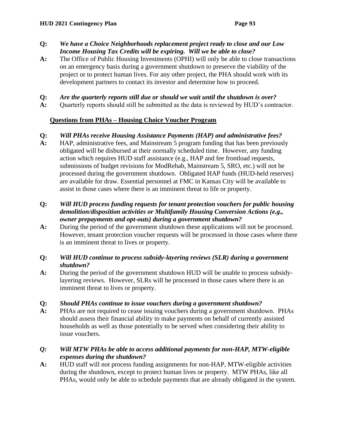#### **Q:** *We have a Choice Neighborhoods replacement project ready to close and our Low Income Housing Tax Credits will be expiring. Will we be able to close?*

**A:** The Office of Public Housing Investments (OPHI) will only be able to close transactions on an emergency basis during a government shutdown to preserve the viability of the project or to protect human lives. For any other project, the PHA should work with its development partners to contact its investor and determine how to proceed.

#### **Q:** *Are the quarterly reports still due or should we wait until the shutdown is over?*

**A:** Quarterly reports should still be submitted as the data is reviewed by HUD's contractor.

### **Questions from PHAs – Housing Choice Voucher Program**

### **Q:** *Will PHAs receive Housing Assistance Payments (HAP) and administrative fees?*

**A:** HAP, administrative fees, and Mainstream 5 program funding that has been previously obligated will be disbursed at their normally scheduled time. However, any funding action which requires HUD staff assistance (e.g., HAP and fee frontload requests, submissions of budget revisions for ModRehab, Mainstream 5, SRO, etc.) will not be processed during the government shutdown. Obligated HAP funds (HUD-held reserves) are available for draw. Essential personnel at FMC in Kansas City will be available to assist in those cases where there is an imminent threat to life or property.

### **Q:** *Will HUD process funding requests for tenant protection vouchers for public housing demolition/disposition activities or Multifamily Housing Conversion Actions (e.g., owner prepayments and opt-outs) during a government shutdown?*

**A:** During the period of the government shutdown these applications will not be processed. However, tenant protection voucher requests will be processed in those cases where there is an imminent threat to lives or property.

#### **Q:** *Will HUD continue to process subsidy-layering reviews (SLR) during a government shutdown?*

**A:** During the period of the government shutdown HUD will be unable to process subsidylayering reviews. However, SLRs will be processed in those cases where there is an imminent threat to lives or property.

#### **Q:** *Should PHAs continue to issue vouchers during a government shutdown?*

**A:** PHAs are not required to cease issuing vouchers during a government shutdown. PHAs should assess their financial ability to make payments on behalf of currently assisted households as well as those potentially to be served when considering their ability to issue vouchers.

### *Q: Will MTW PHAs be able to access additional payments for non-HAP, MTW-eligible expenses during the shutdown?*

**A:** HUD staff will not process funding assignments for non-HAP, MTW-eligible activities during the shutdown, except to protect human lives or property. MTW PHAs, like all PHAs, would only be able to schedule payments that are already obligated in the system.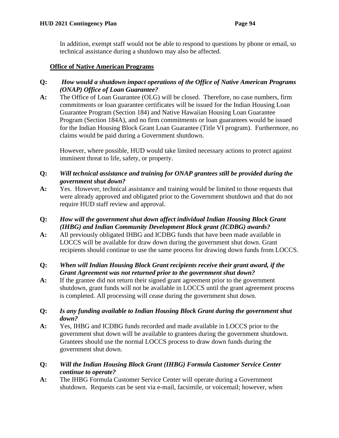In addition, exempt staff would not be able to respond to questions by phone or email, so technical assistance during a shutdown may also be affected.

### **Office of Native American Programs**

#### **Q:** *How would a shutdown impact operations of the Office of Native American Programs (ONAP) Office of Loan Guarantee?*

**A:** The Office of Loan Guarantee (OLG) will be closed. Therefore, no case numbers, firm commitments or loan guarantee certificates will be issued for the Indian Housing Loan Guarantee Program (Section 184) and Native Hawaiian Housing Loan Guarantee Program (Section 184A), and no firm commitments or loan guarantees would be issued for the Indian Housing Block Grant Loan Guarantee (Title VI program). Furthermore, no claims would be paid during a Government shutdown.

However, where possible, HUD would take limited necessary actions to protect against imminent threat to life, safety, or property.

### **Q:** *Will technical assistance and training for ONAP grantees still be provided during the government shut down?*

- **A:** Yes. However, technical assistance and training would be limited to those requests that were already approved and obligated prior to the Government shutdown and that do not require HUD staff review and approval.
- **Q:** *How will the government shut down affect individual Indian Housing Block Grant (IHBG) and Indian Community Development Block grant (ICDBG) awards?*
- **A:** All previously obligated IHBG and ICDBG funds that have been made available in LOCCS will be available for draw down during the government shut down. Grant recipients should continue to use the same process for drawing down funds from LOCCS.
- **Q:** *When will Indian Housing Block Grant recipients receive their grant award, if the Grant Agreement was not returned prior to the government shut down?*
- **A:** If the grantee did not return their signed grant agreement prior to the government shutdown, grant funds will not be available in LOCCS until the grant agreement process is completed. All processing will cease during the government shut down.
- **Q:** *Is any funding available to Indian Housing Block Grant during the government shut down?*
- **A:** Yes, IHBG and ICDBG funds recorded and made available in LOCCS prior to the government shut down will be available to grantees during the government shutdown. Grantees should use the normal LOCCS process to draw down funds during the government shut down.
- **Q:** *Will the Indian Housing Block Grant (IHBG) Formula Customer Service Center continue to operate?*
- **A:** The IHBG Formula Customer Service Center will operate during a Government shutdown. Requests can be sent via e-mail, facsimile, or voicemail; however, when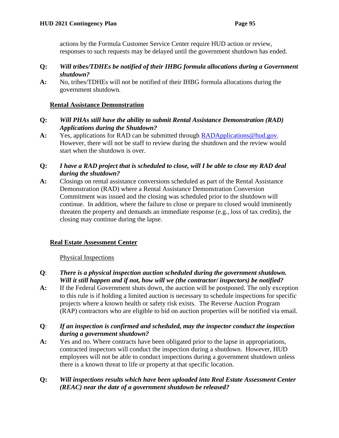actions by the Formula Customer Service Center require HUD action or review, responses to such requests may be delayed until the government shutdown has ended.

#### **Q:** *Will tribes/TDHEs be notified of their IHBG formula allocations during a Government shutdown?*

**A:** No, tribes/TDHEs will not be notified of their IHBG formula allocations during the government shutdown.

### **Rental Assistance Demonstration**

- **Q:** *Will PHAs still have the ability to submit Rental Assistance Demonstration (RAD) Applications during the Shutdown?*
- A: Yes, applications for RAD can be submitted through RADApplications @hud.gov. However, there will not be staff to review during the shutdown and the review would start when the shutdown is over.

### **Q:** *I have a RAD project that is scheduled to close, will I be able to close my RAD deal during the shutdown?*

**A:** Closings on rental assistance conversions scheduled as part of the Rental Assistance Demonstration (RAD) where a Rental Assistance Demonstration Conversion Commitment was issued and the closing was scheduled prior to the shutdown will continue. In addition, where the failure to close or prepare to closed would imminently threaten the property and demands an immediate response (e.g., loss of tax credits), the closing may continue during the lapse.

### **Real Estate Assessment Center**

### Physical Inspections

- **Q**: *There is a physical inspection auction scheduled during the government shutdown. Will it still happen and if not, how will we (the contractor/ inspectors) be notified?*
- **A:** If the Federal Government shuts down, the auction will be postponed. The only exception to this rule is if holding a limited auction is necessary to schedule inspections for specific projects where a known health or safety risk exists. The Reverse Auction Program (RAP) contractors who are eligible to bid on auction properties will be notified via email.

#### **Q**: *If an inspection is confirmed and scheduled, may the inspector conduct the inspection during a government shutdown?*

**A:** Yes and no. Where contracts have been obligated prior to the lapse in appropriations, contracted inspectors will conduct the inspection during a shutdown. However, HUD employees will not be able to conduct inspections during a government shutdown unless there is a known threat to life or property at that specific location.

#### **Q:** *Will inspections results which have been uploaded into Real Estate Assessment Center (REAC) near the date of a government shutdown be released?*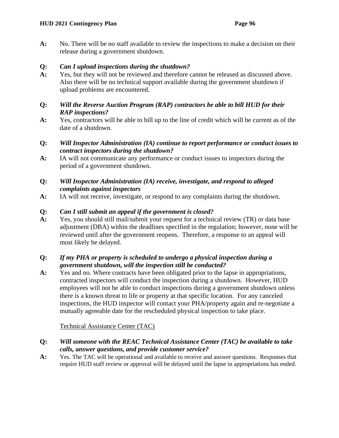**A:** No. There will be no staff available to review the inspections to make a decision on their release during a government shutdown.

### **Q:** *Can I upload inspections during the shutdown?*

**A:** Yes, but they will not be reviewed and therefore cannot be released as discussed above. Also there will be no technical support available during the government shutdown if upload problems are encountered.

#### **Q:** *Will the Reverse Auction Program (RAP) contractors be able to bill HUD for their RAP inspections?*

- **A:** Yes, contractors will be able to bill up to the line of credit which will be current as of the date of a shutdown.
- **Q:** *Will Inspector Administration (IA) continue to report performance or conduct issues to contract inspectors during the shutdown?*
- **A:** IA will not communicate any performance or conduct issues to inspectors during the period of a government shutdown.

### **Q:** *Will Inspector Administration (IA) receive, investigate, and respond to alleged complaints against inspectors*

**A:** IA will not receive, investigate, or respond to any complaints during the shutdown.

### **Q:** *Can I still submit an appeal if the government is closed?*

**A:** Yes, you should still mail/submit your request for a technical review (TR) or data base adjustment (DBA) within the deadlines specified in the regulation; however, none will be reviewed until after the government reopens. Therefore, a response to an appeal will most likely be delayed.

### **Q:** *If my PHA or property is scheduled to undergo a physical inspection during a government shutdown, will the inspection still be conducted?*

**A:** Yes and no. Where contracts have been obligated prior to the lapse in appropriations, contracted inspectors will conduct the inspection during a shutdown. However, HUD employees will not be able to conduct inspections during a government shutdown unless there is a known threat to life or property at that specific location. For any canceled inspections, the HUD inspector will contact your PHA/property again and re-negotiate a mutually agreeable date for the rescheduled physical inspection to take place.

### Technical Assistance Center (TAC)

#### **Q:** *Will someone with the REAC Technical Assistance Center (TAC) be available to take calls, answer questions, and provide customer service?*

**A:** Yes. The TAC will be operational and available to receive and answer questions. Responses that require HUD staff review or approval will be delayed until the lapse in appropriations has ended.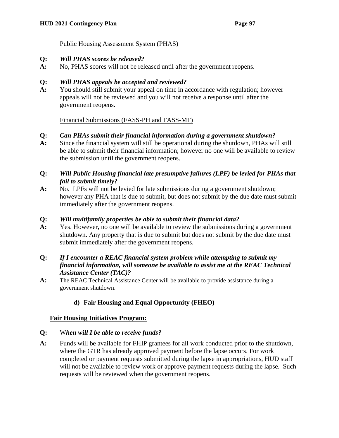#### Public Housing Assessment System (PHAS)

### **Q:** *Will PHAS scores be released?*

**A:** No, PHAS scores will not be released until after the government reopens.

### **Q:** *Will PHAS appeals be accepted and reviewed?*

**A:** You should still submit your appeal on time in accordance with regulation; however appeals will not be reviewed and you will not receive a response until after the government reopens.

### Financial Submissions (FASS-PH and FASS-MF)

### **Q:** *Can PHAs submit their financial information during a government shutdown?*

**A:** Since the financial system will still be operational during the shutdown, PHAs will still be able to submit their financial information; however no one will be available to review the submission until the government reopens.

#### **Q:** *Will Public Housing financial late presumptive failures (LPF) be levied for PHAs that fail to submit timely?*

**A:** No. LPFs will not be levied for late submissions during a government shutdown; however any PHA that is due to submit, but does not submit by the due date must submit immediately after the government reopens.

#### **Q:** *Will multifamily properties be able to submit their financial data?*

**A:** Yes. However, no one will be available to review the submissions during a government shutdown. Any property that is due to submit but does not submit by the due date must submit immediately after the government reopens.

#### **Q:** *If I encounter a REAC financial system problem while attempting to submit my financial information, will someone be available to assist me at the REAC Technical Assistance Center (TAC)?*

**A:** The REAC Technical Assistance Center will be available to provide assistance during a government shutdown.

### **d) Fair Housing and Equal Opportunity (FHEO)**

### **Fair Housing Initiatives Program:**

#### **Q:** W*hen will I be able to receive funds?*

**A:** Funds will be available for FHIP grantees for all work conducted prior to the shutdown, where the GTR has already approved payment before the lapse occurs. For work completed or payment requests submitted during the lapse in appropriations, HUD staff will not be available to review work or approve payment requests during the lapse. Such requests will be reviewed when the government reopens.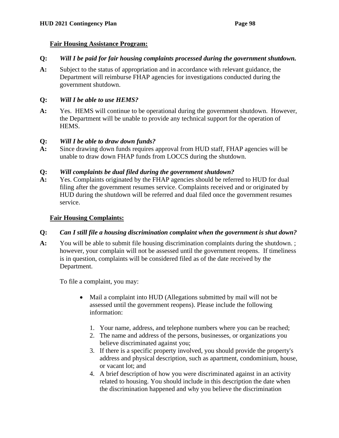### **Fair Housing Assistance Program:**

#### **Q:** *Will I be paid for fair housing complaints processed during the government shutdown.*

**A:** Subject to the status of appropriation and in accordance with relevant guidance, the Department will reimburse FHAP agencies for investigations conducted during the government shutdown.

#### **Q:** *Will I be able to use HEMS?*

**A:** Yes. HEMS will continue to be operational during the government shutdown. However, the Department will be unable to provide any technical support for the operation of HEMS.

### **Q:** *Will I be able to draw down funds?*

**A:** Since drawing down funds requires approval from HUD staff, FHAP agencies will be unable to draw down FHAP funds from LOCCS during the shutdown.

#### **Q:** *Will complaints be dual filed during the government shutdown?*

**A:** Yes. Complaints originated by the FHAP agencies should be referred to HUD for dual filing after the government resumes service. Complaints received and or originated by HUD during the shutdown will be referred and dual filed once the government resumes service.

### **Fair Housing Complaints:**

#### **Q:** *Can I still file a housing discrimination complaint when the government is shut down?*

**A:** You will be able to submit file housing discrimination complaints during the shutdown. ; however, your complain will not be assessed until the government reopens. If timeliness is in question, complaints will be considered filed as of the date received by the Department.

To file a complaint, you may:

- Mail a complaint into HUD (Allegations submitted by mail will not be assessed until the government reopens). Please include the following information:
	- 1. Your name, address, and telephone numbers where you can be reached;
	- 2. The name and address of the persons, businesses, or organizations you believe discriminated against you;
	- 3. If there is a specific property involved, you should provide the property's address and physical description, such as apartment, condominium, house, or vacant lot; and
	- 4. A brief description of how you were discriminated against in an activity related to housing. You should include in this description the date when the discrimination happened and why you believe the discrimination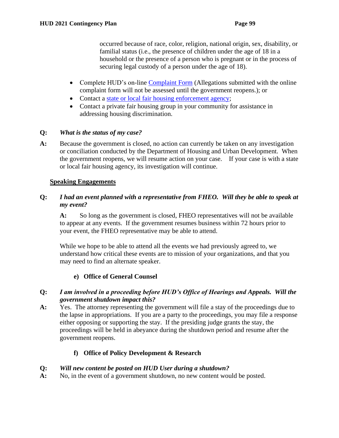occurred because of race, color, religion, national origin, sex, disability, or familial status (i.e., the presence of children under the age of 18 in a household or the presence of a person who is pregnant or in the process of securing legal custody of a person under the age of 18).

- Complete HUD's on-line [Complaint Form](https://www.hud.gov/program_offices/fair_housing_equal_opp/online-complaint) (Allegations submitted with the online complaint form will not be assessed until the government reopens.); or
- Contact a [state or local fair housing enforcement agency;](http://portal.hud.gov/hudportal/HUD?src=/program_offices/fair_housing_equal_opp/partners/FHAP/agencies)
- Contact a private fair housing group in your community for assistance in addressing housing discrimination.

### **Q:** *What is the status of my case?*

**A:** Because the government is closed, no action can currently be taken on any investigation or conciliation conducted by the Department of Housing and Urban Development. When the government reopens, we will resume action on your case. If your case is with a state or local fair housing agency, its investigation will continue.

### **Speaking Engagements**

### **Q:** *I had an event planned with a representative from FHEO. Will they be able to speak at my event?*

**A:** So long as the government is closed, FHEO representatives will not be available to appear at any events. If the government resumes business within 72 hours prior to your event, the FHEO representative may be able to attend.

While we hope to be able to attend all the events we had previously agreed to, we understand how critical these events are to mission of your organizations, and that you may need to find an alternate speaker.

### **e) Office of General Counsel**

#### **Q:** *I am involved in a proceeding before HUD's Office of Hearings and Appeals. Will the government shutdown impact this?*

**A:** Yes. The attorney representing the government will file a stay of the proceedings due to the lapse in appropriations. If you are a party to the proceedings, you may file a response either opposing or supporting the stay. If the presiding judge grants the stay, the proceedings will be held in abeyance during the shutdown period and resume after the government reopens.

#### **f) Office of Policy Development & Research**

#### **Q:** *Will new content be posted on HUD User during a shutdown?*

**A:** No, in the event of a government shutdown, no new content would be posted.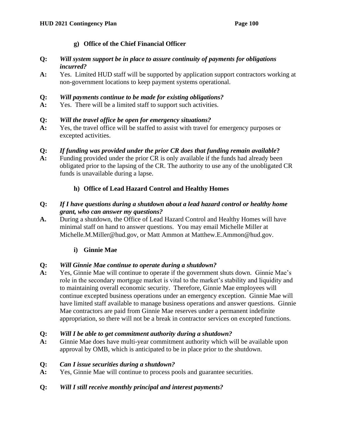### **g) Office of the Chief Financial Officer**

#### **Q:** *Will system support be in place to assure continuity of payments for obligations incurred?*

**A:** Yes. Limited HUD staff will be supported by application support contractors working at non-government locations to keep payment systems operational.

### **Q:** *Will payments continue to be made for existing obligations?*

**A:** Yes. There will be a limited staff to support such activities.

### **Q:** *Will the travel office be open for emergency situations?*

**A:** Yes, the travel office will be staffed to assist with travel for emergency purposes or excepted activities.

### **Q:** *If funding was provided under the prior CR does that funding remain available***?**

**A:** Funding provided under the prior CR is only available if the funds had already been obligated prior to the lapsing of the CR. The authority to use any of the unobligated CR funds is unavailable during a lapse.

### **h) Office of Lead Hazard Control and Healthy Homes**

### **Q:** *If I have questions during a shutdown about a lead hazard control or healthy home grant, who can answer my questions?*

**A.** During a shutdown, the Office of Lead Hazard Control and Healthy Homes will have minimal staff on hand to answer questions. You may email Michelle Miller at Michelle.M.Miller@hud.gov, or Matt Ammon at Matthew.E.Ammon@hud.gov.

### **i) Ginnie Mae**

#### **Q:** *Will Ginnie Mae continue to operate during a shutdown?*

**A:** Yes, Ginnie Mae will continue to operate if the government shuts down.Ginnie Mae's role in the secondary mortgage market is vital to the market's stability and liquidity and to maintaining overall economic security. Therefore, Ginnie Mae employees will continue excepted business operations under an emergency exception. Ginnie Mae will have limited staff available to manage business operations and answer questions. Ginnie Mae contractors are paid from Ginnie Mae reserves under a permanent indefinite appropriation, so there will not be a break in contractor services on excepted functions.

#### **Q:** *Will I be able to get commitment authority during a shutdown?*

**A:** Ginnie Mae does have multi-year commitment authority which will be available upon approval by OMB, which is anticipated to be in place prior to the shutdown.

#### **Q:** *Can I issue securities during a shutdown?*

**A:** Yes, Ginnie Mae will continue to process pools and guarantee securities.

### **Q:** *Will I still receive monthly principal and interest payments?*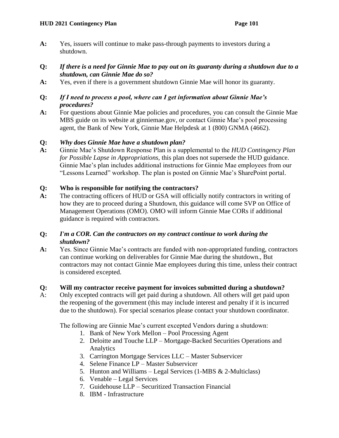**A:** Yes, issuers will continue to make pass-through payments to investors during a shutdown.

#### **Q:** *If there is a need for Ginnie Mae to pay out on its guaranty during a shutdown due to a shutdown, can Ginnie Mae do so?*

- **A:** Yes, even if there is a government shutdown Ginnie Mae will honor its guaranty.
- **Q:** *If I need to process a pool, where can I get information about Ginnie Mae's procedures?*
- **A:** For questions about Ginnie Mae policies and procedures, you can consult the Ginnie Mae MBS guide on its website at ginniemae.gov, or contact Ginnie Mae's pool processing agent, the Bank of New York, Ginnie Mae Helpdesk at 1 (800) GNMA (4662).

#### **Q:** *Why does Ginnie Mae have a shutdown plan?*

**A:** Ginnie Mae's Shutdown Response Plan is a supplemental to the *HUD Contingency Plan for Possible Lapse in Appropriations,* this plan does not supersede the HUD guidance. Ginnie Mae's plan includes additional instructions for Ginnie Mae employees from our "Lessons Learned" workshop. The plan is posted on Ginnie Mae's SharePoint portal.

#### **Q: Who is responsible for notifying the contractors?**

**A:** The contracting officers of HUD or GSA will officially notify contractors in writing of how they are to proceed during a Shutdown, this guidance will come SVP on Office of Management Operations (OMO). OMO will inform Ginnie Mae CORs if additional guidance is required with contractors.

#### **Q:** *I'm a COR. Can the contractors on my contract continue to work during the shutdown?*

**A:** Yes. Since Ginnie Mae's contracts are funded with non-appropriated funding, contractors can continue working on deliverables for Ginnie Mae during the shutdown., But contractors may not contact Ginnie Mae employees during this time, unless their contract is considered excepted.

#### **Q: Will my contractor receive payment for invoices submitted during a shutdown?**

A: Only excepted contracts will get paid during a shutdown. All others will get paid upon the reopening of the government (this may include interest and penalty if it is incurred due to the shutdown). For special scenarios please contact your shutdown coordinator.

The following are Ginnie Mae's current excepted Vendors during a shutdown:

- 1. Bank of New York Mellon Pool Processing Agent
- 2. Deloitte and Touche LLP Mortgage-Backed Securities Operations and Analytics
- 3. Carrington Mortgage Services LLC Master Subservicer
- 4. Selene Finance LP Master Subservicer
- 5. Hunton and Williams Legal Services (1-MBS & 2-Multiclass)
- 6. Venable Legal Services
- 7. Guidehouse LLP Securitized Transaction Financial
- 8. IBM Infrastructure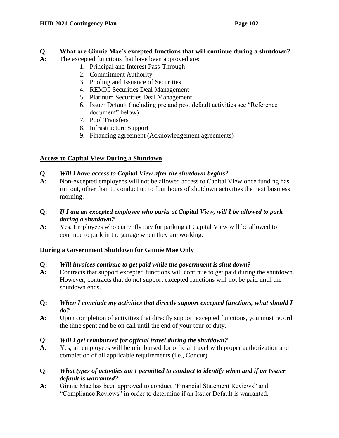### **Q: What are Ginnie Mae's excepted functions that will continue during a shutdown?**

- **A:** The excepted functions that have been approved are:
	- 1. Principal and Interest Pass-Through
	- 2. Commitment Authority
	- 3. Pooling and Issuance of Securities
	- 4. REMIC Securities Deal Management
	- 5. Platinum Securities Deal Management
	- 6. Issuer Default (including pre and post default activities see "Reference document" below)
	- 7. Pool Transfers
	- 8. Infrastructure Support
	- 9. Financing agreement (Acknowledgement agreements)

### **Access to Capital View During a Shutdown**

### **Q:** *Will I have access to Capital View after the shutdown begins?*

- **A:** Non-excepted employees will not be allowed access to Capital View once funding has run out, other than to conduct up to four hours of shutdown activities the next business morning.
- **Q:** *If I am an excepted employee who parks at Capital View, will I be allowed to park during a shutdown?*
- **A:** Yes. Employees who currently pay for parking at Capital View will be allowed to continue to park in the garage when they are working.

### **During a Government Shutdown for Ginnie Mae Only**

### **Q:** *Will invoices continue to get paid while the government is shut down?*

**A:** Contracts that support excepted functions will continue to get paid during the shutdown. However, contracts that do not support excepted functions will not be paid until the shutdown ends.

### **Q:** *When I conclude my activities that directly support excepted functions, what should I do?*

**A:** Upon completion of activities that directly support excepted functions, you must record the time spent and be on call until the end of your tour of duty.

### **Q**: *Will I get reimbursed for official travel during the shutdown?*

**A**: Yes, all employees will be reimbursed for official travel with proper authorization and completion of all applicable requirements (i.e., Concur).

#### **Q**: *What types of activities am I permitted to conduct to identify when and if an Issuer default is warranted?*

**A**: Ginnie Mae has been approved to conduct "Financial Statement Reviews" and "Compliance Reviews" in order to determine if an Issuer Default is warranted.